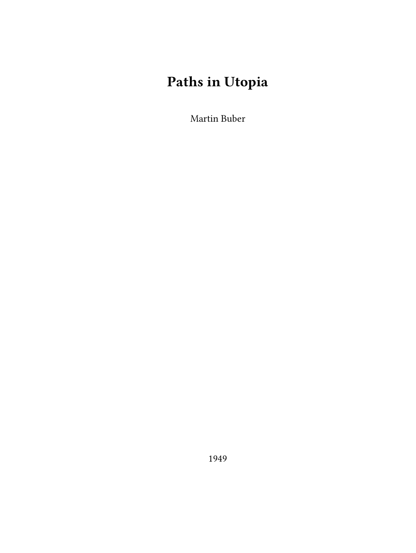# **Paths in Utopia**

Martin Buber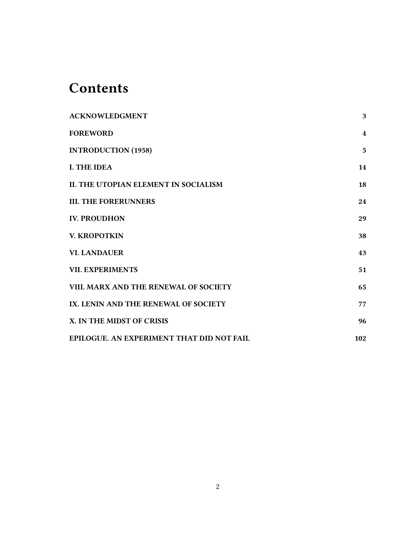# **Contents**

| <b>ACKNOWLEDGMENT</b>                     | 3   |
|-------------------------------------------|-----|
| <b>FOREWORD</b>                           | 4   |
| <b>INTRODUCTION (1958)</b>                | 5   |
| <b>I. THE IDEA</b>                        | 14  |
| II. THE UTOPIAN ELEMENT IN SOCIALISM      | 18  |
| <b>III. THE FORERUNNERS</b>               | 24  |
| <b>IV. PROUDHON</b>                       | 29  |
| <b>V. KROPOTKIN</b>                       | 38  |
| <b>VI. LANDAUER</b>                       | 43  |
| <b>VII. EXPERIMENTS</b>                   | 51  |
| VIII. MARX AND THE RENEWAL OF SOCIETY     | 65  |
| IX. LENIN AND THE RENEWAL OF SOCIETY      | 77  |
| X. IN THE MIDST OF CRISIS                 | 96  |
| EPILOGUE. AN EXPERIMENT THAT DID NOT FAIL | 102 |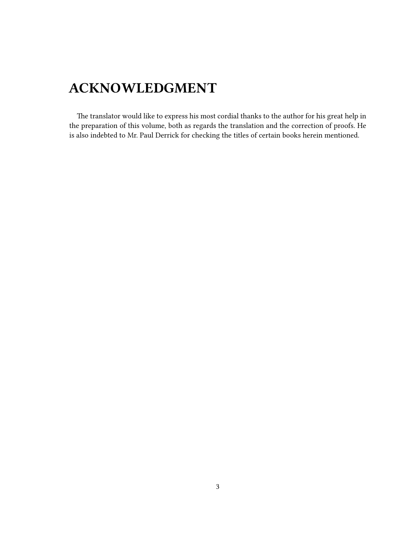# <span id="page-2-0"></span>**ACKNOWLEDGMENT**

The translator would like to express his most cordial thanks to the author for his great help in the preparation of this volume, both as regards the translation and the correction of proofs. He is also indebted to Mr. Paul Derrick for checking the titles of certain books herein mentioned.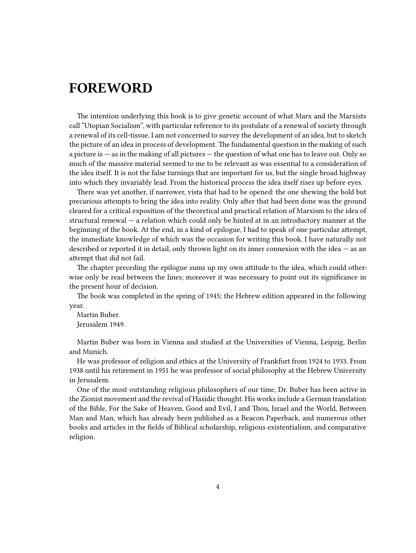### <span id="page-3-0"></span>**FOREWORD**

The intention underlying this book is to give genetic account of what Marx and the Marxists call "Utopian Socialism", with particular reference to its postulate of a renewal of society through a renewal of its cell-tissue. I am not concerned to survey the development of an idea, but to sketch the picture of an idea in process of development. The fundamental question in the making of such a picture is  $-$  as in the making of all pictures  $-$  the question of what one has to leave out. Only so much of the massive material seemed to me to be relevant as was essential to a consideration of the idea itself. It is not the false turnings that are important for us, but the single broad highway into which they invariably lead. From the historical process the idea itself rises up before eyes.

There was yet another, if narrower, vista that had to be opened: the one shewing the bold but precarious attempts to bring the idea into reality. Only after that had been done was the ground cleared for a critical exposition of the theoretical and practical relation of Marxism to the idea of structural renewal  $-$  a relation which could only be hinted at in an introductory manner at the beginning of the book. At the end, in a kind of epilogue, I had to speak of one particular attempt, the immediate knowledge of which was the occasion for writing this book. I have naturally not described or reported it in detail, only thrown light on its inner connexion with the idea — as an attempt that did not fail.

The chapter preceding the epilogue sums up my own attitude to the idea, which could otherwise only be read between the lines; moreover it was necessary to point out its significance in the present hour of decision.

The book was completed in the spring of 1945; the Hebrew edition appeared in the following year.

Martin Buber.

Jerusalem 1949.

Martin Buber was born in Vienna and studied at the Universities of Vienna, Leipzig, Berlin and Munich.

He was professor of religion and ethics at the University of Frankfurt from 1924 to 1933. From 1938 until his retirement in 1951 he was professor of social philosophy at the Hebrew University in Jerusalem.

One of the most outstanding religious philosophers of our time, Dr. Buber has been active in the Zionist movement and the revival of Hasidic thought. His works include a German translation of the Bible, For the Sake of Heaven, Good and Evil, I and Thou, Israel and the World, Between Man and Man, which has already been published as a Beacon Paperback, and numerous other books and articles in the fields of Biblical scholarship, religious existentialism, and comparative religion.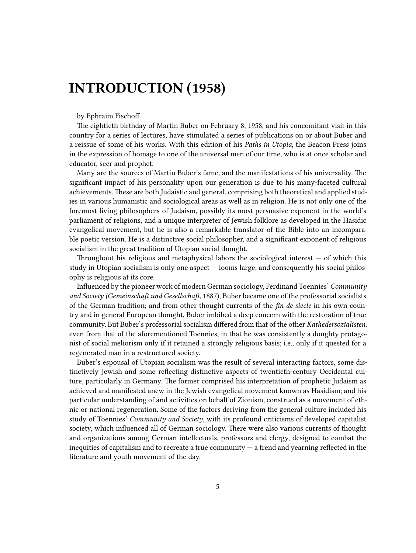# <span id="page-4-0"></span>**INTRODUCTION (1958)**

#### by Ephraim Fischoff

The eightieth birthday of Martin Buber on February 8, 1958, and his concomitant visit in this country for a series of lectures, have stimulated a series of publications on or about Buber and a reissue of some of his works. With this edition of his *Paths in Utopia*, the Beacon Press joins in the expression of homage to one of the universal men of our time, who is at once scholar and educator, seer and prophet.

Many are the sources of Martin Buber's fame, and the manifestations of his universality. The significant impact of his personality upon our generation is due to his many-faceted cultural achievements. These are both Judaistic and general, comprising both theoretical and applied studies in various humanistic and sociological areas as well as in religion. He is not only one of the foremost living philosophers of Judaism, possibly its most persuasive exponent in the world's parliament of religions, and a unique interpreter of Jewish folklore as developed in the Hasidic evangelical movement, but he is also a remarkable translator of the Bible into an incomparable poetic version. He is a distinctive social philosopher, and a significant exponent of religious socialism in the great tradition of Utopian social thought.

Throughout his religious and metaphysical labors the sociological interest  $-$  of which this study in Utopian socialism is only one aspect — looms large; and consequently his social philosophy is religious at its core.

Influenced by the pioneer work of modern German sociology, Ferdinand Toennies' *Community and Society (Gemeinschaft und Gesellschaft*, 1887), Buber became one of the professorial socialists of the German tradition; and from other thought currents of the *fin de siecle* in his own country and in general European thought, Buber imbibed a deep concern with the restoration of true community. But Buber's professorial socialism differed from that of the other *Kathedersozialisten*, even from that of the aforementioned Toennies, in that he was consistently a doughty protagonist of social meliorism only if it retained a strongly religious basis; i.e., only if it quested for a regenerated man in a restructured society.

Buber's espousal of Utopian socialism was the result of several interacting factors, some distinctively Jewish and some reflecting distinctive aspects of twentieth-century Occidental culture, particularly in Germany. The former comprised his interpretation of prophetic Judaism as achieved and manifested anew in the Jewish evangelical movement known as Hasidism; and his particular understanding of and activities on behalf of Zionism, construed as a movement of ethnic or national regeneration. Some of the factors deriving from the general culture included his study of Toennies' *Community and Society*, with its profound criticisms of developed capitalist society, which influenced all of German sociology. There were also various currents of thought and organizations among German intellectuals, professors and clergy, designed to combat the inequities of capitalism and to recreate a true community  $-$  a trend and yearning reflected in the literature and youth movement of the day.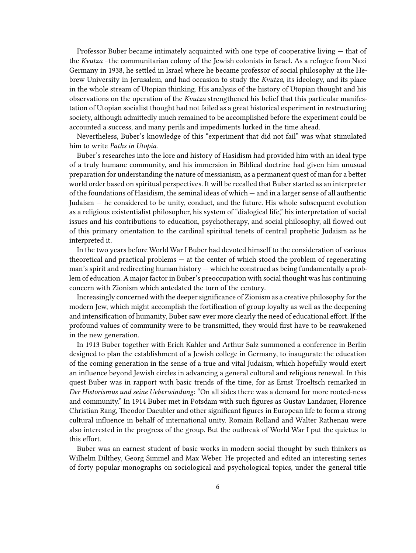Professor Buber became intimately acquainted with one type of cooperative living — that of the *Kvutza* –the communitarian colony of the Jewish colonists in Israel. As a refugee from Nazi Germany in 1938, he settled in Israel where he became professor of social philosophy at the Hebrew University in Jerusalem, and had occasion to study the *Kvutza*, its ideology, and its place in the whole stream of Utopian thinking. His analysis of the history of Utopian thought and his observations on the operation of the *Kvutza* strengthened his belief that this particular manifestation of Utopian socialist thought had not failed as a great historical experiment in restructuring society, although admittedly much remained to be accomplished before the experiment could be accounted a success, and many perils and impediments lurked in the time ahead.

Nevertheless, Buber's knowledge of this "experiment that did not fail" was what stimulated him to write *Paths in Utopia*.

Buber's researches into the lore and history of Hasidism had provided him with an ideal type of a truly humane community, and his immersion in Biblical doctrine had given him unusual preparation for understanding the nature of messianism, as a permanent quest of man for a better world order based on spiritual perspectives. It will be recalled that Buber started as an interpreter of the foundations of Hasidism, the seminal ideas of which — and in a larger sense of all authentic Judaism — he considered to be unity, conduct, and the future. His whole subsequent evolution as a religious existentialist philosopher, his system of "dialogical life," his interpretation of social issues and his contributions to education, psychotherapy, and social philosophy, all flowed out of this primary orientation to the cardinal spiritual tenets of central prophetic Judaism as he interpreted it.

In the two years before World War I Buber had devoted himself to the consideration of various theoretical and practical problems — at the center of which stood the problem of regenerating man's spirit and redirecting human history — which he construed as being fundamentally a problem of education. A major factor in Buber's preoccupation with social thought was his continuing concern with Zionism which antedated the turn of the century.

Increasingly concerned with the deeper significance of Zionism as a creative philosophy for the modern Jew, which might accomplish the fortification of group loyalty as well as the deepening and intensification of humanity, Buber saw ever more clearly the need of educational effort. If the profound values of community were to be transmitted, they would first have to be reawakened in the new generation.

In 1913 Buber together with Erich Kahler and Arthur Salz summoned a conference in Berlin designed to plan the establishment of a Jewish college in Germany, to inaugurate the education of the coming generation in the sense of a true and vital Judaism, which hopefully would exert an influence beyond Jewish circles in advancing a general cultural and religious renewal. In this quest Buber was in rapport with basic trends of the time, for as Ernst Troeltsch remarked in *Der Historismus und seine Ueberwindung*: "On all sides there was a demand for more rooted-ness and community." In 1914 Buber met in Potsdam with such figures as Gustav Landauer, Florence Christian Rang, Theodor Daeubler and other significant figures in European life to form a strong cultural influence in behalf of international unity. Romain Rolland and Walter Rathenau were also interested in the progress of the group. But the outbreak of World War I put the quietus to this effort.

Buber was an earnest student of basic works in modern social thought by such thinkers as Wilhelm Dilthey, Georg Simmel and Max Weber. He projected and edited an interesting series of forty popular monographs on sociological and psychological topics, under the general title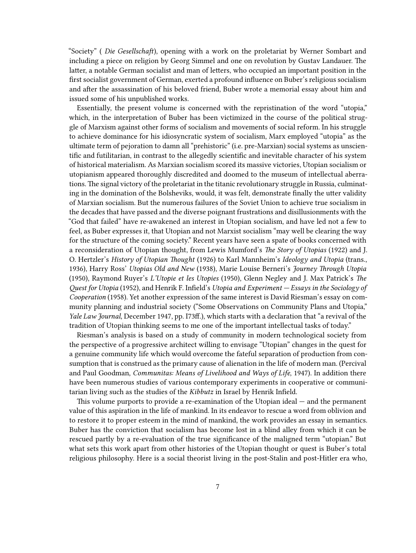"Society" ( *Die Gesellschaft*), opening with a work on the proletariat by Werner Sombart and including a piece on religion by Georg Simmel and one on revolution by Gustav Landauer. The latter, a notable German socialist and man of letters, who occupied an important position in the first socialist government of German, exerted a profound influence on Buber's religious socialism and after the assassination of his beloved friend, Buber wrote a memorial essay about him and issued some of his unpublished works.

Essentially, the present volume is concerned with the repristination of the word "utopia," which, in the interpretation of Buber has been victimized in the course of the political struggle of Marxism against other forms of socialism and movements of social reform. In his struggle to achieve dominance for his idiosyncratic system of socialism, Marx employed "utopia" as the ultimate term of pejoration to damn all "prehistoric" (i.e. pre-Marxian) social systems as unscientific and futilitarian, in contrast to the allegedly scientific and inevitable character of his system of historical materialism. As Marxian socialism scored its massive victories, Utopian socialism or utopianism appeared thoroughly discredited and doomed to the museum of intellectual aberrations.The signal victory of the proletariat in the titanic revolutionary struggle in Russia, culminating in the domination of the Bolsheviks, would, it was felt, demonstrate finally the utter validity of Marxian socialism. But the numerous failures of the Soviet Union to achieve true socialism in the decades that have passed and the diverse poignant frustrations and disillusionments with the "God that failed" have re-awakened an interest in Utopian socialism, and have led not a few to feel, as Buber expresses it, that Utopian and not Marxist socialism "may well be clearing the way for the structure of the coming society." Recent years have seen a spate of books concerned with a reconsideration of Utopian thought, from Lewis Mumford's *The Story of Utopias* (1922) and J. O. Hertzler's *History of Utopian Thought* (1926) to Karl Mannheim's *Ideology and Utopia* (trans., 1936), Harry Ross' *Utopias Old and New* (1938), Marie Louise Berneri's *Journey Through Utopia* (1950), Raymond Ruyer's *L'Utopie et les Utopies* (1950), Glenn Negley and J. Max Patrick's *The Quest for Utopia* (1952), and Henrik F. Infield's *Utopia and Experiment — Essays in the Sociology of Cooperation* (1958). Yet another expression of the same interest is David Riesman's essay on community planning and industrial society ("Some Observations on Community Plans and Utopia," *Yale Law Journal*, December 1947, pp. I73ff.), which starts with a declaration that "a revival of the tradition of Utopian thinking seems to me one of the important intellectual tasks of today."

Riesman's analysis is based on a study of community in modern technological society from the perspective of a progressive architect willing to envisage "Utopian" changes in the quest for a genuine community life which would overcome the fateful separation of production from consumption that is construed as the primary cause of alienation in the life of modern man. (Percival and Paul Goodman, *Communitas: Means of Livelihood and Ways of Life*, 1947). In addition there have been numerous studies of various contemporary experiments in cooperative or communitarian living such as the studies of the *Kibbutz* in Israel by Henrik Infield.

This volume purports to provide a re-examination of the Utopian ideal — and the permanent value of this aspiration in the life of mankind. In its endeavor to rescue a word from oblivion and to restore it to proper esteem in the mind of mankind, the work provides an essay in semantics. Buber has the conviction that socialism has become lost in a blind alley from which it can be rescued partly by a re-evaluation of the true significance of the maligned term "utopian." But what sets this work apart from other histories of the Utopian thought or quest is Buber's total religious philosophy. Here is a social theorist living in the post-Stalin and post-Hitler era who,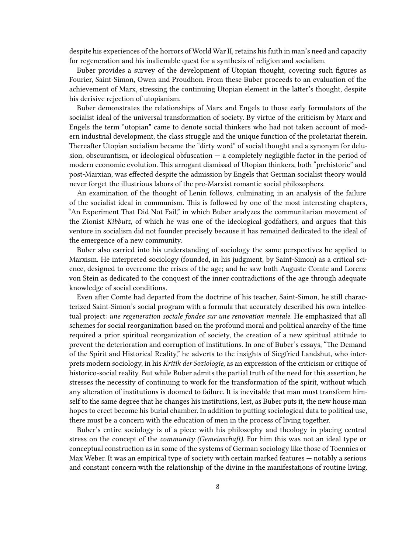despite his experiences of the horrors of World War II, retains his faith in man's need and capacity for regeneration and his inalienable quest for a synthesis of religion and socialism.

Buber provides a survey of the development of Utopian thought, covering such figures as Fourier, Saint-Simon, Owen and Proudhon. From these Buber proceeds to an evaluation of the achievement of Marx, stressing the continuing Utopian element in the latter's thought, despite his derisive rejection of utopianism.

Buber demonstrates the relationships of Marx and Engels to those early formulators of the socialist ideal of the universal transformation of society. By virtue of the criticism by Marx and Engels the term "utopian" came to denote social thinkers who had not taken account of modern industrial development, the class struggle and the unique function of the proletariat therein. Thereafter Utopian socialism became the "dirty word" of social thought and a synonym for delusion, obscurantism, or ideological obfuscation  $-$  a completely negligible factor in the period of modern economic evolution. This arrogant dismissal of Utopian thinkers, both "prehistoric" and post-Marxian, was effected despite the admission by Engels that German socialist theory would never forget the illustrious labors of the pre-Marxist romantic social philosophers.

An examination of the thought of Lenin follows, culminating in an analysis of the failure of the socialist ideal in communism. This is followed by one of the most interesting chapters, "An Experiment That Did Not Fail," in which Buber analyzes the communitarian movement of the Zionist *Kibbutz*, of which he was one of the ideological godfathers, and argues that this venture in socialism did not founder precisely because it has remained dedicated to the ideal of the emergence of a new community.

Buber also carried into his understanding of sociology the same perspectives he applied to Marxism. He interpreted sociology (founded, in his judgment, by Saint-Simon) as a critical science, designed to overcome the crises of the age; and he saw both Auguste Comte and Lorenz von Stein as dedicated to the conquest of the inner contradictions of the age through adequate knowledge of social conditions.

Even after Comte had departed from the doctrine of his teacher, Saint-Simon, he still characterized Saint-Simon's social program with a formula that accurately described his own intellectual project: *une regeneration sociale fondee sur une renovation mentale*. He emphasized that all schemes for social reorganization based on the profound moral and political anarchy of the time required a prior spiritual reorganization of society, the creation of a new spiritual attitude to prevent the deterioration and corruption of institutions. In one of Buber's essays, "The Demand of the Spirit and Historical Reality," he adverts to the insights of Siegfried Landshut, who interprets modern sociology, in his *Kritik der Soziologie*, as an expression of the criticism or critique of historico-social reality. But while Buber admits the partial truth of the need for this assertion, he stresses the necessity of continuing to work for the transformation of the spirit, without which any alteration of institutions is doomed to failure. It is inevitable that man must transform himself to the same degree that he changes his institutions, lest, as Buber puts it, the new house man hopes to erect become his burial chamber. In addition to putting sociological data to political use, there must be a concern with the education of men in the process of living together.

Buber's entire sociology is of a piece with his philosophy and theology in placing central stress on the concept of the *community (Gemeinschaft)*. For him this was not an ideal type or conceptual construction as in some of the systems of German sociology like those of Toennies or Max Weber. It was an empirical type of society with certain marked features — notably a serious and constant concern with the relationship of the divine in the manifestations of routine living.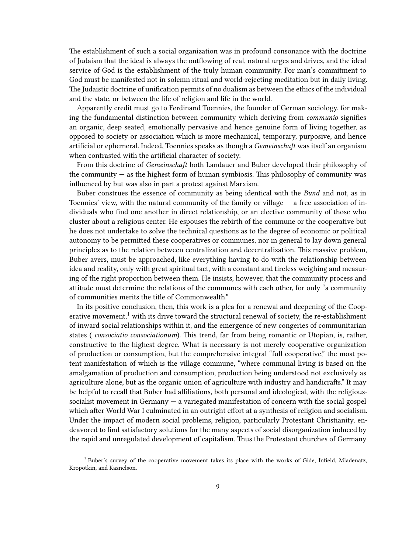The establishment of such a social organization was in profound consonance with the doctrine of Judaism that the ideal is always the outflowing of real, natural urges and drives, and the ideal service of God is the establishment of the truly human community. For man's commitment to God must be manifested not in solemn ritual and world-rejecting meditation but in daily living. The Judaistic doctrine of unification permits of no dualism as between the ethics of the individual and the state, or between the life of religion and life in the world.

Apparently credit must go to Ferdinand Toennies, the founder of German sociology, for making the fundamental distinction between community which deriving from *communio* signifies an organic, deep seated, emotionally pervasive and hence genuine form of living together, as opposed to society or association which is more mechanical, temporary, purposive, and hence artificial or ephemeral. Indeed, Toennies speaks as though a *Gemeinschaft* was itself an organism when contrasted with the artificial character of society.

From this doctrine of *Gemeinschaft* both Landauer and Buber developed their philosophy of the community  $-$  as the highest form of human symbiosis. This philosophy of community was influenced by but was also in part a protest against Marxism.

Buber construes the essence of community as being identical with the *Bund* and not, as in Toennies' view, with the natural community of the family or village  $-$  a free association of individuals who find one another in direct relationship, or an elective community of those who cluster about a religious center. He espouses the rebirth of the commune or the cooperative but he does not undertake to solve the technical questions as to the degree of economic or political autonomy to be permitted these cooperatives or communes, nor in general to lay down general principles as to the relation between centralization and decentralization. This massive problem, Buber avers, must be approached, like everything having to do with the relationship between idea and reality, only with great spiritual tact, with a constant and tireless weighing and measuring of the right proportion between them. He insists, however, that the community process and attitude must determine the relations of the communes with each other, for only "a community of communities merits the title of Commonwealth."

In its positive conclusion, then, this work is a plea for a renewal and deepening of the Cooperative movement, $<sup>1</sup>$  with its drive toward the structural renewal of society, the re-establishment</sup> of inward social relationships within it, and the emergence of new congeries of communitarian states ( *consociatio consociationum*). This trend, far from being romantic or Utopian, is, rather, constructive to the highest degree. What is necessary is not merely cooperative organization of production or consumption, but the comprehensive integral "full cooperative," the most potent manifestation of which is the village commune, "where communal living is based on the amalgamation of production and consumption, production being understood not exclusively as agriculture alone, but as the organic union of agriculture with industry and handicrafts." It may be helpful to recall that Buber had affiliations, both personal and ideological, with the religioussocialist movement in Germany — a variegated manifestation of concern with the social gospel which after World War I culminated in an outright effort at a synthesis of religion and socialism. Under the impact of modern social problems, religion, particularly Protestant Christianity, endeavored to find satisfactory solutions for the many aspects of social disorganization induced by the rapid and unregulated development of capitalism. Thus the Protestant churches of Germany

<sup>&</sup>lt;sup>1</sup> Buber's survey of the cooperative movement takes its place with the works of Gide, Infield, Mladenatz, Kropotkin, and Kaznelson.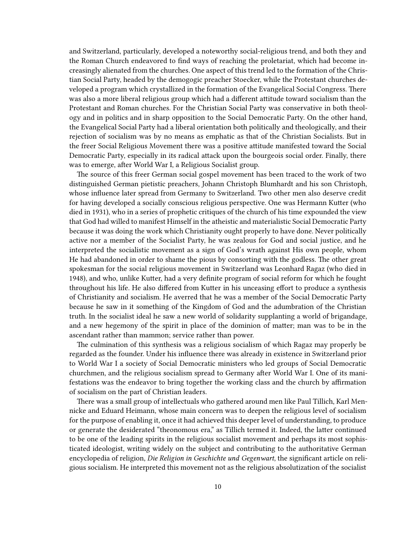and Switzerland, particularly, developed a noteworthy social-religious trend, and both they and the Roman Church endeavored to find ways of reaching the proletariat, which had become increasingly alienated from the churches. One aspect of this trend led to the formation of the Christian Social Party, headed by the demogogic preacher Stoecker, while the Protestant churches developed a program which crystallized in the formation of the Evangelical Social Congress. There was also a more liberal religious group which had a different attitude toward socialism than the Protestant and Roman churches. For the Christian Social Party was conservative in both theology and in politics and in sharp opposition to the Social Democratic Party. On the other hand, the Evangelical Social Party had a liberal orientation both politically and theologically, and their rejection of socialism was by no means as emphatic as that of the Christian Socialists. But in the freer Social Religious Movement there was a positive attitude manifested toward the Social Democratic Party, especially in its radical attack upon the bourgeois social order. Finally, there was to emerge, after World War I, a Religious Socialist group.

The source of this freer German social gospel movement has been traced to the work of two distinguished German pietistic preachers, Johann Christoph Blumhardt and his son Christoph, whose influence later spread from Germany to Switzerland. Two other men also deserve credit for having developed a socially conscious religious perspective. One was Hermann Kutter (who died in 1931), who in a series of prophetic critiques of the church of his time expounded the view that God had willed to manifest Himself in the atheistic and materialistic Social Democratic Party because it was doing the work which Christianity ought properly to have done. Never politically active nor a member of the Socialist Party, he was zealous for God and social justice, and he interpreted the socialistic movement as a sign of God's wrath against His own people, whom He had abandoned in order to shame the pious by consorting with the godless. The other great spokesman for the social religious movement in Switzerland was Leonhard Ragaz (who died in 1948), and who, unlike Kutter, had a very definite program of social reform for which he fought throughout his life. He also differed from Kutter in his unceasing effort to produce a synthesis of Christianity and socialism. He averred that he was a member of the Social Democratic Party because he saw in it something of the Kingdom of God and the adumbration of the Christian truth. In the socialist ideal he saw a new world of solidarity supplanting a world of brigandage, and a new hegemony of the spirit in place of the dominion of matter; man was to be in the ascendant rather than mammon; service rather than power.

The culmination of this synthesis was a religious socialism of which Ragaz may properly be regarded as the founder. Under his influence there was already in existence in Switzerland prior to World War I a society of Social Democratic ministers who led groups of Social Democratic churchmen, and the religious socialism spread to Germany after World War I. One of its manifestations was the endeavor to bring together the working class and the church by affirmation of socialism on the part of Christian leaders.

There was a small group of intellectuals who gathered around men like Paul Tillich, Karl Mennicke and Eduard Heimann, whose main concern was to deepen the religious level of socialism for the purpose of enabling it, once it had achieved this deeper level of understanding, to produce or generate the desiderated "theonomous era," as Tillich termed it. Indeed, the latter continued to be one of the leading spirits in the religious socialist movement and perhaps its most sophisticated ideologist, writing widely on the subject and contributing to the authoritative German encyclopedia of religion, *Die Religion in Geschichte und Gegenwart*, the significant article on religious socialism. He interpreted this movement not as the religious absolutization of the socialist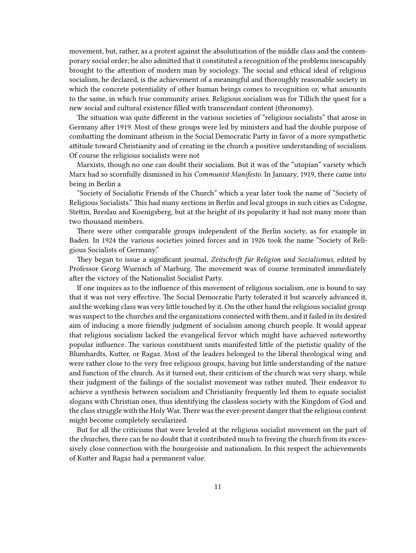movement, but, rather, as a protest against the absolutization of the middle class and the contemporary social order; he also admitted that it constituted a recognition of the problems inescapably brought to the attention of modern man by sociology. The social and ethical ideal of religious socialism, he declared, is the achievement of a meaningful and thoroughly reasonable society in which the concrete potentiality of other human beings comes to recognition or, what amounts to the same, in which true community arises. Religious socialism was for Tillich the quest for a new social and cultural existence filled with transcendant content (theonomy).

The situation was quite different in the various societies of "religious socialists" that arose in Germany after 1919. Most of these groups were led by ministers and had the double purpose of combatting the dominant atheism in the Social Democratic Party in favor of a more sympathetic attitude toward Christianity and of creating in the church a positive understanding of socialism. Of course the religious socialists were not

Marxists, though no one can doubt their socialism. But it was of the "utopian" variety which Marx had so scornfully dismissed in his *Communist Manifesto*. In January, 1919, there came into being in Berlin a

"Society of Socialistic Friends of the Church" which a year later took the name of "Society of Religious Socialists." This had many sections in Berlin and local groups in such cities as Cologne, Stettin, Breslau and Koenigsberg, but at the height of its popularity it had not many more than two thousand members.

There were other comparable groups independent of the Berlin society, as for example in Baden. In 1924 the various societies joined forces and in 1926 took the name "Society of Religious Socialists of Germany."

They began to issue a significant journal, *Zeitschrift für Religion und Sozialismus*, edited by Professor Georg Wuensch of Marburg. The movement was of course terminated immediately after the victory of the Nationalist Socialist Party.

If one inquires as to the influence of this movement of religious socialism, one is bound to say that it was not very effective. The Social Democratic Party tolerated it but scarcely advanced it, and the working class was very little touched by it. On the other hand the religious socialist group was suspect to the churches and the organizations connected with them, and it failed in its desired aim of inducing a more friendly judgment of socialism among church people. It would appear that religious socialism lacked the evangelical fervor which might have achieved noteworthy popular influence. The various constituent units manifested little of the pietistic quality of the Blumhardts, Kutter, or Ragaz. Most of the leaders belonged to the liberal theological wing and were rather close to the very free religious groups, having but little understanding of the nature and function of the church. As it turned out, their criticism of the church was very sharp, while their judgment of the failings of the socialist movement was rather muted. Their endeavor to achieve a synthesis between socialism and Christianity frequently led them to equate socialist slogans with Christian ones, thus identifying the classless society with the Kingdom of God and the class struggle with the Holy War. There was the ever-present danger that the religious content might become completely secularized.

But for all the criticisms that were leveled at the religious socialist movement on the part of the churches, there can be no doubt that it contributed much to freeing the church from its excessively close connection with the bourgeoisie and nationalism. In this respect the achievements of Kutter and Ragaz had a permanent value.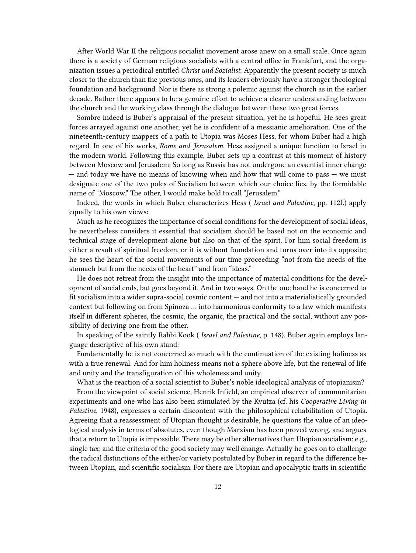After World War II the religious socialist movement arose anew on a small scale. Once again there is a society of German religious socialists with a central office in Frankfurt, and the organization issues a periodical entitled *Christ und Sozialist*. Apparently the present society is much closer to the church than the previous ones, and its leaders obviously have a stronger theological foundation and background. Nor is there as strong a polemic against the church as in the earlier decade. Rather there appears to be a genuine effort to achieve a clearer understanding between the church and the working class through the dialogue between these two great forces.

Sombre indeed is Buber's appraisal of the present situation, yet he is hopeful. He sees great forces arrayed against one another, yet he is confident of a messianic amelioration. One of the nineteenth-century mappers of a path to Utopia was Moses Hess, for whom Buber had a high regard. In one of his works, *Rome and Jerusalem*, Hess assigned a unique function to Israel in the modern world. Following this example, Buber sets up a contrast at this moment of history between Moscow and Jerusalem: So long as Russia has not undergone an essential inner change — and today we have no means of knowing when and how that will come to pass — we must designate one of the two poles of Socialism between which our choice lies, by the formidable name of "Moscow." The other, I would make bold to call "Jerusalem."

Indeed, the words in which Buber characterizes Hess ( *Israel and Palestine*, pp. 112f.) apply equally to his own views:

Much as he recognizes the importance of social conditions for the development of social ideas, he nevertheless considers it essential that socialism should be based not on the economic and technical stage of development alone but also on that of the spirit. For him social freedom is either a result of spiritual freedom, or it is without foundation and turns over into its opposite; he sees the heart of the social movements of our time proceeding "not from the needs of the stomach but from the needs of the heart" and from "ideas."

He does not retreat from the insight into the importance of material conditions for the development of social ends, but goes beyond it. And in two ways. On the one hand he is concerned to fit socialism into a wider supra-social cosmic content — and not into a materialistically grounded context but following on from Spinoza … into harmonious conformity to a law which manifests itself in different spheres, the cosmic, the organic, the practical and the social, without any possibility of deriving one from the other.

In speaking of the saintly Rabbi Kook ( *Israel and Palestine*, p. 148), Buber again employs language descriptive of his own stand:

Fundamentally he is not concerned so much with the continuation of the existing holiness as with a true renewal. And for him holiness means not a sphere above life, but the renewal of life and unity and the transfiguration of this wholeness and unity.

What is the reaction of a social scientist to Buber's noble ideological analysis of utopianism?

From the viewpoint of social science, Henrik Infield, an empirical observer of communitarian experiments and one who has also been stimulated by the Kvutza (cf. his *Cooperative Living in Palestine*, 1948), expresses a certain discontent with the philosophical rehabilitation of Utopia. Agreeing that a reassessment of Utopian thought is desirable, he questions the value of an ideological analysis in terms of absolutes, even though Marxism has been proved wrong, and argues that a return to Utopia is impossible. There may be other alternatives than Utopian socialism; e.g., single tax; and the criteria of the good society may well change. Actually he goes on to challenge the radical distinctions of the either/or variety postulated by Buber in regard to the difference between Utopian, and scientific socialism. For there are Utopian and apocalyptic traits in scientific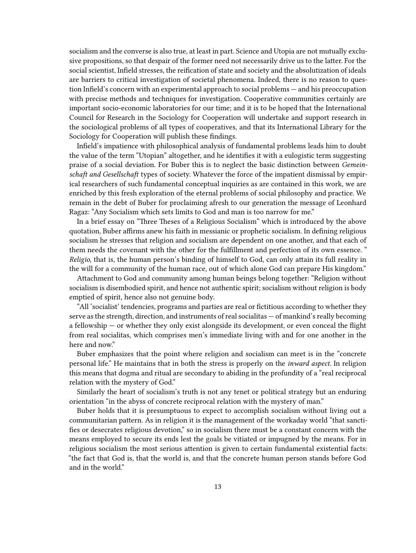socialism and the converse is also true, at least in part. Science and Utopia are not mutually exclusive propositions, so that despair of the former need not necessarily drive us to the latter. For the social scientist, Infield stresses, the reification of state and society and the absolutization of ideals are barriers to critical investigation of societal phenomena. Indeed, there is no reason to question Infield's concern with an experimental approach to social problems — and his preoccupation with precise methods and techniques for investigation. Cooperative communities certainly are important socio-economic laboratories for our time; and it is to be hoped that the International Council for Research in the Sociology for Cooperation will undertake and support research in the sociological problems of all types of cooperatives, and that its International Library for the Sociology for Cooperation will publish these findings.

Infield's impatience with philosophical analysis of fundamental problems leads him to doubt the value of the term "Utopian" altogether, and he identifies it with a eulogistic term suggesting praise of a social deviation. For Buber this is to neglect the basic distinction between *Gemeinschaft and Gesellschaft* types of society. Whatever the force of the impatient dismissal by empirical researchers of such fundamental conceptual inquiries as are contained in this work, we are enriched by this fresh exploration of the eternal problems of social philosophy and practice. We remain in the debt of Buber for proclaiming afresh to our generation the message of Leonhard Ragaz: "Any Socialism which sets limits to God and man is too narrow for me."

In a brief essay on "Three Theses of a Religious Socialism" which is introduced by the above quotation, Buber affirms anew his faith in messianic or prophetic socialism. In defining religious socialism he stresses that religion and socialism are dependent on one another, and that each of them needs the covenant with the other for the fulfillment and perfection of its own essence. " *Religio*, that is, the human person's binding of himself to God, can only attain its full reality in the will for a community of the human race, out of which alone God can prepare His kingdom."

Attachment to God and community among human beings belong together: "Religion without socialism is disembodied spirit, and hence not authentic spirit; socialism without religion is body emptied of spirit, hence also not genuine body.

"All 'socialist' tendencies, programs and parties are real or fictitious according to whether they serve as the strength, direction, and instruments of real socialitas — of mankind's really becoming a fellowship — or whether they only exist alongside its development, or even conceal the flight from real socialitas, which comprises men's immediate living with and for one another in the here and now."

Buber emphasizes that the point where religion and socialism can meet is in the "concrete personal life." He maintains that in both the stress is properly on the *inward aspect*. In religion this means that dogma and ritual are secondary to abiding in the profundity of a "real reciprocal relation with the mystery of God."

Similarly the heart of socialism's truth is not any tenet or political strategy but an enduring orientation "in the abyss of concrete reciprocal relation with the mystery of man."

Buber holds that it is presumptuous to expect to accomplish socialism without living out a communitarian pattern. As in religion it is the management of the workaday world "that sanctifies or desecrates religious devotion," so in socialism there must be a constant concern with the means employed to secure its ends lest the goals be vitiated or impugned by the means. For in religious socialism the most serious attention is given to certain fundamental existential facts: "the fact that God is, that the world is, and that the concrete human person stands before God and in the world."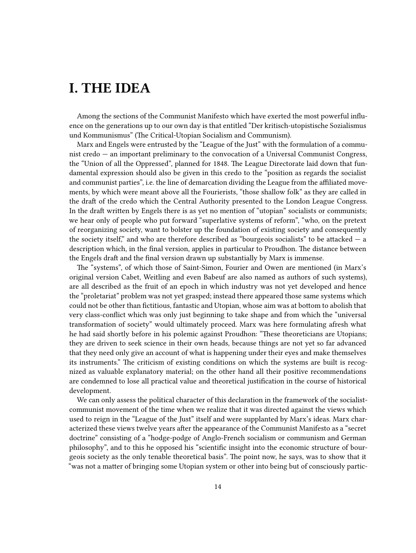# <span id="page-13-0"></span>**I. THE IDEA**

Among the sections of the Communist Manifesto which have exerted the most powerful influence on the generations up to our own day is that entitled "Der kritisch-utopistische Sozialismus und Kommunismus" (The Critical-Utopian Socialism and Communism).

Marx and Engels were entrusted by the "League of the Just" with the formulation of a communist credo — an important preliminary to the convocation of a Universal Communist Congress, the "Union of all the Oppressed", planned for 1848. The League Directorate laid down that fundamental expression should also be given in this credo to the "position as regards the socialist and communist parties", i.e. the line of demarcation dividing the League from the affiliated movements, by which were meant above all the Fourierists, "those shallow folk" as they are called in the draft of the credo which the Central Authority presented to the London League Congress. In the draft written by Engels there is as yet no mention of "utopian" socialists or communists; we hear only of people who put forward "superlative systems of reform", "who, on the pretext of reorganizing society, want to bolster up the foundation of existing society and consequently the society itself," and who are therefore described as "bourgeois socialists" to be attacked  $-$  a description which, in the final version, applies in particular to Proudhon. The distance between the Engels draft and the final version drawn up substantially by Marx is immense.

The "systems", of which those of Saint-Simon, Fourier and Owen are mentioned (in Marx's original version Cabet, Weitling and even Babeuf are also named as authors of such systems), are all described as the fruit of an epoch in which industry was not yet developed and hence the "proletariat" problem was not yet grasped; instead there appeared those same systems which could not be other than fictitious, fantastic and Utopian, whose aim was at bottom to abolish that very class-conflict which was only just beginning to take shape and from which the "universal transformation of society" would ultimately proceed. Marx was here formulating afresh what he had said shortly before in his polemic against Proudhon: "These theoreticians are Utopians; they are driven to seek science in their own heads, because things are not yet so far advanced that they need only give an account of what is happening under their eyes and make themselves its instruments." The criticism of existing conditions on which the systems are built is recognized as valuable explanatory material; on the other hand all their positive recommendations are condemned to lose all practical value and theoretical justification in the course of historical development.

We can only assess the political character of this declaration in the framework of the socialistcommunist movement of the time when we realize that it was directed against the views which used to reign in the "League of the Just" itself and were supplanted by Marx's ideas. Marx characterized these views twelve years after the appearance of the Communist Manifesto as a "secret doctrine" consisting of a "hodge-podge of Anglo-French socialism or communism and German philosophy", and to this he opposed his "scientific insight into the economic structure of bourgeois society as the only tenable theoretical basis". The point now, he says, was to show that it "was not a matter of bringing some Utopian system or other into being but of consciously partic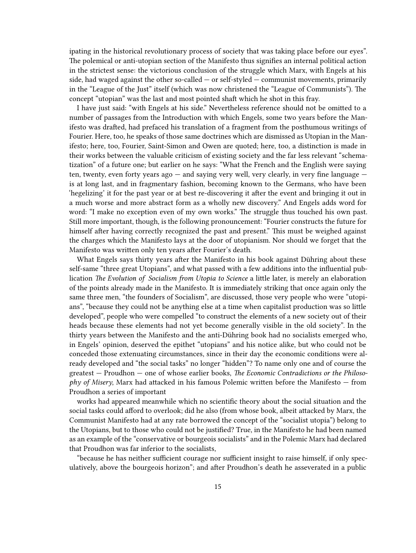ipating in the historical revolutionary process of society that was taking place before our eyes". The polemical or anti-utopian section of the Manifesto thus signifies an internal political action in the strictest sense: the victorious conclusion of the struggle which Marx, with Engels at his side, had waged against the other so-called  $-$  or self-styled  $-$  communist movements, primarily in the "League of the Just" itself (which was now christened the "League of Communists"). The concept "utopian" was the last and most pointed shaft which he shot in this fray.

I have just said: "with Engels at his side." Nevertheless reference should not be omitted to a number of passages from the Introduction with which Engels, some two years before the Manifesto was drafted, had prefaced his translation of a fragment from the posthumous writings of Fourier. Here, too, he speaks of those same doctrines which are dismissed as Utopian in the Manifesto; here, too, Fourier, Saint-Simon and Owen are quoted; here, too, a distinction is made in their works between the valuable criticism of existing society and the far less relevant "schematization" of a future one; but earlier on he says: "What the French and the English were saying ten, twenty, even forty years ago — and saying very well, very clearly, in very fine language is at long last, and in fragmentary fashion, becoming known to the Germans, who have been 'hegelizing' it for the past year or at best re-discovering it after the event and bringing it out in a much worse and more abstract form as a wholly new discovery." And Engels adds word for word: "I make no exception even of my own works." The struggle thus touched his own past. Still more important, though, is the following pronouncement: "Fourier constructs the future for himself after having correctly recognized the past and present." This must be weighed against the charges which the Manifesto lays at the door of utopianism. Nor should we forget that the Manifesto was written only ten years after Fourier's death.

What Engels says thirty years after the Manifesto in his book against Dühring about these self-same "three great Utopians", and what passed with a few additions into the influential publication *The Evolution of Socialism from Utopia to Science* a little later, is merely an elaboration of the points already made in the Manifesto. It is immediately striking that once again only the same three men, "the founders of Socialism", are discussed, those very people who were "utopians", "because they could not be anything else at a time when capitalist production was so little developed", people who were compelled "to construct the elements of a new society out of their heads because these elements had not yet become generally visible in the old society". In the thirty years between the Manifesto and the anti-Dühring book had no socialists emerged who, in Engels' opinion, deserved the epithet "utopians" and his notice alike, but who could not be conceded those extenuating circumstances, since in their day the economic conditions were already developed and "the social tasks" no longer "hidden"? To name only one and of course the greatest — Proudhon — one of whose earlier books, *The Economic Contradictions or the Philosophy of Misery*, Marx had attacked in his famous Polemic written before the Manifesto — from Proudhon a series of important

works had appeared meanwhile which no scientific theory about the social situation and the social tasks could afford to overlook; did he also (from whose book, albeit attacked by Marx, the Communist Manifesto had at any rate borrowed the concept of the "socialist utopia") belong to the Utopians, but to those who could not be justified? True, in the Manifesto he had been named as an example of the "conservative or bourgeois socialists" and in the Polemic Marx had declared that Proudhon was far inferior to the socialists,

"because he has neither sufficient courage nor sufficient insight to raise himself, if only speculatively, above the bourgeois horizon"; and after Proudhon's death he asseverated in a public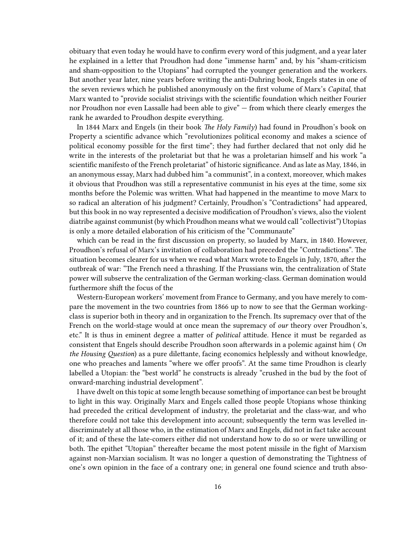obituary that even today he would have to confirm every word of this judgment, and a year later he explained in a letter that Proudhon had done "immense harm" and, by his "sham-criticism and sham-opposition to the Utopians" had corrupted the younger generation and the workers. But another year later, nine years before writing the anti-Duhring book, Engels states in one of the seven reviews which he published anonymously on the first volume of Marx's *Capital*, that Marx wanted to "provide socialist strivings with the scientific foundation which neither Fourier nor Proudhon nor even Lassalle had been able to give" — from which there clearly emerges the rank he awarded to Proudhon despite everything.

In 1844 Marx and Engels (in their book *The Holy Family*) had found in Proudhon's book on Property a scientific advance which "revolutionizes political economy and makes a science of political economy possible for the first time"; they had further declared that not only did he write in the interests of the proletariat but that he was a proletarian himself and his work "a scientific manifesto of the French proletariat" of historic significance. And as late as May, 1846, in an anonymous essay, Marx had dubbed him "a communist", in a context, moreover, which makes it obvious that Proudhon was still a representative communist in his eyes at the time, some six months before the Polemic was written. What had happened in the meantime to move Marx to so radical an alteration of his judgment? Certainly, Proudhon's "Contradictions" had appeared, but this book in no way represented a decisive modification of Proudhon's views, also the violent diatribe against communist (by which Proudhon means what we would call "collectivist") Utopias is only a more detailed elaboration of his criticism of the "Communaute"

which can be read in the first discussion on property, so lauded by Marx, in 1840. However, Proudhon's refusal of Marx's invitation of collaboration had preceded the "Contradictions". The situation becomes clearer for us when we read what Marx wrote to Engels in July, 1870, after the outbreak of war: "The French need a thrashing. If the Prussians win, the centralization of State power will subserve the centralization of the German working-class. German domination would furthermore shift the focus of the

Western-European workers' movement from France to Germany, and you have merely to compare the movement in the two countries from 1866 up to now to see that the German workingclass is superior both in theory and in organization to the French. Its supremacy over that of the French on the world-stage would at once mean the supremacy of *our* theory over Proudhon's, etc." It is thus in eminent degree a matter of *political* attitude. Hence it must be regarded as consistent that Engels should describe Proudhon soon afterwards in a polemic against him ( *On the Housing Question*) as a pure dilettante, facing economics helplessly and without knowledge, one who preaches and laments "where we offer proofs". At the same time Proudhon is clearly labelled a Utopian: the "best world" he constructs is already "crushed in the bud by the foot of onward-marching industrial development".

I have dwelt on this topic at some length because something of importance can best be brought to light in this way. Originally Marx and Engels called those people Utopians whose thinking had preceded the critical development of industry, the proletariat and the class-war, and who therefore could not take this development into account; subsequently the term was levelled indiscriminately at all those who, in the estimation of Marx and Engels, did not in fact take account of it; and of these the late-comers either did not understand how to do so or were unwilling or both. The epithet "Utopian" thereafter became the most potent missile in the fight of Marxism against non-Marxian socialism. It was no longer a question of demonstrating the Tightness of one's own opinion in the face of a contrary one; in general one found science and truth abso-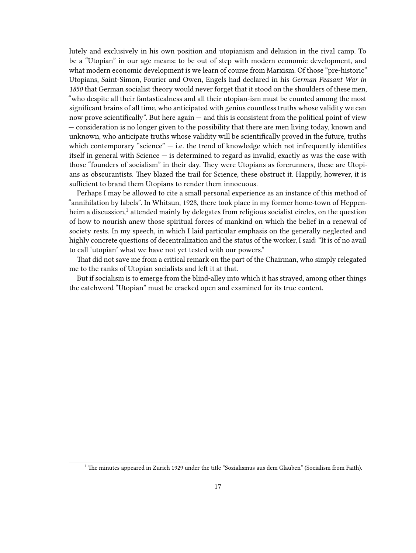lutely and exclusively in his own position and utopianism and delusion in the rival camp. To be a "Utopian" in our age means: to be out of step with modern economic development, and what modern economic development is we learn of course from Marxism. Of those "pre-historic" Utopians, Saint-Simon, Fourier and Owen, Engels had declared in his *German Peasant War in 1850* that German socialist theory would never forget that it stood on the shoulders of these men, "who despite all their fantasticalness and all their utopian-ism must be counted among the most significant brains of all time, who anticipated with genius countless truths whose validity we can now prove scientifically". But here again — and this is consistent from the political point of view — consideration is no longer given to the possibility that there are men living today, known and unknown, who anticipate truths whose validity will be scientifically proved in the future, truths which contemporary "science"  $-$  i.e. the trend of knowledge which not infrequently identifies itself in general with Science — is determined to regard as invalid, exactly as was the case with those "founders of socialism" in their day. They were Utopians as forerunners, these are Utopians as obscurantists. They blazed the trail for Science, these obstruct it. Happily, however, it is sufficient to brand them Utopians to render them innocuous.

Perhaps I may be allowed to cite a small personal experience as an instance of this method of "annihilation by labels". In Whitsun, 1928, there took place in my former home-town of Heppenheim a discussion, $^1$  attended mainly by delegates from religious socialist circles, on the question of how to nourish anew those spiritual forces of mankind on which the belief in a renewal of society rests. In my speech, in which I laid particular emphasis on the generally neglected and highly concrete questions of decentralization and the status of the worker, I said: "It is of no avail to call 'utopian' what we have not yet tested with our powers."

That did not save me from a critical remark on the part of the Chairman, who simply relegated me to the ranks of Utopian socialists and left it at that.

But if socialism is to emerge from the blind-alley into which it has strayed, among other things the catchword "Utopian" must be cracked open and examined for its true content.

<sup>1</sup> The minutes appeared in Zurich 1929 under the title "Sozialismus aus dem Glauben" (Socialism from Faith).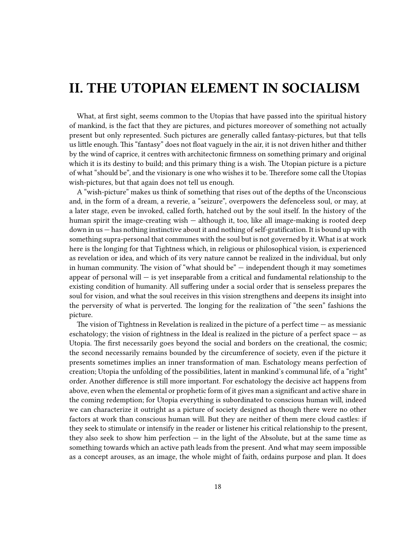# <span id="page-17-0"></span>**II. THE UTOPIAN ELEMENT IN SOCIALISM**

What, at first sight, seems common to the Utopias that have passed into the spiritual history of mankind, is the fact that they are pictures, and pictures moreover of something not actually present but only represented. Such pictures are generally called fantasy-pictures, but that tells us little enough. This "fantasy" does not float vaguely in the air, it is not driven hither and thither by the wind of caprice, it centres with architectonic firmness on something primary and original which it is its destiny to build; and this primary thing is a wish. The Utopian picture is a picture of what "should be", and the visionary is one who wishes it to be. Therefore some call the Utopias wish-pictures, but that again does not tell us enough.

A "wish-picture" makes us think of something that rises out of the depths of the Unconscious and, in the form of a dream, a reverie, a "seizure", overpowers the defenceless soul, or may, at a later stage, even be invoked, called forth, hatched out by the soul itself. In the history of the human spirit the image-creating wish — although it, too, like all image-making is rooted deep down in us — has nothing instinctive about it and nothing of self-gratification. It is bound up with something supra-personal that communes with the soul but is not governed by it. What is at work here is the longing for that Tightness which, in religious or philosophical vision, is experienced as revelation or idea, and which of its very nature cannot be realized in the individual, but only in human community. The vision of "what should be" — independent though it may sometimes appear of personal will  $-$  is yet inseparable from a critical and fundamental relationship to the existing condition of humanity. All suffering under a social order that is senseless prepares the soul for vision, and what the soul receives in this vision strengthens and deepens its insight into the perversity of what is perverted. The longing for the realization of "the seen" fashions the picture.

The vision of Tightness in Revelation is realized in the picture of a perfect time  $-$  as messianic eschatology; the vision of rightness in the Ideal is realized in the picture of a perfect space  $-$  as Utopia. The first necessarily goes beyond the social and borders on the creational, the cosmic; the second necessarily remains bounded by the circumference of society, even if the picture it presents sometimes implies an inner transformation of man. Eschatology means perfection of creation; Utopia the unfolding of the possibilities, latent in mankind's communal life, of a "right" order. Another difference is still more important. For eschatology the decisive act happens from above, even when the elemental or prophetic form of it gives man a significant and active share in the coming redemption; for Utopia everything is subordinated to conscious human will, indeed we can characterize it outright as a picture of society designed as though there were no other factors at work than conscious human will. But they are neither of them mere cloud castles: if they seek to stimulate or intensify in the reader or listener his critical relationship to the present, they also seek to show him perfection — in the light of the Absolute, but at the same time as something towards which an active path leads from the present. And what may seem impossible as a concept arouses, as an image, the whole might of faith, ordains purpose and plan. It does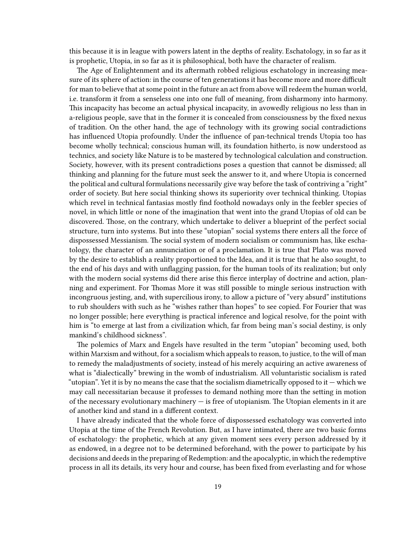this because it is in league with powers latent in the depths of reality. Eschatology, in so far as it is prophetic, Utopia, in so far as it is philosophical, both have the character of realism.

The Age of Enlightenment and its aftermath robbed religious eschatology in increasing measure of its sphere of action: in the course of ten generations it has become more and more difficult for man to believe that at some point in the future an act from above will redeem the human world, i.e. transform it from a senseless one into one full of meaning, from disharmony into harmony. This incapacity has become an actual physical incapacity, in avowedly religious no less than in a-religious people, save that in the former it is concealed from consciousness by the fixed nexus of tradition. On the other hand, the age of technology with its growing social contradictions has influenced Utopia profoundly. Under the influence of pan-technical trends Utopia too has become wholly technical; conscious human will, its foundation hitherto, is now understood as technics, and society like Nature is to be mastered by technological calculation and construction. Society, however, with its present contradictions poses a question that cannot be dismissed; all thinking and planning for the future must seek the answer to it, and where Utopia is concerned the political and cultural formulations necessarily give way before the task of contriving a "right" order of society. But here social thinking shows its superiority over technical thinking. Utopias which revel in technical fantasias mostly find foothold nowadays only in the feebler species of novel, in which little or none of the imagination that went into the grand Utopias of old can be discovered. Those, on the contrary, which undertake to deliver a blueprint of the perfect social structure, turn into systems. But into these "utopian" social systems there enters all the force of dispossessed Messianism. The social system of modern socialism or communism has, like eschatology, the character of an annunciation or of a proclamation. It is true that Plato was moved by the desire to establish a reality proportioned to the Idea, and it is true that he also sought, to the end of his days and with unflagging passion, for the human tools of its realization; but only with the modern social systems did there arise this fierce interplay of doctrine and action, planning and experiment. For Thomas More it was still possible to mingle serious instruction with incongruous jesting, and, with supercilious irony, to allow a picture of "very absurd" institutions to rub shoulders with such as he "wishes rather than hopes" to see copied. For Fourier that was no longer possible; here everything is practical inference and logical resolve, for the point with him is "to emerge at last from a civilization which, far from being man's social destiny, is only mankind's childhood sickness".

The polemics of Marx and Engels have resulted in the term "utopian" becoming used, both within Marxism and without, for a socialism which appeals to reason, to justice, to the will of man to remedy the maladjustments of society, instead of his merely acquiring an active awareness of what is "dialectically" brewing in the womb of industrialism. All voluntaristic socialism is rated "utopian". Yet it is by no means the case that the socialism diametrically opposed to it — which we may call necessitarian because it professes to demand nothing more than the setting in motion of the necessary evolutionary machinery — is free of utopianism. The Utopian elements in it are of another kind and stand in a different context.

I have already indicated that the whole force of dispossessed eschatology was converted into Utopia at the time of the French Revolution. But, as I have intimated, there are two basic forms of eschatology: the prophetic, which at any given moment sees every person addressed by it as endowed, in a degree not to be determined beforehand, with the power to participate by his decisions and deeds in the preparing of Redemption: and the apocalyptic, in which the redemptive process in all its details, its very hour and course, has been fixed from everlasting and for whose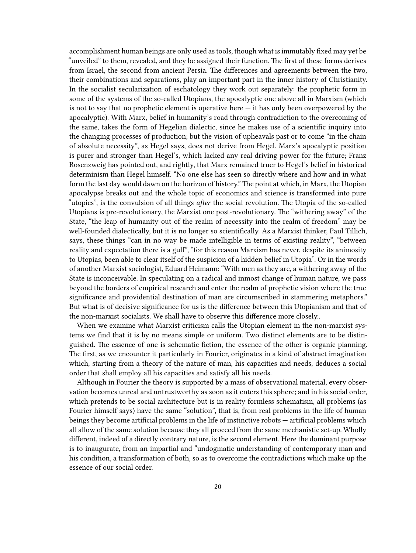accomplishment human beings are only used as tools, though what is immutably fixed may yet be "unveiled" to them, revealed, and they be assigned their function. The first of these forms derives from Israel, the second from ancient Persia. The differences and agreements between the two, their combinations and separations, play an important part in the inner history of Christianity. In the socialist secularization of eschatology they work out separately: the prophetic form in some of the systems of the so-called Utopians, the apocalyptic one above all in Marxism (which is not to say that no prophetic element is operative here  $-$  it has only been overpowered by the apocalyptic). With Marx, belief in humanity's road through contradiction to the overcoming of the same, takes the form of Hegelian dialectic, since he makes use of a scientific inquiry into the changing processes of production; but the vision of upheavals past or to come "in the chain of absolute necessity", as Hegel says, does not derive from Hegel. Marx's apocalyptic position is purer and stronger than Hegel's, which lacked any real driving power for the future; Franz Rosenzweig has pointed out, and rightly, that Marx remained truer to Hegel's belief in historical determinism than Hegel himself. "No one else has seen so directly where and how and in what form the last day would dawn on the horizon of history." The point at which, in Marx, the Utopian apocalypse breaks out and the whole topic of economics and science is transformed into pure "utopics", is the convulsion of all things *after* the social revolution. The Utopia of the so-called Utopians is pre-revolutionary, the Marxist one post-revolutionary. The "withering away" of the State, "the leap of humanity out of the realm of necessity into the realm of freedom" may be well-founded dialectically, but it is no longer so scientifically. As a Marxist thinker, Paul Tillich, says, these things "can in no way be made intelligible in terms of existing reality", "between reality and expectation there is a gulf", "for this reason Marxism has never, despite its animosity to Utopias, been able to clear itself of the suspicion of a hidden belief in Utopia". Or in the words of another Marxist sociologist, Eduard Heimann: "With men as they are, a withering away of the State is inconceivable. In speculating on a radical and inmost change of human nature, we pass beyond the borders of empirical research and enter the realm of prophetic vision where the true significance and providential destination of man are circumscribed in stammering metaphors." But what is of decisive significance for us is the difference between this Utopianism and that of the non-marxist socialists. We shall have to observe this difference more closely..

When we examine what Marxist criticism calls the Utopian element in the non-marxist systems we find that it is by no means simple or uniform. Two distinct elements are to be distinguished. The essence of one is schematic fiction, the essence of the other is organic planning. The first, as we encounter it particularly in Fourier, originates in a kind of abstract imagination which, starting from a theory of the nature of man, his capacities and needs, deduces a social order that shall employ all his capacities and satisfy all his needs.

Although in Fourier the theory is supported by a mass of observational material, every observation becomes unreal and untrustworthy as soon as it enters this sphere; and in his social order, which pretends to be social architecture but is in reality formless schematism, all problems (as Fourier himself says) have the same "solution", that is, from real problems in the life of human beings they become artificial problems in the life of instinctive robots — artificial problems which all allow of the same solution because they all proceed from the same mechanistic set-up. Wholly different, indeed of a directly contrary nature, is the second element. Here the dominant purpose is to inaugurate, from an impartial and "undogmatic understanding of contemporary man and his condition, a transformation of both, so as to overcome the contradictions which make up the essence of our social order.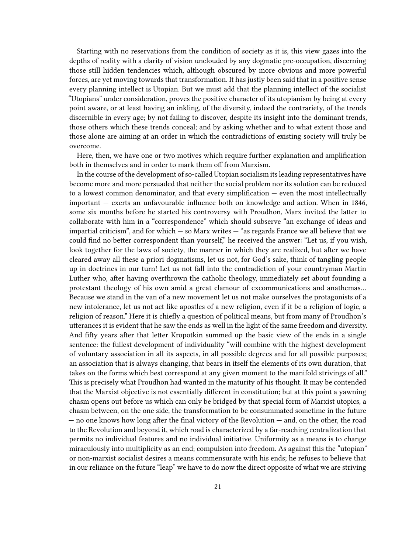Starting with no reservations from the condition of society as it is, this view gazes into the depths of reality with a clarity of vision unclouded by any dogmatic pre-occupation, discerning those still hidden tendencies which, although obscured by more obvious and more powerful forces, are yet moving towards that transformation. It has justly been said that in a positive sense every planning intellect is Utopian. But we must add that the planning intellect of the socialist "Utopians" under consideration, proves the positive character of its utopianism by being at every point aware, or at least having an inkling, of the diversity, indeed the contrariety, of the trends discernible in every age; by not failing to discover, despite its insight into the dominant trends, those others which these trends conceal; and by asking whether and to what extent those and those alone are aiming at an order in which the contradictions of existing society will truly be overcome.

Here, then, we have one or two motives which require further explanation and amplification both in themselves and in order to mark them off from Marxism.

In the course of the development of so-called Utopian socialism its leading representatives have become more and more persuaded that neither the social problem nor its solution can be reduced to a lowest common denominator, and that every simplification — even the most intellectually important — exerts an unfavourable influence both on knowledge and action. When in 1846, some six months before he started his controversy with Proudhon, Marx invited the latter to collaborate with him in a "correspondence" which should subserve "an exchange of ideas and impartial criticism", and for which — so Marx writes — "as regards France we all believe that we could find no better correspondent than yourself," he received the answer: "Let us, if you wish, look together for the laws of society, the manner in which they are realized, but after we have cleared away all these a priori dogmatisms, let us not, for God's sake, think of tangling people up in doctrines in our turn! Let us not fall into the contradiction of your countryman Martin Luther who, after having overthrown the catholic theology, immediately set about founding a protestant theology of his own amid a great clamour of excommunications and anathemas… Because we stand in the van of a new movement let us not make ourselves the protagonists of a new intolerance, let us not act like apostles of a new religion, even if it be a religion of logic, a religion of reason." Here it is chiefly a question of political means, but from many of Proudhon's utterances it is evident that he saw the ends as well in the light of the same freedom and diversity. And fifty years after that letter Kropotkin summed up the basic view of the ends in a single sentence: the fullest development of individuality "will combine with the highest development of voluntary association in all its aspects, in all possible degrees and for all possible purposes; an association that is always changing, that bears in itself the elements of its own duration, that takes on the forms which best correspond at any given moment to the manifold strivings of all." This is precisely what Proudhon had wanted in the maturity of his thought. It may be contended that the Marxist objective is not essentially different in constitution; but at this point a yawning chasm opens out before us which can only be bridged by that special form of Marxist utopics, a chasm between, on the one side, the transformation to be consummated sometime in the future — no one knows how long after the final victory of the Revolution — and, on the other, the road to the Revolution and beyond it, which road is characterized by a far-reaching centralization that permits no individual features and no individual initiative. Uniformity as a means is to change miraculously into multiplicity as an end; compulsion into freedom. As against this the "utopian" or non-marxist socialist desires a means commensurate with his ends; he refuses to believe that in our reliance on the future "leap" we have to do now the direct opposite of what we are striving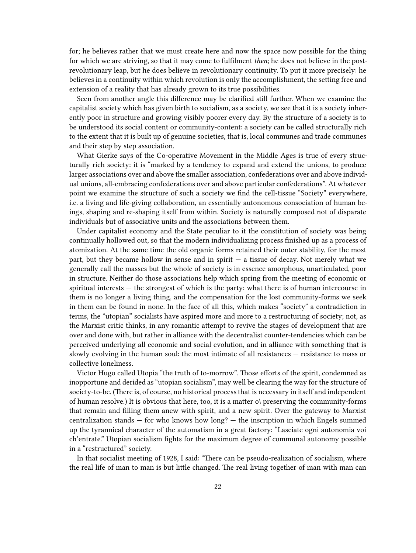for; he believes rather that we must create here and now the space now possible for the thing for which we are striving, so that it may come to fulfilment *then*; he does not believe in the postrevolutionary leap, but he does believe in revolutionary continuity. To put it more precisely: he believes in a continuity within which revolution is only the accomplishment, the setting free and extension of a reality that has already grown to its true possibilities.

Seen from another angle this difference may be clarified still further. When we examine the capitalist society which has given birth to socialism, as a society, we see that it is a society inherently poor in structure and growing visibly poorer every day. By the structure of a society is to be understood its social content or community-content: a society can be called structurally rich to the extent that it is built up of genuine societies, that is, local communes and trade communes and their step by step association.

What Gierke says of the Co-operative Movement in the Middle Ages is true of every structurally rich society: it is "marked by a tendency to expand and extend the unions, to produce larger associations over and above the smaller association, confederations over and above individual unions, all-embracing confederations over and above particular confederations". At whatever point we examine the structure of such a society we find the cell-tissue "Society" everywhere, i.e. a living and life-giving collaboration, an essentially autonomous consociation of human beings, shaping and re-shaping itself from within. Society is naturally composed not of disparate individuals but of associative units and the associations between them.

Under capitalist economy and the State peculiar to it the constitution of society was being continually hollowed out, so that the modern individualizing process finished up as a process of atomization. At the same time the old organic forms retained their outer stability, for the most part, but they became hollow in sense and in spirit  $-$  a tissue of decay. Not merely what we generally call the masses but the whole of society is in essence amorphous, unarticulated, poor in structure. Neither do those associations help which spring from the meeting of economic or spiritual interests — the strongest of which is the party: what there is of human intercourse in them is no longer a living thing, and the compensation for the lost community-forms we seek in them can be found in none. In the face of all this, which makes "society" a contradiction in terms, the "utopian" socialists have aspired more and more to a restructuring of society; not, as the Marxist critic thinks, in any romantic attempt to revive the stages of development that are over and done with, but rather in alliance with the decentralist counter-tendencies which can be perceived underlying all economic and social evolution, and in alliance with something that is slowly evolving in the human soul: the most intimate of all resistances — resistance to mass or collective loneliness.

Victor Hugo called Utopia "the truth of to-morrow". Those efforts of the spirit, condemned as inopportune and derided as "utopian socialism", may well be clearing the way for the structure of society-to-be. (There is, of course, no historical process that is necessary in itself and independent of human resolve.) It is obvious that here, too, it is a matter  $\circ$  preserving the community-forms that remain and filling them anew with spirit, and a new spirit. Over the gateway to Marxist centralization stands — for who knows how long? — the inscription in which Engels summed up the tyrannical character of the automatism in a great factory: "Lasciate ogni autonomia voi ch'entrate." Utopian socialism fights for the maximum degree of communal autonomy possible in a "restructured" society.

In that socialist meeting of 1928, I said: "There can be pseudo-realization of socialism, where the real life of man to man is but little changed. The real living together of man with man can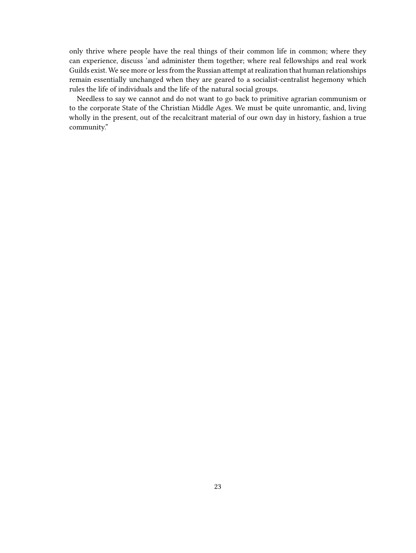only thrive where people have the real things of their common life in common; where they can experience, discuss 'and administer them together; where real fellowships and real work Guilds exist. We see more or less from the Russian attempt at realization that human relationships remain essentially unchanged when they are geared to a socialist-centralist hegemony which rules the life of individuals and the life of the natural social groups.

Needless to say we cannot and do not want to go back to primitive agrarian communism or to the corporate State of the Christian Middle Ages. We must be quite unromantic, and, living wholly in the present, out of the recalcitrant material of our own day in history, fashion a true community."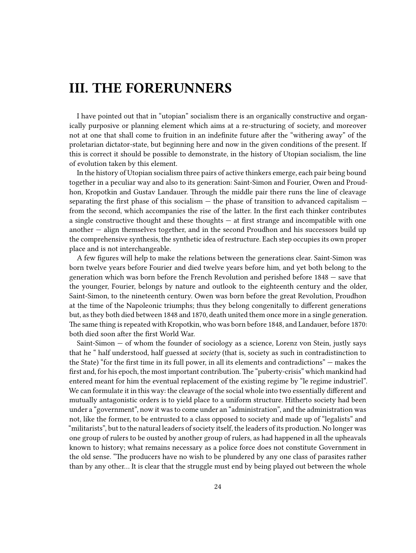### <span id="page-23-0"></span>**III. THE FORERUNNERS**

I have pointed out that in "utopian" socialism there is an organically constructive and organically purposive or planning element which aims at a re-structuring of society, and moreover not at one that shall come to fruition in an indefinite future after the "withering away" of the proletarian dictator-state, but beginning here and now in the given conditions of the present. If this is correct it should be possible to demonstrate, in the history of Utopian socialism, the line of evolution taken by this element.

In the history of Utopian socialism three pairs of active thinkers emerge, each pair being bound together in a peculiar way and also to its generation: Saint-Simon and Fourier, Owen and Proudhon, Kropotkin and Gustav Landauer. Through the middle pair there runs the line of cleavage separating the first phase of this socialism  $-$  the phase of transition to advanced capitalism  $$ from the second, which accompanies the rise of the latter. In the first each thinker contributes a single constructive thought and these thoughts  $-$  at first strange and incompatible with one another — align themselves together, and in the second Proudhon and his successors build up the comprehensive synthesis, the synthetic idea of restructure. Each step occupies its own proper place and is not interchangeable.

A few figures will help to make the relations between the generations clear. Saint-Simon was born twelve years before Fourier and died twelve years before him, and yet both belong to the generation which was born before the French Revolution and perished before 1848 — save that the younger, Fourier, belongs by nature and outlook to the eighteenth century and the older, Saint-Simon, to the nineteenth century. Owen was born before the great Revolution, Proudhon at the time of the Napoleonic triumphs; thus they belong congenitally to different generations but, as they both died between 1848 and 1870, death united them once more in a single generation. The same thing is repeated with Kropotkin, who was born before 1848, and Landauer, before 1870: both died soon after the first World War.

Saint-Simon — of whom the founder of sociology as a science, Lorenz von Stein, justly says that he " half understood, half guessed at *society* (that is, society as such in contradistinction to the State) "for the first time in its full power, in all its elements and contradictions" — makes the first and, for his epoch, the most important contribution. The "puberty-crisis" which mankind had entered meant for him the eventual replacement of the existing regime by "le regime industriel". We can formulate it in this way: the cleavage of the social whole into two essentially different and mutually antagonistic orders is to yield place to a uniform structure. Hitherto society had been under a "government", now it was to come under an "administration", and the administration was not, like the former, to be entrusted to a class opposed to society and made up of "legalists" and "militarists", but to the natural leaders of society itself, the leaders of its production. No longer was one group of rulers to be ousted by another group of rulers, as had happened in all the upheavals known to history; what remains necessary as a police force does not constitute Government in the old sense. "The producers have no wish to be plundered by any one class of parasites rather than by any other… It is clear that the struggle must end by being played out between the whole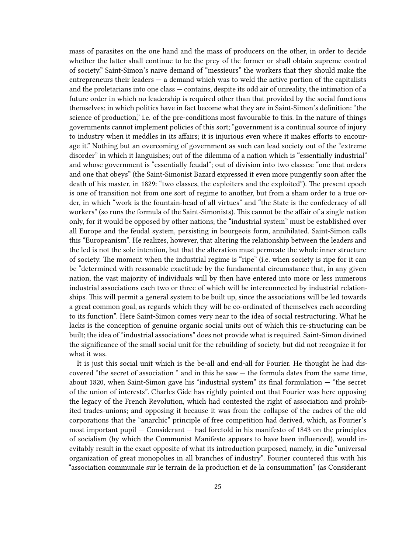mass of parasites on the one hand and the mass of producers on the other, in order to decide whether the latter shall continue to be the prey of the former or shall obtain supreme control of society." Saint-Simon's naive demand of "messieurs" the workers that they should make the entrepreneurs their leaders — a demand which was to weld the active portion of the capitalists and the proletarians into one class — contains, despite its odd air of unreality, the intimation of a future order in which no leadership is required other than that provided by the social functions themselves; in which politics have in fact become what they are in Saint-Simon's definition: "the science of production," i.e. of the pre-conditions most favourable to this. In the nature of things governments cannot implement policies of this sort; "government is a continual source of injury to industry when it meddles in its affairs; it is injurious even where it makes efforts to encourage it." Nothing but an overcoming of government as such can lead society out of the "extreme disorder" in which it languishes; out of the dilemma of a nation which is "essentially industrial" and whose government is "essentially feudal"; out of division into two classes: "one that orders and one that obeys" (the Saint-Simonist Bazard expressed it even more pungently soon after the death of his master, in 1829: "two classes, the exploiters and the exploited"). The present epoch is one of transition not from one sort of regime to another, but from a sham order to a true order, in which "work is the fountain-head of all virtues" and "the State is the confederacy of all workers" (so runs the formula of the Saint-Simonists). This cannot be the affair of a single nation only, for it would be opposed by other nations; the "industrial system" must be established over all Europe and the feudal system, persisting in bourgeois form, annihilated. Saint-Simon calls this "Europeanism". He realizes, however, that altering the relationship between the leaders and the led is not the sole intention, but that the alteration must permeate the whole inner structure of society. The moment when the industrial regime is "ripe" (i.e. when society is ripe for it can be "determined with reasonable exactitude by the fundamental circumstance that, in any given nation, the vast majority of individuals will by then have entered into more or less numerous industrial associations each two or three of which will be interconnected by industrial relationships. This will permit a general system to be built up, since the associations will be led towards a great common goal, as regards which they will be co-ordinated of themselves each according to its function". Here Saint-Simon comes very near to the idea of social restructuring. What he lacks is the conception of genuine organic social units out of which this re-structuring can be built; the idea of "industrial associations" does not provide what is required. Saint-Simon divined the significance of the small social unit for the rebuilding of society, but did not recognize it for what it was.

It is just this social unit which is the be-all and end-all for Fourier. He thought he had discovered "the secret of association " and in this he saw — the formula dates from the same time, about 1820, when Saint-Simon gave his "industrial system" its final formulation — "the secret of the union of interests". Charles Gide has rightly pointed out that Fourier was here opposing the legacy of the French Revolution, which had contested the right of association and prohibited trades-unions; and opposing it because it was from the collapse of the cadres of the old corporations that the "anarchic" principle of free competition had derived, which, as Fourier's most important pupil  $-$  Considerant  $-$  had foretold in his manifesto of 1843 on the principles of socialism (by which the Communist Manifesto appears to have been influenced), would inevitably result in the exact opposite of what its introduction purposed, namely, in die "universal organization of great monopolies in all branches of industry". Fourier countered this with his "association communale sur le terrain de la production et de la consummation" (as Considerant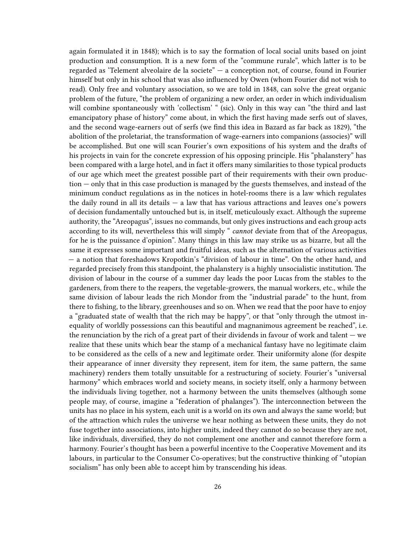again formulated it in 1848); which is to say the formation of local social units based on joint production and consumption. It is a new form of the "commune rurale", which latter is to be regarded as 'Telement alveolaire de la societe" — a conception not, of course, found in Fourier himself but only in his school that was also influenced by Owen (whom Fourier did not wish to read). Only free and voluntary association, so we are told in 1848, can solve the great organic problem of the future, "the problem of organizing a new order, an order in which individualism will combine spontaneously with 'collectism' " (sic). Only in this way can "the third and last emancipatory phase of history" come about, in which the first having made serfs out of slaves, and the second wage-earners out of serfs (we find this idea in Bazard as far back as 1829), "the abolition of the proletariat, the transformation of wage-earners into companions (associes)" will be accomplished. But one will scan Fourier's own expositions of his system and the drafts of his projects in vain for the concrete expression of his opposing principle. His "phalanstery" has been compared with a large hotel, and in fact it offers many similarities to those typical products of our age which meet the greatest possible part of their requirements with their own production — only that in this case production is managed by the guests themselves, and instead of the minimum conduct regulations as in the notices in hotel-rooms there is a law which regulates the daily round in all its details — a law that has various attractions and leaves one's powers of decision fundamentally untouched but is, in itself, meticulously exact. Although the supreme authority, the "Areopagus", issues no commands, but only gives instructions and each group acts according to its will, nevertheless this will simply " *cannot* deviate from that of the Areopagus, for he is the puissance d'opinion". Many things in this law may strike us as bizarre, but all the same it expresses some important and fruitful ideas, such as the alternation of various activities — a notion that foreshadows Kropotkin's "division of labour in time". On the other hand, and regarded precisely from this standpoint, the phalanstery is a highly unsocialistic institution. The division of labour in the course of a summer day leads the poor Lucas from the stables to the gardeners, from there to the reapers, the vegetable-growers, the manual workers, etc., while the same division of labour leads the rich Mondor from the "industrial parade" to the hunt, from there to fishing, to the library, greenhouses and so on. When we read that the poor have to enjoy a "graduated state of wealth that the rich may be happy", or that "only through the utmost inequality of worldly possessions can this beautiful and magnanimous agreement be reached", i.e. the renunciation by the rich of a great part of their dividends in favour of work and talent  $-$  we realize that these units which bear the stamp of a mechanical fantasy have no legitimate claim to be considered as the cells of a new and legitimate order. Their uniformity alone (for despite their appearance of inner diversity they represent, item for item, the same pattern, the same machinery) renders them totally unsuitable for a restructuring of society. Fourier's "universal harmony" which embraces world and society means, in society itself, only a harmony between the individuals living together, not a harmony between the units themselves (although some people may, of course, imagine a "federation of phalanges"). The interconnection between the units has no place in his system, each unit is a world on its own and always the same world; but of the attraction which rules the universe we hear nothing as between these units, they do not fuse together into associations, into higher units, indeed they cannot do so because they are not, like individuals, diversified, they do not complement one another and cannot therefore form a harmony. Fourier's thought has been a powerful incentive to the Cooperative Movement and its labours, in particular to the Consumer Co-operatives; but the constructive thinking of "utopian socialism" has only been able to accept him by transcending his ideas.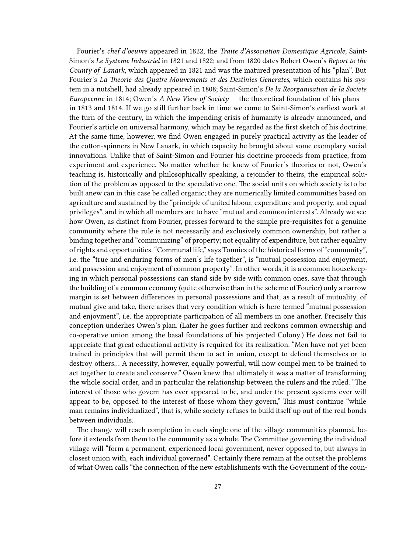Fourier's *chef d'oeuvre* appeared in 1822, the *Traite d'Association Domestique Agricole*; Saint-Simon's *Le Systeme Industriel* in 1821 and 1822; and from 1820 dates Robert Owen's *Report to the County of Lanark*, which appeared in 1821 and was the matured presentation of his "plan". But Fourier's *La Theorie des Quatre Mouvements et des Destinies Generates*, which contains his system in a nutshell, had already appeared in 1808; Saint-Simon's *De la Reorganisation de la Societe Europeenne* in 1814; Owen's *A New View of Society* — the theoretical foundation of his plans in 1813 and 1814. If we go still further back in time we come to Saint-Simon's earliest work at the turn of the century, in which the impending crisis of humanity is already announced, and Fourier's article on universal harmony, which may be regarded as the first sketch of his doctrine. At the same time, however, we find Owen engaged in purely practical activity as the leader of the cotton-spinners in New Lanark, in which capacity he brought about some exemplary social innovations. Unlike that of Saint-Simon and Fourier his doctrine proceeds from practice, from experiment and experience. No matter whether he knew of Fourier's theories or not, Owen's teaching is, historically and philosophically speaking, a rejoinder to theirs, the empirical solution of the problem as opposed to the speculative one. The social units on which society is to be built anew can in this case be called organic; they are numerically limited communities based on agriculture and sustained by the "principle of united labour, expenditure and property, and equal privileges", and in which all members are to have "mutual and common interests". Already we see how Owen, as distinct from Fourier, presses forward to the simple pre-requisites for a genuine community where the rule is not necessarily and exclusively common ownership, but rather a binding together and "communizing" of property; not equality of expenditure, but rather equality of rights and opportunities. "Communal life," says Tonnies of the historical forms of "community", i.e. the "true and enduring forms of men's life together", is "mutual possession and enjoyment, and possession and enjoyment of common property". In other words, it is a common housekeeping in which personal possessions can stand side by side with common ones, save that through the building of a common economy (quite otherwise than in the scheme of Fourier) only a narrow margin is set between differences in personal possessions and that, as a result of mutuality, of mutual give and take, there arises that very condition which is here termed "mutual possession and enjoyment", i.e. the appropriate participation of all members in one another. Precisely this conception underlies Owen's plan. (Later he goes further and reckons common ownership and co-operative union among the basal foundations of his projected Colony.) He does not fail to appreciate that great educational activity is required for its realization. "Men have not yet been trained in principles that will permit them to act in union, except to defend themselves or to destroy others… A necessity, however, equally powerful, will now compel men to be trained to act together to create and conserve." Owen knew that ultimately it was a matter of transforming the whole social order, and in particular the relationship between the rulers and the ruled. "The interest of those who govern has ever appeared to be, and under the present systems ever will appear to be, opposed to the interest of those whom they govern," This must continue "while man remains individualized", that is, while society refuses to build itself up out of the real bonds between individuals.

The change will reach completion in each single one of the village communities planned, before it extends from them to the community as a whole. The Committee governing the individual village will "form a permanent, experienced local government, never opposed to, but always in closest union with, each individual governed". Certainly there remain at the outset the problems of what Owen calls "the connection of the new establishments with the Government of the coun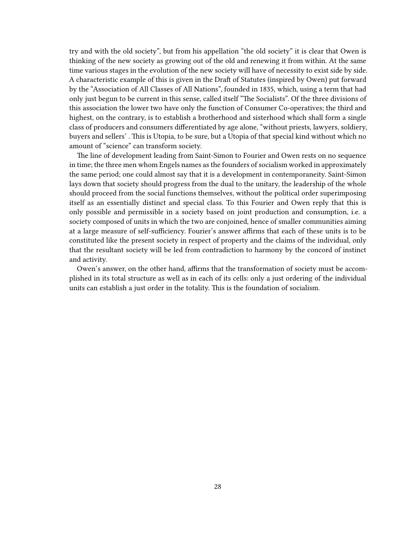try and with the old society", but from his appellation "the old society" it is clear that Owen is thinking of the new society as growing out of the old and renewing it from within. At the same time various stages in the evolution of the new society will have of necessity to exist side by side. A characteristic example of this is given in the Draft of Statutes (inspired by Owen) put forward by the "Association of All Classes of All Nations", founded in 1835, which, using a term that had only just begun to be current in this sense, called itself "The Socialists". Of the three divisions of this association the lower two have only the function of Consumer Co-operatives; the third and highest, on the contrary, is to establish a brotherhood and sisterhood which shall form a single class of producers and consumers differentiated by age alone, "without priests, lawyers, soldiery, buyers and sellers' . This is Utopia, to be sure, but a Utopia of that special kind without which no amount of "science" can transform society.

The line of development leading from Saint-Simon to Fourier and Owen rests on no sequence in time; the three men whom Engels names as the founders of socialism worked in approximately the same period; one could almost say that it is a development in contemporaneity. Saint-Simon lays down that society should progress from the dual to the unitary, the leadership of the whole should proceed from the social functions themselves, without the political order superimposing itself as an essentially distinct and special class. To this Fourier and Owen reply that this is only possible and permissible in a society based on joint production and consumption, i.e. a society composed of units in which the two are conjoined, hence of smaller communities aiming at a large measure of self-sufficiency. Fourier's answer affirms that each of these units is to be constituted like the present society in respect of property and the claims of the individual, only that the resultant society will be led from contradiction to harmony by the concord of instinct and activity.

Owen's answer, on the other hand, affirms that the transformation of society must be accomplished in its total structure as well as in each of its cells: only a just ordering of the individual units can establish a just order in the totality. This is the foundation of socialism.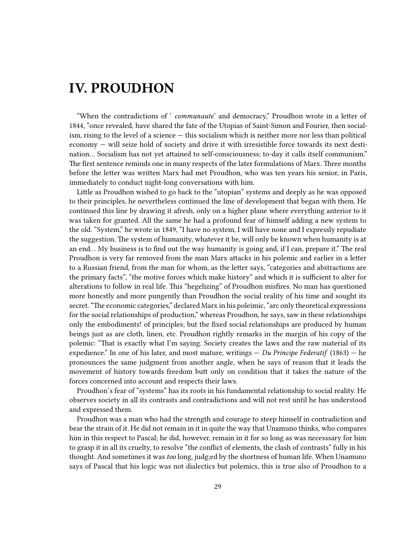## <span id="page-28-0"></span>**IV. PROUDHON**

"When the contradictions of ' *communaute*' and democracy," Proudhon wrote in a letter of 1844, "once revealed, have shared the fate of the Utopias of Saint-Simon and Fourier, then socialism, rising to the level of a science — this socialism which is neither more nor less than political economy — will seize hold of society and drive it with irresistible force towards its next destination… Socialism has not yet attained to self-consciousness; to-day it calls itself communism." The first sentence reminds one in many respects of the later formulations of Marx. Three months before the letter was written Marx had met Proudhon, who was ten years his senior, in Paris, immediately to conduct night-long conversations with him.

Little as Proudhon wished to go back to the "utopian" systems and deeply as he was opposed to their principles, he nevertheless continued the line of development that began with them. He continued this line by drawing it afresh, only on a higher plane where everything anterior to it was taken for granted. All the same he had a profound fear of himself adding a new system to the old. "System," he wrote in 1849, "I have no system, I will have none and I expressly repudiate the suggestion. The system of humanity, whatever it be, will only be known when humanity is at an end… My business is to find out the way humanity is going and, if I can, prepare it." The real Proudhon is very far removed from the man Marx attacks in his polemic and earlier in a letter to a Russian friend, from the man for whom, as the letter says, "categories and abstractions are the primary facts", "the motive forces which make history" and which it is sufficient to alter for alterations to follow in real life. This "hegelizing" of Proudhon misfires. No man has questioned more honestly and more pungently than Proudhon the social reality of his time and sought its secret. "The economic categories," declared Marx in his poleimic, "arc only theoretical expressions for the social relationships of production," whereas Proudhon, he says, saw in these relationships only the embodiments! of principles; but the fixed social relationships are produced by human beings just as are cloth, linen, etc. Proudhon rightly remarks in the margin of his copy of the polemic: "That is exactly what I'm saying. Society creates the laws and the raw material of its expedience." In one of his later, and most mature, writings — *Du Principe Federatif* (1863) — he pronounces the same judgment from another angle, when he says of reason that it leads the movement of history towards freedom butt only on condition that it takes the nature of the forces concerned into account and respects their laws.

Proudhon's fear of "systems" has its roots in his fundamental relationship to social reality. He observes society in all its contrasts and contradictions and will not rest until he has understood and expressed them.

Proudhon was a man who had the strength and courage to steep himself in contradiction and bear the strain of it. He did not remain in it in quite the way that Unamuno thinks, who compares him in this respect to Pascal; he did, however, remain in it for so long as was necesssary for him to grasp it in all its cruelty, to resolve "the conflict of elements, the clash of contrasts" fully in his thought. And sometimes it was *too* long, judg;ed by the shortness of human life. When Unamuno says of Pascal that his logic was not dialectics but polemics, this is true also of Proudhon to a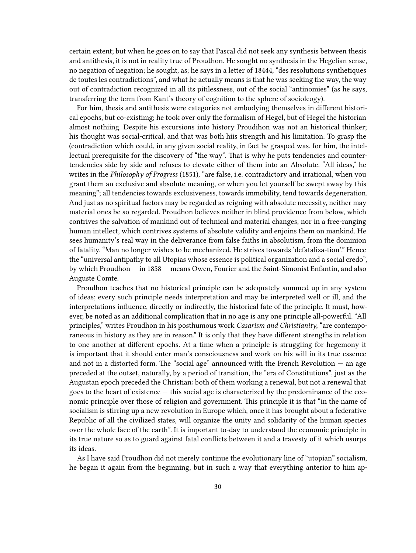certain extent; but when he goes on to say that Pascal did not seek any synthesis between thesis and antithesis, it is not in reality true of Proudhon. He sought no synthesis in the Hegelian sense, no negation of negation; he sought, as; he says in a letter of 18444, "des resolutions synthetiques de toutes les contradictions", and what he actually means is that he was seeking the way, the way out of contradiction recognized in all its pitilessness, out of the social "antinomies" (as he says, transferring the term from Kant's theory of cognition to the sphere of sociolcogy).

For him, thesis and antithesis were categories not embodying themselves in different historical epochs, but co-existimg; he took over only the formalism of Hegel, but of Hegel the historian almost nothiing. Despite his excursions into history Proudihon was not an historical thinker; his thought was social-critical, and that was both hiis strength and his limitation. To grasp the (contradiction which could, in any given social reality, in fact be grasped was, for him, the intellectual prerequisite for the discovery of "the way". That is why he puts tendencies and countertendencies side by side and refuses to elevate either of them into an Absolute. "All ideas," he writes in the *Philosophy of Progress* (1851), "are false, i.e. contradictory and irrational, when you grant them an exclusive and absolute meaning, or when you let yourself be swept away by this meaning"; all tendencies towards exclusiveness, towards immobility, tend towards degeneration. And just as no spiritual factors may be regarded as reigning with absolute necessity, neither may material ones be so regarded. Proudhon believes neither in blind providence from below, which contrives the salvation of mankind out of technical and material changes, nor in a free-ranging human intellect, which contrives systems of absolute validity and enjoins them on mankind. He sees humanity's real way in the deliverance from false faiths in absolutism, from the dominion of fatality. "Man no longer wishes to be mechanized. He strives towards 'defataliza-tion'." Hence the "universal antipathy to all Utopias whose essence is political organization and a social credo", by which Proudhon — in 1858 — means Owen, Fourier and the Saint-Simonist Enfantin, and also Auguste Comte.

Proudhon teaches that no historical principle can be adequately summed up in any system of ideas; every such principle needs interpretation and may be interpreted well or ill, and the interpretations influence, directly or indirectly, the historical fate of the principle. It must, however, be noted as an additional complication that in no age is any one principle all-powerful. "All principles," writes Proudhon in his posthumous work *Casarism and Christianity*, "are contemporaneous in history as they are in reason." It is only that they have different strengths in relation to one another at different epochs. At a time when a principle is struggling for hegemony it is important that it should enter man's consciousness and work on his will in its true essence and not in a distorted form. The "social age" announced with the French Revolution — an age preceded at the outset, naturally, by a period of transition, the "era of Constitutions", just as the Augustan epoch preceded the Christian: both of them working a renewal, but not a renewal that goes to the heart of existence — this social age is characterized by the predominance of the economic principle over those of religion and government. This principle it is that "in the name of socialism is stirring up a new revolution in Europe which, once it has brought about a federative Republic of all the civilized states, will organize the unity and solidarity of the human species over the whole face of the earth". It is important to-day to understand the economic principle in its true nature so as to guard against fatal conflicts between it and a travesty of it which usurps its ideas.

As I have said Proudhon did not merely continue the evolutionary line of "utopian" socialism, he began it again from the beginning, but in such a way that everything anterior to him ap-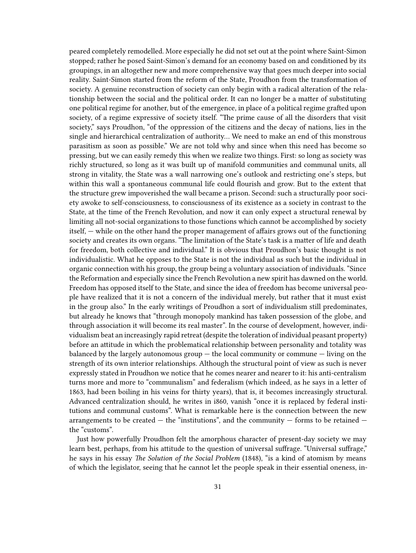peared completely remodelled. More especially he did not set out at the point where Saint-Simon stopped; rather he posed Saint-Simon's demand for an economy based on and conditioned by its groupings, in an altogether new and more comprehensive way that goes much deeper into social reality. Saint-Simon started from the reform of the State, Proudhon from the transformation of society. A genuine reconstruction of society can only begin with a radical alteration of the relationship between the social and the political order. It can no longer be a matter of substituting one political regime for another, but of the emergence, in place of a political regime grafted upon society, of a regime expressive of society itself. "The prime cause of all the disorders that visit society," says Proudhon, "of the oppression of the citizens and the decay of nations, lies in the single and hierarchical centralization of authority… We need to make an end of this monstrous parasitism as soon as possible." We are not told why and since when this need has become so pressing, but we can easily remedy this when we realize two things. First: so long as society was richly structured, so long as it was built up of manifold communities and communal units, all strong in vitality, the State was a wall narrowing one's outlook and restricting one's steps, but within this wall a spontaneous communal life could flourish and grow. But to the extent that the structure grew impoverished the wall became a prison. Second: such a structurally poor society awoke to self-consciousness, to consciousness of its existence as a society in contrast to the State, at the time of the French Revolution, and now it can only expect a structural renewal by limiting all not-social organizations to those functions which cannot be accomplished by society itself, — while on the other hand the proper management of affairs grows out of the functioning society and creates its own organs. "The limitation of the State's task is a matter of life and death for freedom, both collective and individual." It is obvious that Proudhon's basic thought is not individualistic. What he opposes to the State is not the individual as such but the individual in organic connection with his group, the group being a voluntary association of individuals. "Since the Reformation and especially since the French Revolution a new spirit has dawned on the world. Freedom has opposed itself to the State, and since the idea of freedom has become universal people have realized that it is not a concern of the individual merely, but rather that it must exist in the group also." In the early writings of Proudhon a sort of individualism still predominates, but already he knows that "through monopoly mankind has taken possession of the globe, and through association it will become its real master". In the course of development, however, individualism beat an increasingly rapid retreat (despite the toleration of individual peasant property) before an attitude in which the problematical relationship between personality and totality was balanced by the largely autonomous group  $-$  the local community or commune  $-$  living on the strength of its own interior relationships. Although the structural point of view as such is never expressly stated in Proudhon we notice that he comes nearer and nearer to it: his anti-centralism turns more and more to "communalism" and federalism (which indeed, as he says in a letter of 1863, had been boiling in his veins for thirty years), that is, it becomes increasingly structural. Advanced centralization should, he writes in i860, vanish "once it is replaced by federal institutions and communal customs". What is remarkable here is the connection between the new arrangements to be created — the "institutions", and the community — forms to be retained the "customs".

Just how powerfully Proudhon felt the amorphous character of present-day society we may learn best, perhaps, from his attitude to the question of universal suffrage. "Universal suffrage," he says in his essay *The Solution of the Social Problem* (1848), "is a kind of atomism by means of which the legislator, seeing that he cannot let the people speak in their essential oneness, in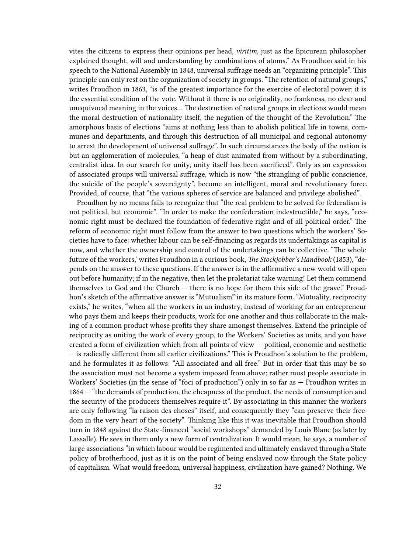vites the citizens to express their opinions per head, *viritim*, just as the Epicurean philosopher explained thought, will and understanding by combinations of atoms." As Proudhon said in his speech to the National Assembly in 1848, universal suffrage needs an "organizing principle". This principle can only rest on the organization of society in groups. "The retention of natural groups," writes Proudhon in 1863, "is of the greatest importance for the exercise of electoral power; it is the essential condition of the vote. Without it there is no originality, no frankness, no clear and unequivocal meaning in the voices… The destruction of natural groups in elections would mean the moral destruction of nationality itself, the negation of the thought of the Revolution." The amorphous basis of elections "aims at nothing less than to abolish political life in towns, communes and departments, and through this destruction of all municipal and regional autonomy to arrest the development of universal suffrage". In such circumstances the body of the nation is but an agglomeration of molecules, "a heap of dust animated from without by a subordinating, centralist idea. In our search for unity, unity itself has been sacrificed". Only as an expression of associated groups will universal suffrage, which is now "the strangling of public conscience, the suicide of the people's sovereignty", become an intelligent, moral and revolutionary force. Provided, of course, that "the various spheres of service are balanced and privilege abolished".

Proudhon by no means fails to recognize that "the real problem to be solved for federalism is not political, but economic". "In order to make the confederation indestructible," he says, "economic right must be declared the foundation of federative right and of all political order." The reform of economic right must follow from the answer to two questions which the workers' Societies have to face: whether labour can be self-financing as regards its undertakings as capital is now, and whether the ownership and control of the undertakings can be collective. "The whole future of the workers,' writes Proudhon in a curious book, *The Stockjobber's Handbook* (1853), "depends on the answer to these questions. If the answer is in the affirmative a new world will open out before humanity; if in the negative, then let the proletariat take warning! Let them commend themselves to God and the Church — there is no hope for them this side of the grave." Proudhon's sketch of the affirmative answer is "Mutualism" in its mature form. "Mutuality, reciprocity exists," he writes, "when all the workers in an industry, instead of working for an entrepreneur who pays them and keeps their products, work for one another and thus collaborate in the making of a common product whose profits they share amongst themselves. Extend the principle of reciprocity as uniting the work of every group, to the Workers' Societies as units, and you have created a form of civilization which from all points of view — political, economic and aesthetic — is radically different from all earlier civilizations." This is Proudhon's solution to the problem, and he formulates it as follows: "All associated and all free." But in order that this may be so the association must not become a system imposed from above; rather must people associate in Workers' Societies (in the sense of "foci of production") only in so far as — Proudhon writes in 1864 — "the demands of production, the cheapness of the product, the needs of consumption and the security of the producers themselves require it". By associating in this manner the workers are only following "la raison des choses" itself, and consequently they "can preserve their freedom in the very heart of the society". Thinking like this it was inevitable that Proudhon should turn in 1848 against the State-financed "social workshops" demanded by Louis Blanc (as later by Lassalle). He sees in them only a new form of centralization. It would mean, he says, a number of large associations "in which labour would be regimented and ultimately enslaved through a State policy of brotherhood, just as it is on the point of being enslaved now through the State policy of capitalism. What would freedom, universal happiness, civilization have gained? Nothing. We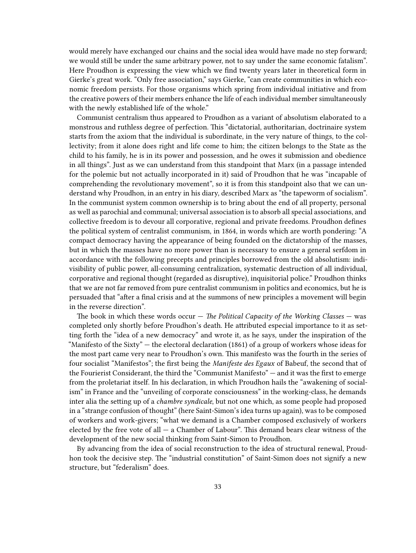would merely have exchanged our chains and the social idea would have made no step forward; we would still be under the same arbitrary power, not to say under the same economic fatalism". Here Proudhon is expressing the view which we find twenty years later in theoretical form in Gierke's great work. "Only free association," says Gierke, "can create communities in which economic freedom persists. For those organisms which spring from individual initiative and from the creative powers of their members enhance the life of each individual member simultaneously with the newly established life of the whole."

Communist centralism thus appeared to Proudhon as a variant of absolutism elaborated to a monstrous and ruthless degree of perfection. This "dictatorial, authoritarian, doctrinaire system starts from the axiom that the individual is subordinate, in the very nature of things, to the collectivity; from it alone does right and life come to him; the citizen belongs to the State as the child to his family, he is in its power and possession, and he owes it submission and obedience in all things". Just as we can understand from this standpoint that Marx (in a passage intended for the polemic but not actually incorporated in it) said of Proudhon that he was "incapable of comprehending the revolutionary movement", so it is from this standpoint also that we can understand why Proudhon, in an entry in his diary, described Marx as "the tapeworm of socialism". In the communist system common ownership is to bring about the end of all property, personal as well as parochial and communal; universal association is to absorb all special associations, and collective freedom is to devour all corporative, regional and private freedoms. Proudhon defines the political system of centralist communism, in 1864, in words which are worth pondering: "A compact democracy having the appearance of being founded on the dictatorship of the masses, but in which the masses have no more power than is necessary to ensure a general serfdom in accordance with the following precepts and principles borrowed from the old absolutism: indivisibility of public power, all-consuming centralization, systematic destruction of all individual, corporative and regional thought (regarded as disruptive), inquisitorial police." Proudhon thinks that we are not far removed from pure centralist communism in politics and economics, but he is persuaded that "after a final crisis and at the summons of new principles a movement will begin in the reverse direction".

The book in which these words occur — *The Political Capacity of the Working Classes* — was completed only shortly before Proudhon's death. He attributed especial importance to it as setting forth the "idea of a new democracy" and wrote it, as he says, under the inspiration of the "Manifesto of the Sixty" — the electoral declaration (1861) of a group of workers whose ideas for the most part came very near to Proudhon's own. This manifesto was the fourth in the series of four socialist "Manifestos"; the first being the *Manifeste des Egaux* of Babeuf, the second that of the Fourierist Considerant, the third the "Communist Manifesto" — and it was the first to emerge from the proletariat itself. In his declaration, in which Proudhon hails the "awakening of socialism" in France and the "unveiling of corporate consciousness" in the working-class, he demands inter alia the setting up of a *chambre syndicale*, but not one which, as some people had proposed in a "strange confusion of thought" (here Saint-Simon's idea turns up again), was to be composed of workers and work-givers; "what we demand is a Chamber composed exclusively of workers elected by the free vote of all  $-$  a Chamber of Labour". This demand bears clear witness of the development of the new social thinking from Saint-Simon to Proudhon.

By advancing from the idea of social reconstruction to the idea of structural renewal, Proudhon took the decisive step. The "industrial constitution" of Saint-Simon does not signify a new structure, but "federalism" does.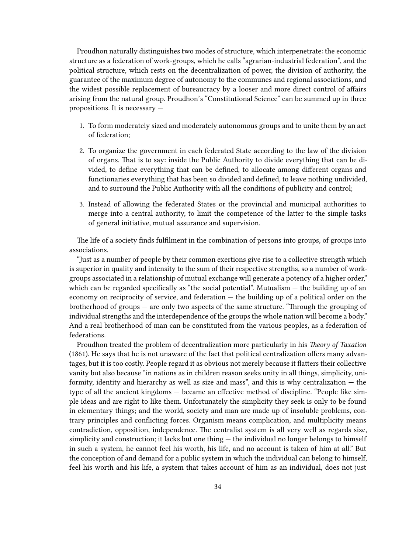Proudhon naturally distinguishes two modes of structure, which interpenetrate: the economic structure as a federation of work-groups, which he calls "agrarian-industrial federation", and the political structure, which rests on the decentralization of power, the division of authority, the guarantee of the maximum degree of autonomy to the communes and regional associations, and the widest possible replacement of bureaucracy by a looser and more direct control of affairs arising from the natural group. Proudhon's "Constitutional Science" can be summed up in three propositions. It is necessary —

- 1. To form moderately sized and moderately autonomous groups and to unite them by an act of federation;
- 2. To organize the government in each federated State according to the law of the division of organs. That is to say: inside the Public Authority to divide everything that can be divided, to define everything that can be defined, to allocate among different organs and functionaries everything that has been so divided and defined, to leave nothing undivided, and to surround the Public Authority with all the conditions of publicity and control;
- 3. Instead of allowing the federated States or the provincial and municipal authorities to merge into a central authority, to limit the competence of the latter to the simple tasks of general initiative, mutual assurance and supervision.

The life of a society finds fulfilment in the combination of persons into groups, of groups into associations.

"Just as a number of people by their common exertions give rise to a collective strength which is superior in quality and intensity to the sum of their respective strengths, so a number of workgroups associated in a relationship of mutual exchange will generate a potency of a higher order," which can be regarded specifically as "the social potential". Mutualism — the building up of an economy on reciprocity of service, and federation — the building up of a political order on the brotherhood of groups — are only two aspects of the same structure. "Through the grouping of individual strengths and the interdependence of the groups the whole nation will become a body." And a real brotherhood of man can be constituted from the various peoples, as a federation of federations.

Proudhon treated the problem of decentralization more particularly in his *Theory of Taxation* (1861). He says that he is not unaware of the fact that political centralization offers many advantages, but it is too costly. People regard it as obvious not merely because it flatters their collective vanity but also because "in nations as in children reason seeks unity in all things, simplicity, uniformity, identity and hierarchy as well as size and mass", and this is why centralization — the type of all the ancient kingdoms — became an effective method of discipline. "People like simple ideas and are right to like them. Unfortunately the simplicity they seek is only to be found in elementary things; and the world, society and man are made up of insoluble problems, contrary principles and conflicting forces. Organism means complication, and multiplicity means contradiction, opposition, independence. The centralist system is all very well as regards size, simplicity and construction; it lacks but one thing — the individual no longer belongs to himself in such a system, he cannot feel his worth, his life, and no account is taken of him at all." But the conception of and demand for a public system in which the individual can belong to himself, feel his worth and his life, a system that takes account of him as an individual, does not just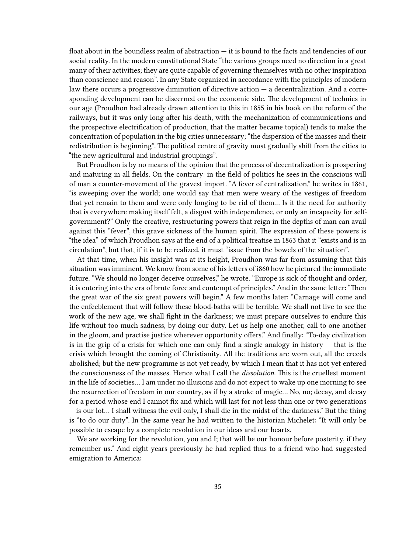float about in the boundless realm of abstraction  $-$  it is bound to the facts and tendencies of our social reality. In the modern constitutional State "the various groups need no direction in a great many of their activities; they are quite capable of governing themselves with no other inspiration than conscience and reason". In any State organized in accordance with the principles of modern law there occurs a progressive diminution of directive action — a decentralization. And a corresponding development can be discerned on the economic side. The development of technics in our age (Proudhon had already drawn attention to this in 1855 in his book on the reform of the railways, but it was only long after his death, with the mechanization of communications and the prospective electrification of production, that the matter became topical) tends to make the concentration of population in the big cities unnecessary; "the dispersion of the masses and their redistribution is beginning". The political centre of gravity must gradually shift from the cities to "the new agricultural and industrial groupings".

But Proudhon is by no means of the opinion that the process of decentralization is prospering and maturing in all fields. On the contrary: in the field of politics he sees in the conscious will of man a counter-movement of the gravest import. "A fever of centralization," he writes in 1861, "is sweeping over the world; one would say that men were weary of the vestiges of freedom that yet remain to them and were only longing to be rid of them… Is it the need for authority that is everywhere making itself felt, a disgust with independence, or only an incapacity for selfgovernment?" Only the creative, restructuring powers that reign in the depths of man can avail against this "fever", this grave sickness of the human spirit. The expression of these powers is "the idea" of which Proudhon says at the end of a political treatise in 1863 that it "exists and is in circulation", but that, if it is to be realized, it must "issue from the bowels of the situation".

At that time, when his insight was at its height, Proudhon was far from assuming that this situation was imminent. We know from some of his letters of i860 how he pictured the immediate future. "We should no longer deceive ourselves," he wrote. "Europe is sick of thought and order; it is entering into the era of brute force and contempt of principles." And in the same letter: "Then the great war of the six great powers will begin." A few months later: "Carnage will come and the enfeeblement that will follow these blood-baths will be terrible. We shall not live to see the work of the new age, we shall fight in the darkness; we must prepare ourselves to endure this life without too much sadness, by doing our duty. Let us help one another, call to one another in the gloom, and practise justice wherever opportunity offers." And finally: "To-day civilization is in the grip of a crisis for which one can only find a single analogy in history  $-$  that is the crisis which brought the coming of Christianity. All the traditions are worn out, all the creeds abolished; but the new programme is not yet ready, by which I mean that it has not yet entered the consciousness of the masses. Hence what I call the *dissolution*. This is the cruellest moment in the life of societies… I am under no illusions and do not expect to wake up one morning to see the resurrection of freedom in our country, as if by a stroke of magic… No, no; decay, and decay for a period whose end I cannot fix and which will last for not less than one or two generations — is our lot… I shall witness the evil only, I shall die in the midst of the darkness." But the thing is "to do our duty". In the same year he had written to the historian Michelet: "It will only be possible to escape by a complete revolution in our ideas and our hearts.

We are working for the revolution, you and I; that will be our honour before posterity, if they remember us." And eight years previously he had replied thus to a friend who had suggested emigration to America: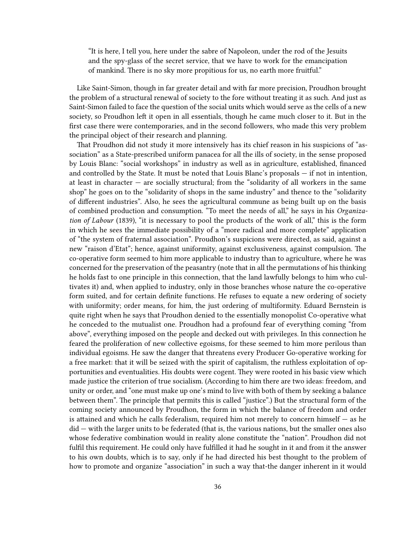"It is here, I tell you, here under the sabre of Napoleon, under the rod of the Jesuits and the spy-glass of the secret service, that we have to work for the emancipation of mankind. There is no sky more propitious for us, no earth more fruitful."

Like Saint-Simon, though in far greater detail and with far more precision, Proudhon brought the problem of a structural renewal of society to the fore without treating it as such. And just as Saint-Simon failed to face the question of the social units which would serve as the cells of a new society, so Proudhon left it open in all essentials, though he came much closer to it. But in the first case there were contemporaries, and in the second followers, who made this very problem the principal object of their research and planning.

That Proudhon did not study it more intensively has its chief reason in his suspicions of "association" as a State-prescribed uniform panacea for all the ills of society, in the sense proposed by Louis Blanc: "social workshops" in industry as well as in agriculture, established, financed and controlled by the State. It must be noted that Louis Blanc's proposals — if not in intention, at least in character — are socially structural; from the "solidarity of all workers in the same shop" he goes on to the "solidarity of shops in the same industry" and thence to the "solidarity of different industries". Also, he sees the agricultural commune as being built up on the basis of combined production and consumption. "To meet the needs of all," he says in his *Organization of Labour* (1839), "it is necessary to pool the products of the work of all," this is the form in which he sees the immediate possibility of a "more radical and more complete" application of "the system of fraternal association". Proudhon's suspicions were directed, as said, against a new "raison d'Etat"; hence, against uniformity, against exclusiveness, against compulsion. The co-operative form seemed to him more applicable to industry than to agriculture, where he was concerned for the preservation of the peasantry (note that in all the permutations of his thinking he holds fast to one principle in this connection, that the land lawfully belongs to him who cultivates it) and, when applied to industry, only in those branches whose nature the co-operative form suited, and for certain definite functions. He refuses to equate a new ordering of society with uniformity; order means, for him, the just ordering of multiformity. Eduard Bernstein is quite right when he says that Proudhon denied to the essentially monopolist Co-operative what he conceded to the mutualist one. Proudhon had a profound fear of everything coming "from above", everything imposed on the people and decked out with privileges. In this connection he feared the proliferation of new collective egoisms, for these seemed to him more perilous than individual egoisms. He saw the danger that threatens every Producer Go-operative working for a free market: that it will be seized with the spirit of capitalism, the ruthless exploitation of opportunities and eventualities. His doubts were cogent. They were rooted in his basic view which made justice the criterion of true socialism. (According to him there are two ideas: freedom, and unity or order, and "one must make up one's mind to live with both of them by seeking a balance between them". The principle that permits this is called "justice".) But the structural form of the coming society announced by Proudhon, the form in which the balance of freedom and order is attained and which he calls federalism, required him not merely to concern himself  $-$  as he did — with the larger units to be federated (that is, the various nations, but the smaller ones also whose federative combination would in reality alone constitute the "nation". Proudhon did not fulfil this requirement. He could only have fulfilled it had he sought in it and from it the answer to his own doubts, which is to say, only if he had directed his best thought to the problem of how to promote and organize "association" in such a way that-the danger inherent in it would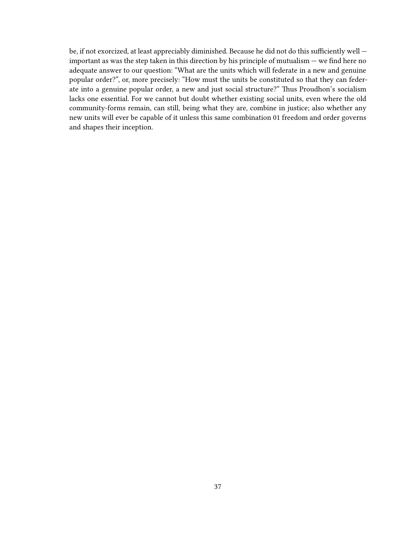be, if not exorcized, at least appreciably diminished. Because he did not do this sufficiently well important as was the step taken in this direction by his principle of mutualism — we find here no adequate answer to our question: "What are the units which will federate in a new and genuine popular order?", or, more precisely: "How must the units be constituted so that they can federate into a genuine popular order, a new and just social structure?" Thus Proudhon's socialism lacks one essential. For we cannot but doubt whether existing social units, even where the old community-forms remain, can still, being what they are, combine in justice; also whether any new units will ever be capable of it unless this same combination 01 freedom and order governs and shapes their inception.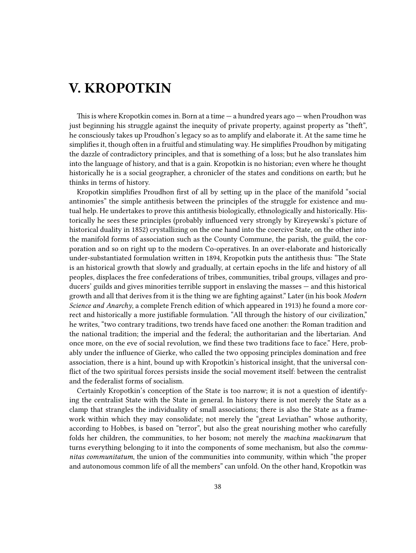## **V. KROPOTKIN**

This is where Kropotkin comes in. Born at a time — a hundred years ago — when Proudhon was just beginning his struggle against the inequity of private property, against property as "theft", he consciously takes up Proudhon's legacy so as to amplify and elaborate it. At the same time he simplifies it, though often in a fruitful and stimulating way. He simplifies Proudhon by mitigating the dazzle of contradictory principles, and that is something of a loss; but he also translates him into the language of history, and that is a gain. Kropotkin is no historian; even where he thought historically he is a social geographer, a chronicler of the states and conditions on earth; but he thinks in terms of history.

Kropotkin simplifies Proudhon first of all by setting up in the place of the manifold "social antinomies" the simple antithesis between the principles of the struggle for existence and mutual help. He undertakes to prove this antithesis biologically, ethnologically and historically. Historically he sees these principles (probably influenced very strongly by Kireyewski's picture of historical duality in 1852) crystallizing on the one hand into the coercive State, on the other into the manifold forms of association such as the County Commune, the parish, the guild, the corporation and so on right up to the modern Co-operatives. In an over-elaborate and historically under-substantiated formulation written in 1894, Kropotkin puts the antithesis thus: "The State is an historical growth that slowly and gradually, at certain epochs in the life and history of all peoples, displaces the free confederations of tribes, communities, tribal groups, villages and producers' guilds and gives minorities terrible support in enslaving the masses — and this historical growth and all that derives from it is the thing we are fighting against." Later (in his book *Modern Science and Anarchy*, a complete French edition of which appeared in 1913) he found a more correct and historically a more justifiable formulation. "All through the history of our civilization," he writes, "two contrary traditions, two trends have faced one another: the Roman tradition and the national tradition; the imperial and the federal; the authoritarian and the libertarian. And once more, on the eve of social revolution, we find these two traditions face to face." Here, probably under the influence of Gierke, who called the two opposing principles domination and free association, there is a hint, bound up with Kropotkin's historical insight, that the universal conflict of the two spiritual forces persists inside the social movement itself: between the centralist and the federalist forms of socialism.

Certainly Kropotkin's conception of the State is too narrow; it is not a question of identifying the centralist State with the State in general. In history there is not merely the State as a clamp that strangles the individuality of small associations; there is also the State as a framework within which they may consolidate; not merely the "great Leviathan" whose authority, according to Hobbes, is based on "terror", but also the great nourishing mother who carefully folds her children, the communities, to her bosom; not merely the *machina mackinarum* that turns everything belonging to it into the components of some mechanism, but also the *communitas communitatum*, the union of the communities into community, within which "the proper and autonomous common life of all the members" can unfold. On the other hand, Kropotkin was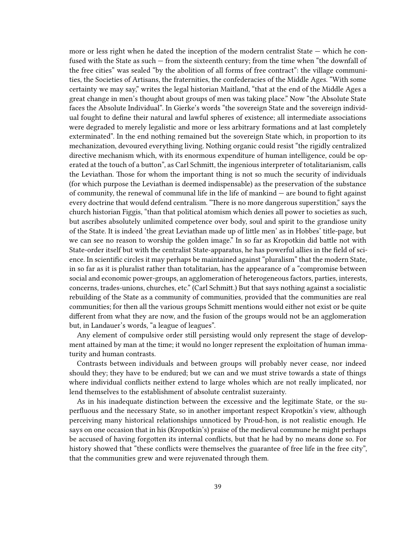more or less right when he dated the inception of the modern centralist State — which he confused with the State as such — from the sixteenth century; from the time when "the downfall of the free cities" was sealed "by the abolition of all forms of free contract": the village communities, the Societies of Artisans, the fraternities, the confederacies of the Middle Ages. "With some certainty we may say," writes the legal historian Maitland, "that at the end of the Middle Ages a great change in men's thought about groups of men was taking place." Now "the Absolute State faces the Absolute Individual". In Gierke's words "the sovereign State and the sovereign individual fought to define their natural and lawful spheres of existence; all intermediate associations were degraded to merely legalistic and more or less arbitrary formations and at last completely exterminated". In the end nothing remained but the sovereign State which, in proportion to its mechanization, devoured everything living. Nothing organic could resist "the rigidly centralized directive mechanism which, with its enormous expenditure of human intelligence, could be operated at the touch of a button", as Carl Schmitt, the ingenious interpreter of totalitarianism, calls the Leviathan. Those for whom the important thing is not so much the security of individuals (for which purpose the Leviathan is deemed indispensable) as the preservation of the substance of community, the renewal of communal life in the life of mankind — are bound to fight against every doctrine that would defend centralism. "There is no more dangerous superstition," says the church historian Figgis, "than that political atomism which denies all power to societies as such, but ascribes absolutely unlimited competence over body, soul and spirit to the grandiose unity of the State. It is indeed 'the great Leviathan made up of little men' as in Hobbes' title-page, but we can see no reason to worship the golden image." In so far as Kropotkin did battle not with State-order itself but with the centralist State-apparatus, he has powerful allies in the field of science. In scientific circles it may perhaps be maintained against "pluralism" that the modern State, in so far as it is pluralist rather than totalitarian, has the appearance of a "compromise between social and economic power-groups, an agglomeration of heterogeneous factors, parties, interests, concerns, trades-unions, churches, etc." (Carl Schmitt.) But that says nothing against a socialistic rebuilding of the State as a community of communities, provided that the communities are real communities; for then all the various groups Schmitt mentions would either not exist or be quite different from what they are now, and the fusion of the groups would not be an agglomeration but, in Landauer's words, "a league of leagues".

Any element of compulsive order still persisting would only represent the stage of development attained by man at the time; it would no longer represent the exploitation of human immaturity and human contrasts.

Contrasts between individuals and between groups will probably never cease, nor indeed should they; they have to be endured; but we can and we must strive towards a state of things where individual conflicts neither extend to large wholes which are not really implicated, nor lend themselves to the establishment of absolute centralist suzerainty.

As in his inadequate distinction between the excessive and the legitimate State, or the superfluous and the necessary State, so in another important respect Kropotkin's view, although perceiving many historical relationships unnoticed by Proud-hon, is not realistic enough. He says on one occasion that in his (Kropotkin's) praise of the medieval commune he might perhaps be accused of having forgotten its internal conflicts, but that he had by no means done so. For history showed that "these conflicts were themselves the guarantee of free life in the free city", that the communities grew and were rejuvenated through them.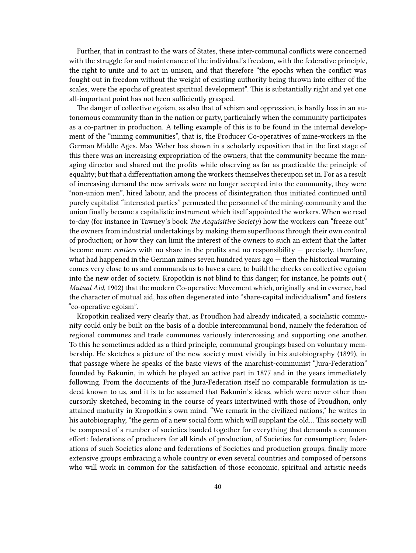Further, that in contrast to the wars of States, these inter-communal conflicts were concerned with the struggle for and maintenance of the individual's freedom, with the federative principle, the right to unite and to act in unison, and that therefore "the epochs when the conflict was fought out in freedom without the weight of existing authority being thrown into either of the scales, were the epochs of greatest spiritual development". This is substantially right and yet one all-important point has not been sufficiently grasped.

The danger of collective egoism, as also that of schism and oppression, is hardly less in an autonomous community than in the nation or party, particularly when the community participates as a co-partner in production. A telling example of this is to be found in the internal development of the "mining communities", that is, the Producer Co-operatives of mine-workers in the German Middle Ages. Max Weber has shown in a scholarly exposition that in the first stage of this there was an increasing expropriation of the owners; that the community became the managing director and shared out the profits while observing as far as practicable the principle of equality; but that a differentiation among the workers themselves thereupon set in. For as a result of increasing demand the new arrivals were no longer accepted into the community, they were "non-union men", hired labour, and the process of disintegration thus initiated continued until purely capitalist "interested parties" permeated the personnel of the mining-community and the union finally became a capitalistic instrument which itself appointed the workers. When we read to-day (for instance in Tawney's book *The Acquisitive Society*) how the workers can "freeze out" the owners from industrial undertakings by making them superfluous through their own control of production; or how they can limit the interest of the owners to such an extent that the latter become mere *rentiers* with no share in the profits and no responsibility — precisely, therefore, what had happened in the German mines seven hundred years ago  $-$  then the historical warning comes very close to us and commands us to have a care, to build the checks on collective egoism into the new order of society. Kropotkin is not blind to this danger; for instance, he points out ( *Mutual Aid*, 1902) that the modern Co-operative Movement which, originally and in essence, had the character of mutual aid, has often degenerated into "share-capital individualism" and fosters "co-operative egoism".

Kropotkin realized very clearly that, as Proudhon had already indicated, a socialistic community could only be built on the basis of a double intercommunal bond, namely the federation of regional communes and trade communes variously intercrossing and supporting one another. To this he sometimes added as a third principle, communal groupings based on voluntary membership. He sketches a picture of the new society most vividly in his autobiography (1899), in that passage where he speaks of the basic views of the anarchist-communist "Jura-Federation" founded by Bakunin, in which he played an active part in 1877 and in the years immediately following. From the documents of the Jura-Federation itself no comparable formulation is indeed known to us, and it is to be assumed that Bakunin's ideas, which were never other than cursorily sketched, becoming in the course of years intertwined with those of Proudhon, only attained maturity in Kropotkin's own mind. "We remark in the civilized nations," he writes in his autobiography, "the germ of a new social form which will supplant the old… This society will be composed of a number of societies banded together for everything that demands a common effort: federations of producers for all kinds of production, of Societies for consumption; federations of such Societies alone and federations of Societies and production groups, finally more extensive groups embracing a whole country or even several countries and composed of persons who will work in common for the satisfaction of those economic, spiritual and artistic needs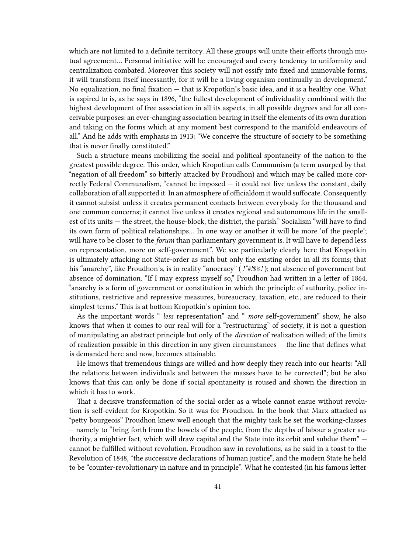which are not limited to a definite territory. All these groups will unite their efforts through mutual agreement… Personal initiative will be encouraged and every tendency to uniformity and centralization combated. Moreover this society will not ossify into fixed and immovable forms, it will transform itself incessantly, for it will be a living organism continually in development." No equalization, no final fixation — that is Kropotkin's basic idea, and it is a healthy one. What is aspired to is, as he says in 1896, "the fullest development of individuality combined with the highest development of free association in all its aspects, in all possible degrees and for all conceivable purposes: an ever-changing association bearing in itself the elements of its own duration and taking on the forms which at any moment best correspond to the manifold endeavours of all." And he adds with emphasis in 1913: "We conceive the structure of society to be something that is never finally constituted."

Such a structure means mobilizing the social and political spontaneity of the nation to the greatest possible degree. This order, which Kropotiun calls Communism (a term usurped by that "negation of all freedom" so bitterly attacked by Proudhon) and which may be called more correctly Federal Communalism, "cannot be imposed — it could not live unless the constant, daily collaboration of all supported it. In an atmosphere of officialdom it would suffocate. Consequently it cannot subsist unless it creates permanent contacts between everybody for the thousand and one common concerns; it cannot live unless it creates regional and autonomous life in the smallest of its units — the street, the house-block, the district, the parish." Socialism "will have to find its own form of political relationships… In one way or another it will be more 'of the people'; will have to be closer to the *forum* than parliamentary government is. It will have to depend less on representation, more on self-government". We see particularly clearly here that Kropotkin is ultimately attacking not State-order as such but only the existing order in all its forms; that his "anarchy", like Proudhon's, is in reality "anocracy" ( *!"#!\$%!* ); not absence of government but absence of domination. "If I may express myself so," Proudhon had written in a letter of 1864, "anarchy is a form of government or constitution in which the principle of authority, police institutions, restrictive and repressive measures, bureaucracy, taxation, etc., are reduced to their simplest terms." This is at bottom Kropotkin's opinion too.

As the important words " *less* representation" and " *more* self-government" show, he also knows that when it comes to our real will for a "restructuring" of society, it is not a question of manipulating an abstract principle but only of the *direction* of realization willed; of the limits of realization possible in this direction in any given circumstances — the line that defines what is demanded here and now, becomes attainable.

He knows that tremendous things are willed and how deeply they reach into our hearts: "All the relations between individuals and between the masses have to be corrected"; but he also knows that this can only be done if social spontaneity is roused and shown the direction in which it has to work.

That a decisive transformation of the social order as a whole cannot ensue without revolution is self-evident for Kropotkin. So it was for Proudhon. In the book that Marx attacked as "petty bourgeois" Proudhon knew well enough that the mighty task he set the working-classes — namely to "bring forth from the bowels of the people, from the depths of labour a greater authority, a mightier fact, which will draw capital and the State into its orbit and subdue them" cannot be fulfilled without revolution. Proudhon saw in revolutions, as he said in a toast to the Revolution of 1848, "the successive declarations of human justice", and the modern State he held to be "counter-revolutionary in nature and in principle". What he contested (in his famous letter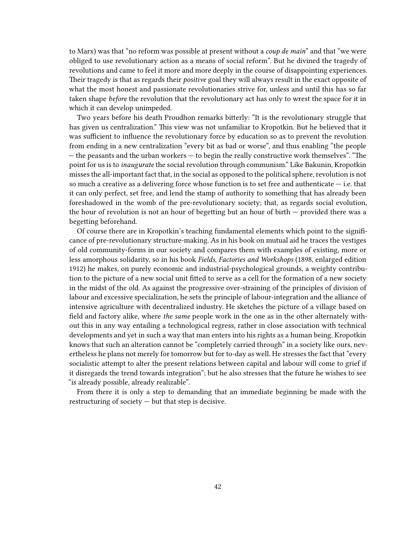to Marx) was that "no reform was possible at present without a *coup de main*" and that "we were obliged to use revolutionary action as a means of social reform". But he divined the tragedy of revolutions and came to feel it more and more deeply in the course of disappointing experiences. Their tragedy is that as regards their *positive* goal they will always result in the exact opposite of what the most honest and passionate revolutionaries strive for, unless and until this has so far taken shape *before* the revolution that the revolutionary act has only to wrest the space for it in which it can develop unimpeded.

Two years before his death Proudhon remarks bitterly: "It is the revolutionary struggle that has given us centralization." This view was not unfamiliar to Kropotkin. But he believed that it was sufficient to influence the revolutionary force by education so as to prevent the revolution from ending in a new centralization "every bit as bad or worse", and thus enabling "the people — the peasants and the urban workers — to begin the really constructive work themselves". "The point for us is to *inaugurate* the social revolution through communism." Like Bakunin, Kropotkin misses the all-important fact that, in the social as opposed to the political sphere, revolution is not so much a creative as a delivering force whose function is to set free and authenticate  $-$  i.e. that it can only perfect, set free, and lend the stamp of authority to something that has already been foreshadowed in the womb of the pre-revolutionary society; that, as regards social evolution, the hour of revolution is not an hour of begetting but an hour of birth — provided there was a begetting beforehand.

Of course there are in Kropotkin's teaching fundamental elements which point to the significance of pre-revolutionary structure-making. As in his book on mutual aid he traces the vestiges of old community-forms in our society and compares them with examples of existing, more or less amorphous solidarity, so in his book *Fields, Factories and Workshops* (1898, enlarged edition 1912) he makes, on purely economic and industrial-psychological grounds, a weighty contribution to the picture of a new social unit fitted to serve as a cell for the formation of a new society in the midst of the old. As against the progressive over-straining of the principles of division of labour and excessive specialization, he sets the principle of labour-integration and the alliance of intensive agriculture with decentralized industry. He sketches the picture of a village based on field and factory alike, where *the same* people work in the one as in the other alternately without this in any way entailing a technological regress, rather in close association with technical developments and yet in such a way that man enters into his rights as a human being. Kropotkin knows that such an alteration cannot be "completely carried through" in a society like ours, nevertheless he plans not merely for tomorrow but for to-day as well. He stresses the fact that "every socialistic attempt to alter the present relations between capital and labour will come to grief if it disregards the trend towards integration"; but he also stresses that the future he wishes to see "is already possible, already realizable".

From there it is only a step to demanding that an immediate beginning be made with the restructuring of society — but that step is decisive.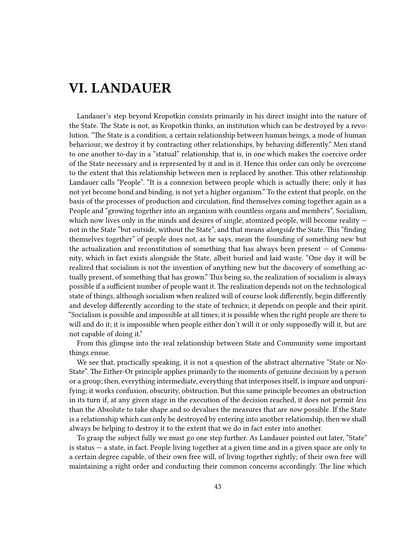## **VI. LANDAUER**

Landauer's step beyond Kropotkin consists primarily in his direct insight into the nature of the State. The State is not, as Kropotkin thinks, an institution which can be destroyed by a revolution. "The State is a condition, a certain relationship between human beings, a mode of human behaviour; we destroy it by contracting other relationships, by behaving differently." Men stand to one another to-day in a "statual" relationship, that is, in one which makes the coercive order of the State necessary and is represented by it and in it. Hence this order can only be overcome to the extent that this relationship between men is replaced by another. This other relationship Landauer calls "People". "It is a connexion between people which is actually there; only it has not yet become bond and binding, is not yet a higher organism." To the extent that people, on the basis of the processes of production and circulation, find themselves coming together again as a People and "growing together into an organism with countless organs and members", Socialism, which now lives only in the minds and desires of single, atomized people, will become reality  $$ not in the State "but outside, without the State", and that means *alongside* the State. This "finding themselves together" of people does not, as he says, mean the founding of something new but the actualization and reconstitution of something that has always been present  $-$  of Community, which in fact exists alongside the State, albeit buried and laid waste. "One day it will be realized that socialism is not the invention of anything new but the discovery of something actually present, of something that has grown." This being so, the realization of socialism is always possible if a sufficient number of people want it. The realization depends not on the technological state of things, although socialism when realized will of course look differently, begin differently and develop differently according to the state of technics; it depends on people and their spirit. "Socialism is possible and impossible at all times; it is possible when the right people are there to will and do it; it is impossible when people either don't will it or only supposedly will it, but are not capable of doing it."

From this glimpse into the real relationship between State and Community some important things ensue.

We see that, practically speaking, it is not a question of the abstract alternative "State or No-State". The Either-Or principle applies primarily to the moments of genuine decision by a person or a group; then, everything intermediate, everything that interposes itself, is impure and unpurifying; it works confusion, obscurity, obstruction. But this same principle becomes an obstruction in its turn if, at any given stage in the execution of the decision reached, it does not permit *less* than the Absolute to take shape and so devalues the measures that are *now* possible. If the State is a relationship which can only be destroyed by entering into another relationship, then we shall always be helping to destroy it to the extent that we do in fact enter into another.

To grasp the subject fully we must go one step further. As Landauer pointed out later, "State" is status — a state, in fact. People living together at a given time and in a given space are only to a certain degree capable, of their own free will, of living together rightly; of their own free will maintaining a right order and conducting their common concerns accordingly. The line which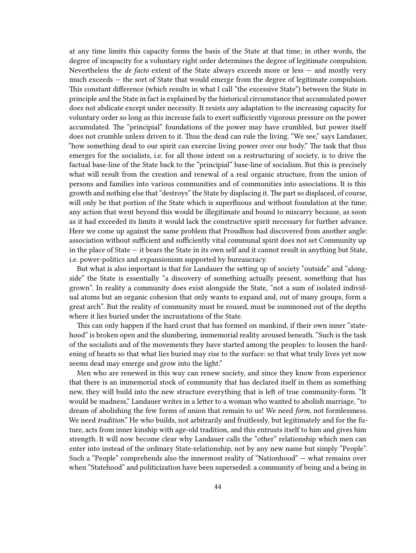at any time limits this capacity forms the basis of the State at that time; in other words, the degree of incapacity for a voluntary right order determines the degree of legitimate compulsion. Nevertheless the *de facto* extent of the State always exceeds more or less — and mostly very much exceeds — the sort of State that would emerge from the degree of legitimate compulsion. This constant difference (which results in what I call "the excessive State") between the State in principle and the State in fact is explained by the historical circumstance that accumulated power does not abdicate except under necessity. It resists any adaptation to the increasing capacity for voluntary order so long as this increase fails to exert sufficiently vigorous pressure on the power accumulated. The "principial" foundations of the power may have crumbled, but power itself does not crumble unless driven to it. Thus the dead can rule the living. "We see," says Landauer, "how something dead to our spirit can exercise living power over our body." The task that thus emerges for the socialists, i.e. for all those intent on a restructuring of society, is to drive the factual base-line of the State back to the "principial" base-line of socialism. But this is precisely what will result from the creation and renewal of a real organic structure, from the union of persons and families into various communities and of communities into associations. It is this growth and nothing else that "destroys" the State by displacing it. The part so displaced, of course, will only be that portion of the State which is superfluous and without foundation at the time; any action that went beyond this would be illegitimate and bound to miscarry because, as soon as it had exceeded its limits it would lack the constructive spirit necessary for further advance. Here we come up against the same problem that Proudhon had discovered from another angle: association without sufficient and sufficiently vital communal spirit does not set Community up in the place of State — it bears the State in its own self and it cannot result in anything but State, i.e. power-politics and expansionism supported by bureaucracy.

But what is also important is that for Landauer the setting up of society "outside" and "alongside" the State is essentially "a discovery of something actually present, something that has grown". In reality a community does exist alongside the State, "not a sum of isolated individual atoms but an organic cohesion that only wants to expand and, out of many groups, form a great arch". But the reality of community must be roused, must be summoned out of the depths where it lies buried under the incrustations of the State.

This can only happen if the hard crust that has formed on mankind, if their own inner "statehood" is broken open and the slumbering, immemorial reality aroused beneath. "Such is the task of the socialists and of the movements they have started among the peoples: to loosen the hardening of hearts so that what lies buried may rise to the surface: so that what truly lives yet now seems dead may emerge and grow into the light."

Men who are renewed in this way can renew society, and since they know from experience that there is an immemorial stock of community that has declared itself in them as something new, they will build into the new structure everything that is left of true community-form. "It would be madness," Landauer writes in a letter to a woman who wanted to abolish marriage, "to dream of abolishing the few forms of union that remain to us! We need *form*, not formlessness. We need *tradition*." He who builds, not arbitrarily and fruitlessly, but legitimately and for the future, acts from inner kinship with age-old tradition, and this entrusts itself to him and gives him strength. It will now become clear why Landauer calls the "other" relationship which men can enter into instead of the ordinary State-relationship, not by any new name but simply "People". Such a "People" comprehends also the innermost reality of "Nationhood" — what remains over when "Statehood" and politicization have been superseded: a community of being and a being in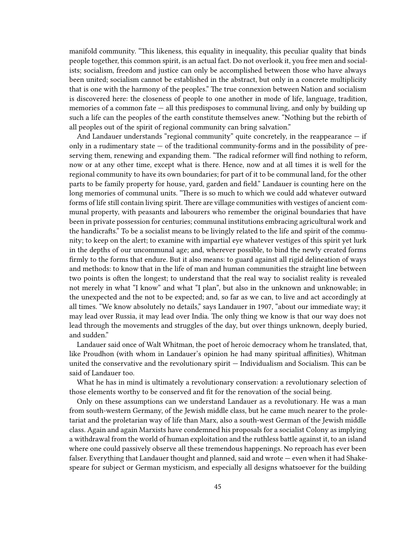manifold community. "This likeness, this equality in inequality, this peculiar quality that binds people together, this common spirit, is an actual fact. Do not overlook it, you free men and socialists; socialism, freedom and justice can only be accomplished between those who have always been united; socialism cannot be established in the abstract, but only in a concrete multiplicity that is one with the harmony of the peoples." The true connexion between Nation and socialism is discovered here: the closeness of people to one another in mode of life, language, tradition, memories of a common fate  $-$  all this predisposes to communal living, and only by building up such a life can the peoples of the earth constitute themselves anew. "Nothing but the rebirth of all peoples out of the spirit of regional community can bring salvation."

And Landauer understands "regional community" quite concretely, in the reappearance  $-$  if only in a rudimentary state  $-$  of the traditional community-forms and in the possibility of preserving them, renewing and expanding them. "The radical reformer will find nothing to reform, now or at any other time, except what is there. Hence, now and at all times it is well for the regional community to have its own boundaries; for part of it to be communal land, for the other parts to be family property for house, yard, garden and field." Landauer is counting here on the long memories of communal units. "There is so much to which we could add whatever outward forms of life still contain living spirit. There are village communities with vestiges of ancient communal property, with peasants and labourers who remember the original boundaries that have been in private possession for centuries; communal institutions embracing agricultural work and the handicrafts." To be a socialist means to be livingly related to the life and spirit of the community; to keep on the alert; to examine with impartial eye whatever vestiges of this spirit yet lurk in the depths of our uncommunal age; and, wherever possible, to bind the newly created forms firmly to the forms that endure. But it also means: to guard against all rigid delineation of ways and methods: to know that in the life of man and human communities the straight line between two points is often the longest; to understand that the real way to socialist reality is revealed not merely in what "I know" and what "I plan", but also in the unknown and unknowable; in the unexpected and the not to be expected; and, so far as we can, to live and act accordingly at all times. "We know absolutely no details," says Landauer in 1907, "about our immediate way; it may lead over Russia, it may lead over India. The only thing we know is that our way does not lead through the movements and struggles of the day, but over things unknown, deeply buried, and sudden."

Landauer said once of Walt Whitman, the poet of heroic democracy whom he translated, that, like Proudhon (with whom in Landauer's opinion he had many spiritual affinities), Whitman united the conservative and the revolutionary spirit — Individualism and Socialism. This can be said of Landauer too.

What he has in mind is ultimately a revolutionary conservation: a revolutionary selection of those elements worthy to be conserved and fit for the renovation of the social being.

Only on these assumptions can we understand Landauer as a revolutionary. He was a man from south-western Germany, of the Jewish middle class, but he came much nearer to the proletariat and the proletarian way of life than Marx, also a south-west German of the Jewish middle class. Again and again Marxists have condemned his proposals for a socialist Colony as implying a withdrawal from the world of human exploitation and the ruthless battle against it, to an island where one could passively observe all these tremendous happenings. No reproach has ever been falser. Everything that Landauer thought and planned, said and wrote — even when it had Shakespeare for subject or German mysticism, and especially all designs whatsoever for the building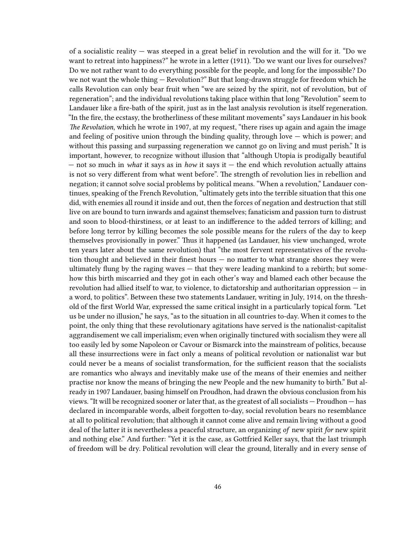of a socialistic reality — was steeped in a great belief in revolution and the will for it. "Do we want to retreat into happiness?" he wrote in a letter (1911). "Do we want our lives for ourselves? Do we not rather want to do everything possible for the people, and long for the impossible? Do we not want the whole thing — Revolution?" But that long-drawn struggle for freedom which he calls Revolution can only bear fruit when "we are seized by the spirit, not of revolution, but of regeneration"; and the individual revolutions taking place within that long "Revolution" seem to Landauer like a fire-bath of the spirit, just as in the last analysis revolution is itself regeneration. "In the fire, the ecstasy, the brotherliness of these militant movements" says Landauer in his book *The Revolution*, which he wrote in 1907, at my request, "there rises up again and again the image and feeling of positive union through the binding quality, through love  $-$  which is power; and without this passing and surpassing regeneration we cannot go on living and must perish." It is important, however, to recognize without illusion that "although Utopia is prodigally beautiful — not so much in *what* it says as in *how* it says it — the end which revolution actually attains is not so very different from what went before". The strength of revolution lies in rebellion and negation; it cannot solve social problems by political means. "When a revolution," Landauer continues, speaking of the French Revolution, "ultimately gets into the terrible situation that this one did, with enemies all round it inside and out, then the forces of negation and destruction that still live on are bound to turn inwards and against themselves; fanaticism and passion turn to distrust and soon to blood-thirstiness, or at least to an indifference to the added terrors of killing; and before long terror by killing becomes the sole possible means for the rulers of the day to keep themselves provisionally in power." Thus it happened (as Landauer, his view unchanged, wrote ten years later about the same revolution) that "the most fervent representatives of the revolution thought and believed in their finest hours — no matter to what strange shores they were ultimately flung by the raging waves — that they were leading mankind to a rebirth; but somehow this birth miscarried and they got in each other's way and blamed each other because the revolution had allied itself to war, to violence, to dictatorship and authoritarian oppression — in a word, to politics". Between these two statements Landauer, writing in July, 1914, on the threshold of the first World War, expressed the same critical insight in a particularly topical form. "Let us be under no illusion," he says, "as to the situation in all countries to-day. When it comes to the point, the only thing that these revolutionary agitations have served is the nationalist-capitalist aggrandisement we call imperialism; even when originally tinctured with socialism they were all too easily led by some Napoleon or Cavour or Bismarck into the mainstream of politics, because all these insurrections were in fact only a means of political revolution or nationalist war but could never be a means of socialist transformation, for the sufficient reason that the socialists are romantics who always and inevitably make use of the means of their enemies and neither practise nor know the means of bringing the new People and the new humanity to birth." But already in 1907 Landauer, basing himself on Proudhon, had drawn the obvious conclusion from his views. "It will be recognized sooner or later that, as the greatest of all socialists — Proudhon — has declared in incomparable words, albeit forgotten to-day, social revolution bears no resemblance at all to political revolution; that although it cannot come alive and remain living without a good deal of the latter it is nevertheless a peaceful structure, an organizing *of* new spirit *for* new spirit and nothing else." And further: "Yet it is the case, as Gottfried Keller says, that the last triumph of freedom will be dry. Political revolution will clear the ground, literally and in every sense of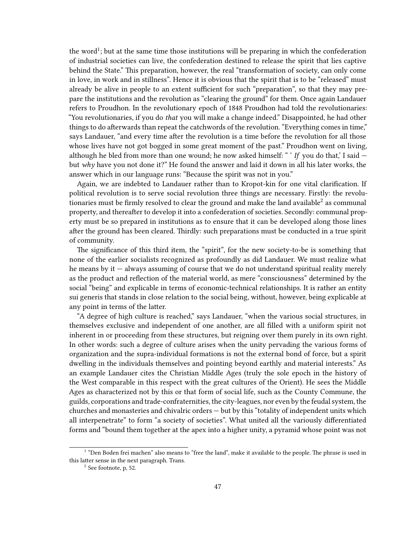the word<sup>1</sup>; but at the same time those institutions will be preparing in which the confederation of industrial societies can live, the confederation destined to release the spirit that lies captive behind the State." This preparation, however, the real "transformation of society, can only come in love, in work and in stillness". Hence it is obvious that the spirit that is to be "released" must already be alive in people to an extent sufficient for such "preparation", so that they may prepare the institutions and the revolution as "clearing the ground" for them. Once again Landauer refers to Proudhon. In the revolutionary epoch of 1848 Proudhon had told the revolutionaries: "You revolutionaries, if you do *that* you will make a change indeed." Disappointed, he had other things to do afterwards than repeat the catchwords of the revolution. "Everything comes in time," says Landauer, "and every time after the revolution is a time before the revolution for all those whose lives have not got bogged in some great moment of the past." Proudhon went on living, although he bled from more than one wound; he now asked himself: " ' *If* you do that,' I said but *why* have you not done it?" He found the answer and laid it down in all his later works, the answer which in our language runs: "Because the spirit was not in you."

Again, we are indebted to Landauer rather than to Kropot-kin for one vital clarification. If political revolution is to serve social revolution three things are necessary. Firstly: the revolutionaries must be firmly resolved to clear the ground and make the land available $^2$  as communal property, and thereafter to develop it into a confederation of societies. Secondly: communal property must be so prepared in institutions as to ensure that it can be developed along those lines after the ground has been cleared. Thirdly: such preparations must be conducted in a true spirit of community.

The significance of this third item, the "spirit", for the new society-to-be is something that none of the earlier socialists recognized as profoundly as did Landauer. We must realize what he means by it  $-$  always assuming of course that we do not understand spiritual reality merely as the product and reflection of the material world, as mere "consciousness" determined by the social "being" and explicable in terms of economic-technical relationships. It is rather an entity sui generis that stands in close relation to the social being, without, however, being explicable at any point in terms of the latter.

"A degree of high culture is reached," says Landauer, "when the various social structures, in themselves exclusive and independent of one another, are all filled with a uniform spirit not inherent in or proceeding from these structures, but reigning over them purely in its own right. In other words: such a degree of culture arises when the unity pervading the various forms of organization and the supra-individual formations is not the external bond of force, but a spirit dwelling in the individuals themselves and pointing beyond earthly and material interests." As an example Landauer cites the Christian Middle Ages (truly the sole epoch in the history of the West comparable in this respect with the great cultures of the Orient). He sees the Middle Ages as characterized not by this or that form of social life, such as the County Commune, the guilds, corporations and trade-confraternities, the city-leagues, nor even by the feudal system, the churches and monasteries and chivalric orders — but by this "totality of independent units which all interpenetrate" to form "a society of societies". What united all the variously differentiated forms and "bound them together at the apex into a higher unity, a pyramid whose point was not

<sup>&</sup>lt;sup>1</sup> "Den Boden frei machen" also means to "free the land", make it available to the people. The phrase is used in this latter sense in the next paragraph. Trans.

<sup>&</sup>lt;sup>2</sup> See footnote, p, 52.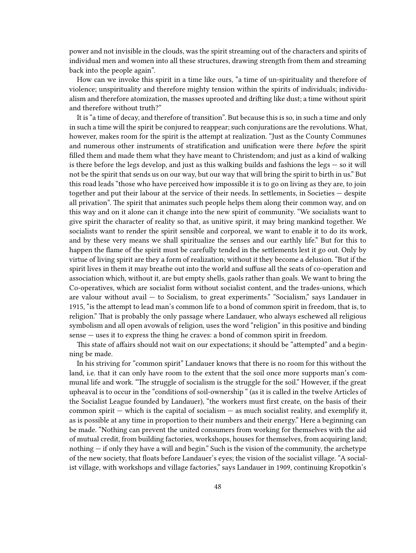power and not invisible in the clouds, was the spirit streaming out of the characters and spirits of individual men and women into all these structures, drawing strength from them and streaming back into the people again".

How can we invoke this spirit in a time like ours, "a time of un-spirituality and therefore of violence; unspirituality and therefore mighty tension within the spirits of individuals; individualism and therefore atomization, the masses uprooted and drifting like dust; a time without spirit and therefore without truth?"

It is "a time of decay, and therefore of transition". But because this is so, in such a time and only in such a time will the spirit be conjured to reappear; such conjurations are the revolutions. What, however, makes room for the spirit is the attempt at realization. "Just as the County Communes and numerous other instruments of stratification and unification were there *before* the spirit filled them and made them what they have meant to Christendom; and just as a kind of walking is there before the legs develop, and just as this walking builds and fashions the legs — so it will not be the spirit that sends us on our way, but our way that will bring the spirit to birth in us." But this road leads "those who have perceived how impossible it is to go on living as they are, to join together and put their labour at the service of their needs. In settlements, in Societies — despite all privation". The spirit that animates such people helps them along their common way, and on this way and on it alone can it change into the new spirit of community. "We socialists want to give spirit the character of reality so that, as unitive spirit, it may bring mankind together. We socialists want to render the spirit sensible and corporeal, we want to enable it to do its work, and by these very means we shall spiritualize the senses and our earthly life." But for this to happen the flame of the spirit must be carefully tended in the settlements lest it go out. Only by virtue of living spirit are they a form of realization; without it they become a delusion. "But if the spirit lives in them it may breathe out into the world and suffuse all the seats of co-operation and association which, without it, are but empty shells, gaols rather than goals. We want to bring the Co-operatives, which are socialist form without socialist content, and the trades-unions, which are valour without avail  $-$  to Socialism, to great experiments." "Socialism," says Landauer in 1915, "is the attempt to lead man's common life to a bond of common spirit in freedom, that is, to religion." That is probably the only passage where Landauer, who always eschewed all religious symbolism and all open avowals of religion, uses the word "religion" in this positive and binding sense — uses it to express the thing he craves: a bond of common spirit in freedom.

This state of affairs should not wait on our expectations; it should be "attempted" and a beginning be made.

In his striving for "common spirit" Landauer knows that there is no room for this without the land, i.e. that it can only have room to the extent that the soil once more supports man's communal life and work. "The struggle of socialism is the struggle for the soil." However, if the great upheaval is to occur in the "conditions of soil-ownership " (as it is called in the twelve Articles of the Socialist League founded by Landauer), "the workers must first create, on the basis of their common spirit — which is the capital of socialism — as much socialist reality, and exemplify it, as is possible at any time in proportion to their numbers and their energy." Here a beginning can be made. "Nothing can prevent the united consumers from working for themselves with the aid of mutual credit, from building factories, workshops, houses for themselves, from acquiring land; nothing — if only they have a will and begin." Such is the vision of the community, the archetype of the new society, that floats before Landauer's eyes; the vision of the socialist village. "A socialist village, with workshops and village factories," says Landauer in 1909, continuing Kropotkin's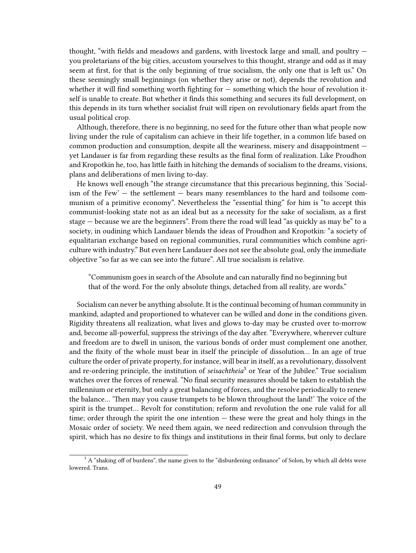thought, "with fields and meadows and gardens, with livestock large and small, and poultry you proletarians of the big cities, accustom yourselves to this thought, strange and odd as it may seem at first, for that is the only beginning of true socialism, the only one that is left us." On these seemingly small beginnings (on whether they arise or not), depends the revolution and whether it will find something worth fighting for  $-$  something which the hour of revolution itself is unable to create. But whether it finds this something and secures its full development, on this depends in its turn whether socialist fruit will ripen on revolutionary fields apart from the usual political crop.

Although, therefore, there is no beginning, no seed for the future other than what people now living under the rule of capitalism can achieve in their life together, in a common life based on common production and consumption, despite all the weariness, misery and disappointment yet Landauer is far from regarding these results as the final form of realization. Like Proudhon and Kropotkin he, too, has little faith in hitching the demands of socialism to the dreams, visions, plans and deliberations of men living to-day.

He knows well enough "the strange circumstance that this precarious beginning, this 'Socialism of the Few'  $-$  the settlement  $-$  bears many resemblances to the hard and toilsome communism of a primitive economy". Nevertheless the "essential thing" for him is "to accept this communist-looking state not as an ideal but as a necessity for the sake of socialism, as a first stage — because we are the beginners". From there the road will lead "as quickly as may be" to a society, in oudining which Landauer blends the ideas of Proudhon and Kropotkin: "a society of equalitarian exchange based on regional communities, rural communities which combine agriculture with industry." But even here Landauer does not see the absolute goal, only the immediate objective "so far as we can see into the future". All true socialism is relative.

"Communism goes in search of the Absolute and can naturally find no beginning but that of the word. For the only absolute things, detached from all reality, are words."

Socialism can never be anything absolute. It is the continual becoming of human community in mankind, adapted and proportioned to whatever can be willed and done in the conditions given. Rigidity threatens all realization, what lives and glows to-day may be crusted over to-morrow and, become all-powerful, suppress the strivings of the day after. "Everywhere, wherever culture and freedom are to dwell in unison, the various bonds of order must complement one another, and the fixity of the whole must bear in itself the principle of dissolution… In an age of true culture the order of private property, for instance, will bear in itself, as a revolutionary, dissolvent and re-ordering principle, the institution of *seisachtheia*<sup>3</sup> or Year of the Jubilee." True socialism watches over the forces of renewal. "No final security measures should be taken to establish the millennium or eternity, but only a great balancing of forces, and the resolve periodically to renew the balance… 'Then may you cause trumpets to be blown throughout the land!' The voice of the spirit is the trumpet… Revolt for constitution; reform and revolution the one rule valid for all time; order through the spirit the one intention — these were the great and holy things in the Mosaic order of society. We need them again, we need redirection and convulsion through the spirit, which has no desire to fix things and institutions in their final forms, but only to declare

 $3$  A "shaking off of burdens", the name given to the "disburdening ordinance" of Solon, by which all debts were lowered. Trans.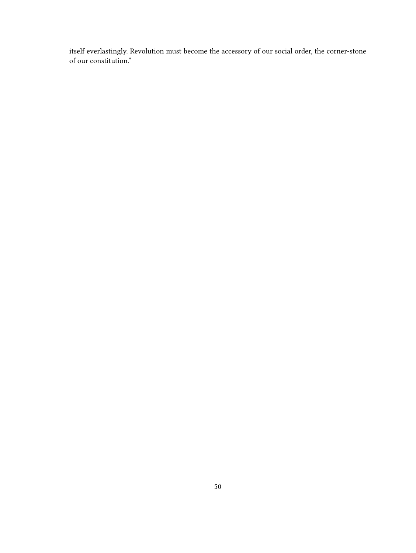itself everlastingly. Revolution must become the accessory of our social order, the corner-stone of our constitution."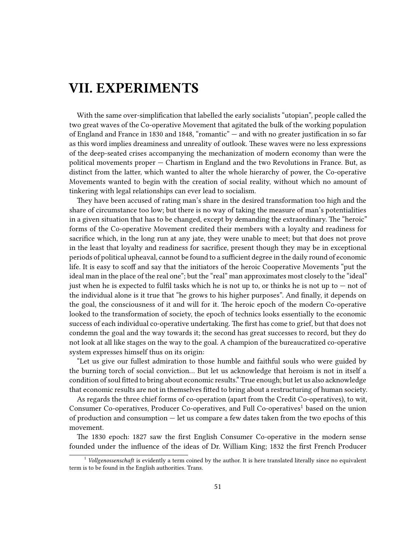## **VII. EXPERIMENTS**

With the same over-simplification that labelled the early socialists "utopian", people called the two great waves of the Co-operative Movement that agitated the bulk of the working population of England and France in 1830 and 1848, "romantic" — and with no greater justification in so far as this word implies dreaminess and unreality of outlook. These waves were no less expressions of the deep-seated crises accompanying the mechanization of modern economy than were the political movements proper — Chartism in England and the two Revolutions in France. But, as distinct from the latter, which wanted to alter the whole hierarchy of power, the Co-operative Movements wanted to begin with the creation of social reality, without which no amount of tinkering with legal relationships can ever lead to socialism.

They have been accused of rating man's share in the desired transformation too high and the share of circumstance too low; but there is no way of taking the measure of man's potentialities in a given situation that has to be changed, except by demanding the extraordinary. The "heroic" forms of the Co-operative Movement credited their members with a loyalty and readiness for sacrifice which, in the long run at any jate, they were unable to meet; but that does not prove in the least that loyalty and readiness for sacrifice, present though they may be in exceptional periods of political upheaval, cannot be found to a sufficient degree in the daily round of economic life. It is easy to scoff and say that the initiators of the heroic Cooperative Movements "put the ideal man in the place of the real one"; but the "real" man approximates most closely to the "ideal" just when he is expected to fulfil tasks which he is not up to, or thinks he is not up to  $-$  not of the individual alone is it true that "he grows to his higher purposes". And finally, it depends on the goal, the consciousness of it and will for it. The heroic epoch of the modern Co-operative looked to the transformation of society, the epoch of technics looks essentially to the economic success of each individual co-operative undertaking. The first has come to grief, but that does not condemn the goal and the way towards it; the second has great successes to record, but they do not look at all like stages on the way to the goal. A champion of the bureaucratized co-operative system expresses himself thus on its origin:

"Let us give our fullest admiration to those humble and faithful souls who were guided by the burning torch of social conviction… But let us acknowledge that heroism is not in itself a condition of soul fitted to bring about economic results." True enough; but let us also acknowledge that economic results are not in themselves fitted to bring about a restructuring of human society.

As regards the three chief forms of co-operation (apart from the Credit Co-operatives), to wit, Consumer Co-operatives, Producer Co-operatives, and Full Co-operatives<sup>1</sup> based on the union of production and consumption — let us compare a few dates taken from the two epochs of this movement.

The 1830 epoch: 1827 saw the first English Consumer Co-operative in the modern sense founded under the influence of the ideas of Dr. William King; 1832 the first French Producer

<sup>1</sup> *Vollgenossenschaft* is evidently a term coined by the author. It is here translated literally since no equivalent term is to be found in the English authorities. Trans.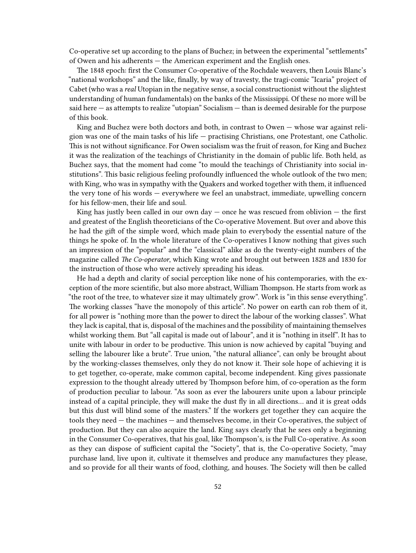Co-operative set up according to the plans of Buchez; in between the experimental "settlements" of Owen and his adherents — the American experiment and the English ones.

The 1848 epoch: first the Consumer Co-operative of the Rochdale weavers, then Louis Blanc's "national workshops" and the like, finally, by way of travesty, the tragi-comic "Icaria" project of Cabet (who was a *real* Utopian in the negative sense, a social constructionist without the slightest understanding of human fundamentals) on the banks of the Mississippi. Of these no more will be said here — as attempts to realize "utopian" Socialism — than is deemed desirable for the purpose of this book.

King and Buchez were both doctors and both, in contrast to Owen — whose war against religion was one of the main tasks of his life — practising Christians, one Protestant, one Catholic. This is not without significance. For Owen socialism was the fruit of reason, for King and Buchez it was the realization of the teachings of Christianity in the domain of public life. Both held, as Buchez says, that the moment had come "to mould the teachings of Christianity into social institutions". This basic religious feeling profoundly influenced the whole outlook of the two men; with King, who was in sympathy with theQuakers and worked together with them, it influenced the very tone of his words — everywhere we feel an unabstract, immediate, upwelling concern for his fellow-men, their life and soul.

King has justly been called in our own day  $-$  once he was rescued from oblivion  $-$  the first and greatest of the English theoreticians of the Co-operative Movement. But over and above this he had the gift of the simple word, which made plain to everybody the essential nature of the things he spoke of. In the whole literature of the Co-operatives I know nothing that gives such an impression of the "popular" and the "classical" alike as do the twenty-eight numbers of the magazine called *The Co-operator*, which King wrote and brought out between 1828 and 1830 for the instruction of those who were actively spreading his ideas.

He had a depth and clarity of social perception like none of his contemporaries, with the exception of the more scientific, but also more abstract, William Thompson. He starts from work as "the root of the tree, to whatever size it may ultimately grow". Work is "in this sense everything". The working classes "have the monopoly of this article". No power on earth can rob them of it, for all power is "nothing more than the power to direct the labour of the working classes". What they lack is capital, that is, disposal of the machines and the possibility of maintaining themselves whilst working them. But "all capital is made out of labour", and it is "nothing in itself". It has to unite with labour in order to be productive. This union is now achieved by capital "buying and selling the labourer like a brute". True union, "the natural alliance", can only be brought about by the working-classes themselves, only they do not know it. Their sole hope of achieving it is to get together, co-operate, make common capital, become independent. King gives passionate expression to the thought already uttered by Thompson before him, of co-operation as the form of production peculiar to labour. "As soon as ever the labourers unite upon a labour principle instead of a capital principle, they will make the dust fly in all directions… and it is great odds but this dust will blind some of the masters." If the workers get together they can acquire the tools they need — the machines — and themselves become, in their Co-operatives, the subject of production. But they can also acquire the land. King says clearly that he sees only a beginning in the Consumer Co-operatives, that his goal, like Thompson's, is the Full Co-operative. As soon as they can dispose of sufficient capital the "Society", that is, the Co-operative Society, "may purchase land, live upon it, cultivate it themselves and produce any manufactures they please, and so provide for all their wants of food, clothing, and houses. The Society will then be called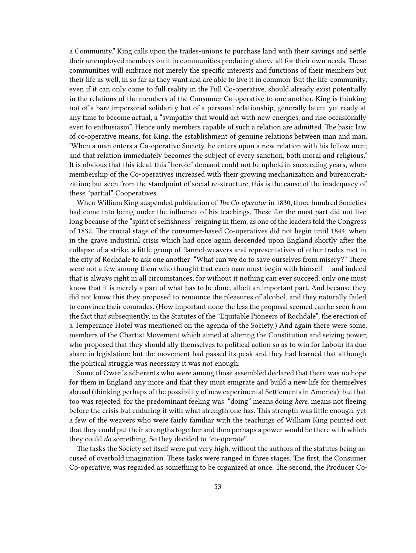a Community." King calls upon the trades-unions to purchase land with their savings and settle their unemployed members on it in communities producing above all for their own needs. These communities will embrace not merely the specific interests and functions of their members but their life as well, in so far as they want and are able to live it in common. But the life-community, even if it can only come to full reality in the Full Co-operative, should already exist potentially in the relations of the members of the Consumer Co-operative to one another. King is thinking not of a bare impersonal solidarity but of a personal relationship, generally latent yet ready at any time to become actual, a "sympathy that would act with new energies, and rise occasionally even to enthusiasm". Hence only members capable of such a relation are admitted. The basic law of co-operative means, for King, the establishment of genuine relations between man and man. "When a man enters a Co-operative Society, he enters upon a new relation with his fellow men; and that relation immediately becomes the subject of every sanction, both moral and religious." It is obvious that this ideal, this "heroic" demand could not be upheld in succeeding years, when membership of the Co-operatives increased with their growing mechanization and bureaucratization; but seen from the standpoint of social re-structure, this is the cause of the inadequacy of these "partial" Cooperatives.

When William King suspended publication of *The Co-operator* in 1830, three hundred Societies had come into being under the influence of his teachings. These for the most part did not live long because of the "spirit of selfishness" reigning in them, as one of the leaders told the Congress of 1832. The crucial stage of the consumer-based Co-operatives did not begin until 1844, when in the grave industrial crisis which had once again descended upon England shortly after the collapse of a strike, a little group of flannel-weavers and representatives of other trades met in the city of Rochdale to ask one another: "What can we do to save ourselves from misery?" There were not a few among them who thought that each man must begin with himself — and indeed that is always right in all circumstances, for without it nothing can ever succeed; only one must know that it is merely a part of what has to be done, albeit an important part. And because they did not know this they proposed to renounce the pleasures of alcohol, and they naturally failed to convince their comrades. (How important none the less the proposal seemed can be seen from the fact that subsequently, in the Statutes of the "Equitable Pioneers of Rochdale", the erection of a Temperance Hotel was mentioned on the agenda of the Society.) And again there were some, members of the Chartist Movement which aimed at altering the Constitution and seizing power, who proposed that they should ally themselves to political action so as to win for Labour its due share in legislation; but the movement had passed its peak and they had learned that although the political struggle was necessary it was not enough.

Some of Owen's adherents who were among those assembled declared that there was no hope for them in England any more and that they must emigrate and build a new life for themselves abroad (thinking perhaps of the possibility of new experimental Settlements in America); but that too was rejected, for the predominant feeling was: "doing" means doing *here*, means not fleeing before the crisis but enduring it with what strength one has. This strength was little enough, yet a few of the weavers who were fairly familiar with the teachings of William King pointed out that they could put their strengths together and then perhaps a power would be there with which they could *do* something. So they decided to "co-operate".

The tasks the Society set itself were put very high, without the authors of the statutes being accused of overbold imagination. These tasks were ranged in three stages. The first, the Consumer Co-operative, was regarded as something to be organized at once. The second, the Producer Co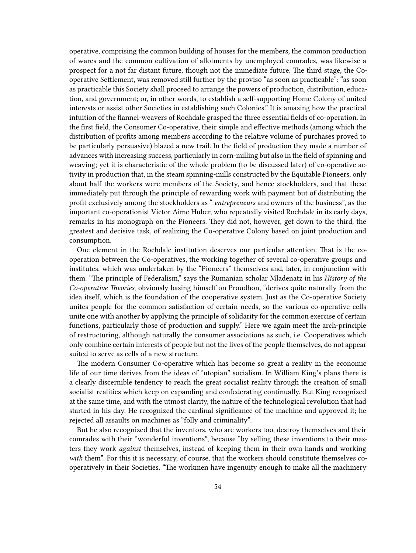operative, comprising the common building of houses for the members, the common production of wares and the common cultivation of allotments by unemployed comrades, was likewise a prospect for a not far distant future, though not the immediate future. The third stage, the Cooperative Settlement, was removed still further by the proviso "as soon as practicable": "as soon as practicable this Society shall proceed to arrange the powers of production, distribution, education, and government; or, in other words, to establish a self-supporting Home Colony of united interests or assist other Societies in establishing such Colonies." It is amazing how the practical intuition of the flannel-weavers of Rochdale grasped the three essential fields of co-operation. In the first field, the Consumer Co-operative, their simple and effective methods (among which the distribution of profits among members according to the relative volume of purchases proved to be particularly persuasive) blazed a new trail. In the field of production they made a number of advances with increasing success, particularly in corn-milling but also in the field of spinning and weaving; yet it is characteristic of the whole problem (to be discussed later) of co-operative activity in production that, in the steam spinning-mills constructed by the Equitable Pioneers, only about half the workers were members of the Society, and hence stockholders, and that these immediately put through the principle of rewarding work with payment but of distributing the profit exclusively among the stockholders as " *entrepreneurs* and owners of the business", as the important co-operationist Victor Aime Huber, who repeatedly visited Rochdale in its early days, remarks in his monograph on the Pioneers. They did not, however, get down to the third, the greatest and decisive task, of realizing the Co-operative Colony based on joint production and consumption.

One element in the Rochdale institution deserves our particular attention. That is the cooperation between the Co-operatives, the working together of several co-operative groups and institutes, which was undertaken by the "Pioneers" themselves and, later, in conjunction with them. "The principle of Federalism," says the Rumanian scholar Mladenatz in his *History of the Co-operative Theories*, obviously basing himself on Proudhon, "derives quite naturally from the idea itself, which is the foundation of the cooperative system. Just as the Co-operative Society unites people for the common satisfaction of certain needs, so the various co-operative cells unite one with another by applying the principle of solidarity for the common exercise of certain functions, particularly those of production and supply." Here we again meet the arch-principle of restructuring, although naturally the consumer associations as such, i.e. Cooperatives which only combine certain interests of people but not the lives of the people themselves, do not appear suited to serve as cells of a new structure.

The modern Consumer Co-operative which has become so great a reality in the economic life of our time derives from the ideas of "utopian" socialism. In William King's plans there is a clearly discernible tendency to reach the great socialist reality through the creation of small socialist realities which keep on expanding and confederating continually. But King recognized at the same time, and with the utmost clarity, the nature of the technological revolution that had started in his day. He recognized the cardinal significance of the machine and approved it; he rejected all assaults on machines as "folly and criminality".

But he also recognized that the inventors, who are workers too, destroy themselves and their comrades with their "wonderful inventions", because "by selling these inventions to their masters they work *against* themselves, instead of keeping them in their own hands and working with them". For this it is necessary, of course, that the workers should constitute themselves cooperatively in their Societies. "The workmen have ingenuity enough to make all the machinery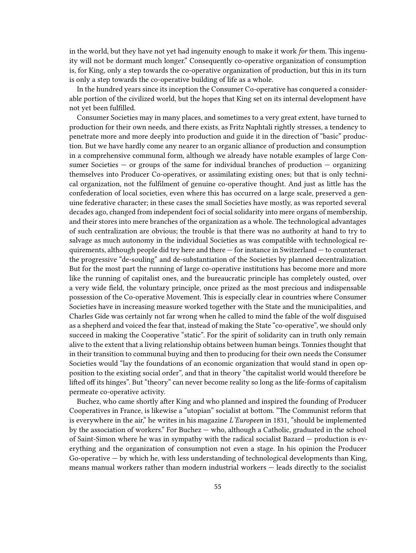in the world, but they have not yet had ingenuity enough to make it work *for* them. This ingenuity will not be dormant much longer." Consequently co-operative organization of consumption is, for King, only a step towards the co-operative organization of production, but this in its turn is only a step towards the co-operative building of life as a whole.

In the hundred years since its inception the Consumer Co-operative has conquered a considerable portion of the civilized world, but the hopes that King set on its internal development have not yet been fulfilled.

Consumer Societies may in many places, and sometimes to a very great extent, have turned to production for their own needs, and there exists, as Fritz Naphtali rightly stresses, a tendency to penetrate more and more deeply into production and guide it in the direction of "basic" production. But we have hardly come any nearer to an organic alliance of production and consumption in a comprehensive communal form, although we already have notable examples of large Consumer Societies  $-$  or groups of the same for individual branches of production  $-$  organizing themselves into Producer Co-operatives, or assimilating existing ones; but that is only technical organization, not the fulfilment of genuine co-operative thought. And just as little has the confederation of local societies, even where this has occurred on a large scale, preserved a genuine federative character; in these cases the small Societies have mostly, as was reported several decades ago, changed from independent foci of social solidarity into mere organs of membership, and their stores into mere branches of the organization as a whole. The technological advantages of such centralization are obvious; the trouble is that there was no authority at hand to try to salvage as much autonomy in the individual Societies as was compatible with technological requirements, although people did try here and there — for instance in Switzerland — to counteract the progressive "de-souling" and de-substantiation of the Societies by planned decentralization. But for the most part the running of large co-operative institutions has become more and more like the running of capitalist ones, and the bureaucratic principle has completely ousted, over a very wide field, the voluntary principle, once prized as the most precious and indispensable possession of the Co-operative Movement. This is especially clear in countries where Consumer Societies have in increasing measure worked together with the State and the municipalities, and Charles Gide was certainly not far wrong when he called to mind the fable of the wolf disguised as a shepherd and voiced the fear that, instead of making the State "co-operative", we should only succeed in making the Cooperative "static". For the spirit of solidarity can in truth only remain alive to the extent that a living relationship obtains between human beings. Tonnies thought that in their transition to communal buying and then to producing for their own needs the Consumer Societies would "lay the foundations of an economic organization that would stand in open opposition to the existing social order", and that in theory "the capitalist world would therefore be lifted off its hinges". But "theory" can never become reality so long as the life-forms of capitalism permeate co-operative activity.

Buchez, who came shortly after King and who planned and inspired the founding of Producer Cooperatives in France, is likewise a "utopian" socialist at bottom. "The Communist reform that is everywhere in the air," he writes in his magazine *L'Europeen* in 1831, "should be implemented by the association of workers." For Buchez — who, although a Catholic, graduated in the school of Saint-Simon where he was in sympathy with the radical socialist Bazard — production is everything and the organization of consumption not even a stage. In his opinion the Producer Go-operative  $-$  by which he, with less understanding of technological developments than King, means manual workers rather than modern industrial workers — leads directly to the socialist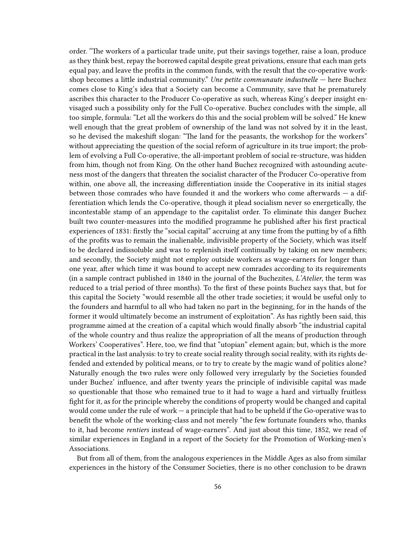order. "The workers of a particular trade unite, put their savings together, raise a loan, produce as they think best, repay the borrowed capital despite great privations, ensure that each man gets equal pay, and leave the profits in the common funds, with the result that the co-operative workshop becomes a little industrial community." *Une petite communaute industnelle* — here Buchez comes close to King's idea that a Society can become a Community, save that he prematurely ascribes this character to the Producer Co-operative as such, whereas King's deeper insight envisaged such a possibility only for the Full Co-operative. Buchez concludes with the simple, all too simple, formula: "Let all the workers do this and the social problem will be solved." He knew well enough that the great problem of ownership of the land was not solved by it in the least, so he devised the makeshift slogan: "The land for the peasants, the workshop for the workers" without appreciating the question of the social reform of agriculture in its true import; the problem of evolving a Full Co-operative, the all-important problem of social re-structure, was hidden from him, though not from King. On the other hand Buchez recognized with astounding acuteness most of the dangers that threaten the socialist character of the Producer Co-operative from within, one above all, the increasing differentiation inside the Cooperative in its initial stages between those comrades who have founded it and the workers who come afterwards — a differentiation which lends the Co-operative, though it plead socialism never so energetically, the incontestable stamp of an appendage to the capitalist order. To eliminate this danger Buchez built two counter-measures into the modified programme he published after his first practical experiences of 1831: firstly the "social capital" accruing at any time from the putting by of a fifth of the profits was to remain the inalienable, indivisible property of the Society, which was itself to be declared indissoluble and was to replenish itself continually by taking on new members; and secondly, the Society might not employ outside workers as wage-earners for longer than one year, after which time it was bound to accept new comrades according to its requirements (in a sample contract published in 1840 in the journal of the Buchezites, *L'Atelier*, the term was reduced to a trial period of three months). To the first of these points Buchez says that, but for this capital the Society "would resemble all the other trade societies; it would be useful only to the founders and harmful to all who had taken no part in the beginning, for in the hands of the former it would ultimately become an instrument of exploitation". As has rightly been said, this programme aimed at the creation of a capital which would finally absorb "the industrial capital of the whole country and thus realize the appropriation of all the means of production through Workers' Cooperatives". Here, too, we find that "utopian" element again; but, which is the more practical in the last analysis: to try to create social reality through social reality, with its rights defended and extended by political means, or to try to create by the magic wand of politics alone? Naturally enough the two rules were only followed very irregularly by the Societies founded under Buchez' influence, and after twenty years the principle of indivisible capital was made so questionable that those who remained true to it had to wage a hard and virtually fruitless fight for it, as for the principle whereby the conditions of property would be changed and capital would come under the rule of work — a principle that had to be upheld if the Go-operative was to benefit the whole of the working-class and not merely "the few fortunate founders who, thanks to it, had become *rentiers* instead of wage-earners". And just about this time, 1852, we read of similar experiences in England in a report of the Society for the Promotion of Working-men's Associations.

But from all of them, from the analogous experiences in the Middle Ages as also from similar experiences in the history of the Consumer Societies, there is no other conclusion to be drawn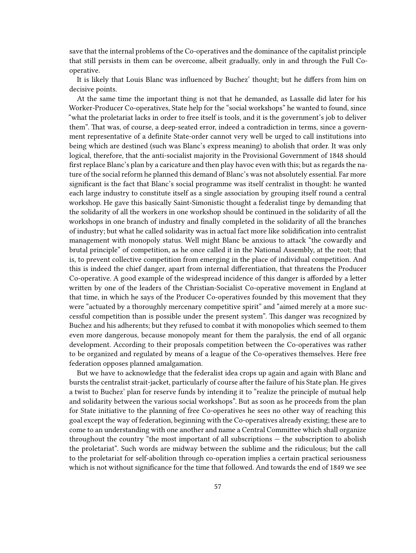save that the internal problems of the Co-operatives and the dominance of the capitalist principle that still persists in them can be overcome, albeit gradually, only in and through the Full Cooperative.

It is likely that Louis Blanc was influenced by Buchez' thought; but he differs from him on decisive points.

At the same time the important thing is not that he demanded, as Lassalle did later for his Worker-Producer Co-operatives, State help for the "social workshops" he wanted to found, since "what the proletariat lacks in order to free itself is tools, and it is the government's job to deliver them". That was, of course, a deep-seated error, indeed a contradiction in terms, since a government representative of a definite State-order cannot very well be urged to call institutions into being which are destined (such was Blanc's express meaning) to abolish that order. It was only logical, therefore, that the anti-socialist majority in the Provisional Government of 1848 should first replace Blanc's plan by a caricature and then play havoc even with this; but as regards the nature of the social reform he planned this demand of Blanc's was not absolutely essential. Far more significant is the fact that Blanc's social programme was itself centralist in thought: he wanted each large industry to constitute itself as a single association by grouping itself round a central workshop. He gave this basically Saint-Simonistic thought a federalist tinge by demanding that the solidarity of all the workers in one workshop should be continued in the solidarity of all the workshops in one branch of industry and finally completed in the solidarity of all the branches of industry; but what he called solidarity was in actual fact more like solidification into centralist management with monopoly status. Well might Blanc be anxious to attack "the cowardly and brutal principle" of competition, as he once called it in the National Assembly, at the root; that is, to prevent collective competition from emerging in the place of individual competition. And this is indeed the chief danger, apart from internal differentiation, that threatens the Producer Co-operative. A good example of the widespread incidence of this danger is afforded by a letter written by one of the leaders of the Christian-Socialist Co-operative movement in England at that time, in which he says of the Producer Co-operatives founded by this movement that they were "actuated by a thoroughly mercenary competitive spirit" and "aimed merely at a more successful competition than is possible under the present system". This danger was recognized by Buchez and his adherents; but they refused to combat it with monopolies which seemed to them even more dangerous, because monopoly meant for them the paralysis, the end of all organic development. According to their proposals competition between the Co-operatives was rather to be organized and regulated by means of a league of the Co-operatives themselves. Here free federation opposes planned amalgamation.

But we have to acknowledge that the federalist idea crops up again and again with Blanc and bursts the centralist strait-jacket, particularly of course after the failure of his State plan. He gives a twist to Buchez' plan for reserve funds by intending it to "realize the principle of mutual help and solidarity between the various social workshops". But as soon as he proceeds from the plan for State initiative to the planning of free Co-operatives he sees no other way of reaching this goal except the way of federation, beginning with the Co-operatives already existing; these are to come to an understanding with one another and name a Central Committee which shall organize throughout the country "the most important of all subscriptions — the subscription to abolish the proletariat". Such words are midway between the sublime and the ridiculous; but the call to the proletariat for self-abolition through co-operation implies a certain practical seriousness which is not without significance for the time that followed. And towards the end of 1849 we see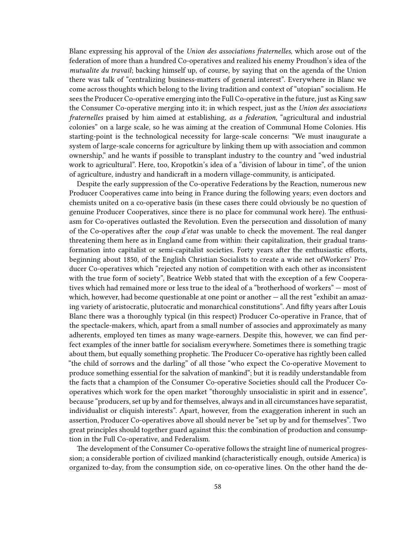Blanc expressing his approval of the *Union des associations fraternelles*, which arose out of the federation of more than a hundred Co-operatives and realized his enemy Proudhon's idea of the *mutualite du travail*; backing himself up, of course, by saying that on the agenda of the Union there was talk of "centralizing business-matters of general interest". Everywhere in Blanc we come across thoughts which belong to the living tradition and context of "utopian" socialism. He sees the Producer Co-operative emerging into the Full Co-operative in the future, just as King saw the Consumer Co-operative merging into it; in which respect, just as the *Union des associations fraternelles* praised by him aimed at establishing, *as a federation*, "agricultural and industrial colonies" on a large scale, so he was aiming at the creation of Communal Home Colonies. His starting-point is the technological necessity for large-scale concerns: "We must inaugurate a system of large-scale concerns for agriculture by linking them up with association and common ownership," and he wants if possible to transplant industry to the country and "wed industrial work to agricultural". Here, too, Kropotkin's idea of a "division of labour in time", of the union of agriculture, industry and handicraft in a modern village-community, is anticipated.

Despite the early suppression of the Co-operative Federations by the Reaction, numerous new Producer Cooperatives came into being in France during the following years; even doctors and chemists united on a co-operative basis (in these cases there could obviously be no question of genuine Producer Cooperatives, since there is no place for communal work here). The enthusiasm for Co-operatives outlasted the Revolution. Even the persecution and dissolution of many of the Co-operatives after the *coup d'etat* was unable to check the movement. The real danger threatening them here as in England came from within: their capitalization, their gradual transformation into capitalist or semi-capitalist societies. Forty years after the enthusiastic efforts, beginning about 1850, of the English Christian Socialists to create a wide net ofWorkers' Producer Co-operatives which "rejected any notion of competition with each other as inconsistent with the true form of society", Beatrice Webb stated that with the exception of a few Cooperatives which had remained more or less true to the ideal of a "brotherhood of workers" — most of which, however, had become questionable at one point or another – all the rest "exhibit an amazing variety of aristocratic, plutocratic and monarchical constitutions". And fifty years after Louis Blanc there was a thoroughly typical (in this respect) Producer Co-operative in France, that of the spectacle-makers, which, apart from a small number of associes and approximately as many adherents, employed ten times as many wage-earners. Despite this, however, we can find perfect examples of the inner battle for socialism everywhere. Sometimes there is something tragic about them, but equally something prophetic. The Producer Co-operative has rightly been called "the child of sorrows and the darling" of all those "who expect the Co-operative Movement to produce something essential for the salvation of mankind"; but it is readily understandable from the facts that a champion of the Consumer Co-operative Societies should call the Producer Cooperatives which work for the open market "thoroughly unsocialistic in spirit and in essence", because "producers, set up by and for themselves, always and in all circumstances have separatist, individualist or cliquish interests". Apart, however, from the exaggeration inherent in such an assertion, Producer Co-operatives above all should never be "set up by and for themselves". Two great principles should together guard against this: the combination of production and consumption in the Full Co-operative, and Federalism.

The development of the Consumer Co-operative follows the straight line of numerical progression; a considerable portion of civilized mankind (characteristically enough, outside America) is organized to-day, from the consumption side, on co-operative lines. On the other hand the de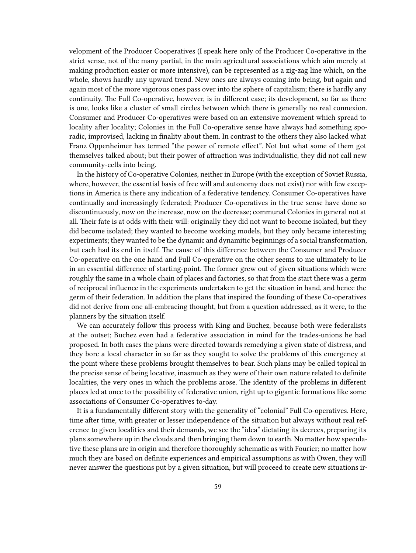velopment of the Producer Cooperatives (I speak here only of the Producer Co-operative in the strict sense, not of the many partial, in the main agricultural associations which aim merely at making production easier or more intensive), can be represented as a zig-zag line which, on the whole, shows hardly any upward trend. New ones are always coming into being, but again and again most of the more vigorous ones pass over into the sphere of capitalism; there is hardly any continuity. The Full Co-operative, however, is in different case; its development, so far as there is one, looks like a cluster of small circles between which there is generally no real connexion. Consumer and Producer Co-operatives were based on an extensive movement which spread to locality after locality; Colonies in the Full Co-operative sense have always had something sporadic, improvised, lacking in finality about them. In contrast to the others they also lacked what Franz Oppenheimer has termed "the power of remote effect". Not but what some of them got themselves talked about; but their power of attraction was individualistic, they did not call new community-cells into being.

In the history of Co-operative Colonies, neither in Europe (with the exception of Soviet Russia, where, however, the essential basis of free will and autonomy does not exist) nor with few exceptions in America is there any indication of a federative tendency. Consumer Co-operatives have continually and increasingly federated; Producer Co-operatives in the true sense have done so discontinuously, now on the increase, now on the decrease; communal Colonies in general not at all. Their fate is at odds with their will: originally they did not want to become isolated, but they did become isolated; they wanted to become working models, but they only became interesting experiments; they wanted to be the dynamic and dynamitic beginnings of a social transformation, but each had its end in itself. The cause of this difference between the Consumer and Producer Co-operative on the one hand and Full Co-operative on the other seems to me ultimately to lie in an essential difference of starting-point. The former grew out of given situations which were roughly the same in a whole chain of places and factories, so that from the start there was a germ of reciprocal influence in the experiments undertaken to get the situation in hand, and hence the germ of their federation. In addition the plans that inspired the founding of these Co-operatives did not derive from one all-embracing thought, but from a question addressed, as it were, to the planners by the situation itself.

We can accurately follow this process with King and Buchez, because both were federalists at the outset; Buchez even had a federative association in mind for the trades-unions he had proposed. In both cases the plans were directed towards remedying a given state of distress, and they bore a local character in so far as they sought to solve the problems of this emergency at the point where these problems brought themselves to bear. Such plans may be called topical in the precise sense of being locative, inasmuch as they were of their own nature related to definite localities, the very ones in which the problems arose. The identity of the problems in different places led at once to the possibility of federative union, right up to gigantic formations like some associations of Consumer Co-operatives to-day.

It is a fundamentally different story with the generality of "colonial" Full Co-operatives. Here, time after time, with greater or lesser independence of the situation but always without real reference to given localities and their demands, we see the "idea" dictating its decrees, preparing its plans somewhere up in the clouds and then bringing them down to earth. No matter how speculative these plans are in origin and therefore thoroughly schematic as with Fourier; no matter how much they are based on definite experiences and empirical assumptions as with Owen, they will never answer the questions put by a given situation, but will proceed to create new situations ir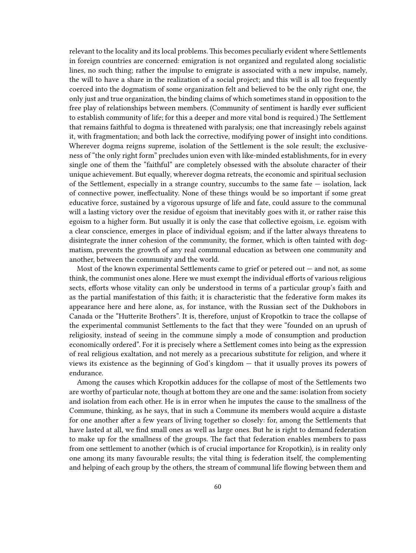relevant to the locality and its local problems. This becomes peculiarly evident where Settlements in foreign countries are concerned: emigration is not organized and regulated along socialistic lines, no such thing; rather the impulse to emigrate is associated with a new impulse, namely, the will to have a share in the realization of a social project; and this will is all too frequently coerced into the dogmatism of some organization felt and believed to be the only right one, the only just and true organization, the binding claims of which sometimes stand in opposition to the free play of relationships between members. (Community of sentiment is hardly ever sufficient to establish community of life; for this a deeper and more vital bond is required.) The Settlement that remains faithful to dogma is threatened with paralysis; one that increasingly rebels against it, with fragmentation; and both lack the corrective, modifying power of insight into conditions. Wherever dogma reigns supreme, isolation of the Settlement is the sole result; the exclusiveness of "the only right form" precludes union even with like-minded establishments, for in every single one of them the "faithful" are completely obsessed with the absolute character of their unique achievement. But equally, wherever dogma retreats, the economic and spiritual seclusion of the Settlement, especially in a strange country, succumbs to the same fate — isolation, lack of connective power, ineffectuality. None of these things would be so important if some great educative force, sustained by a vigorous upsurge of life and fate, could assure to the communal will a lasting victory over the residue of egoism that inevitably goes with it, or rather raise this egoism to a higher form. But usually it is only the case that collective egoism, i.e. egoism with a clear conscience, emerges in place of individual egoism; and if the latter always threatens to disintegrate the inner cohesion of the community, the former, which is often tainted with dogmatism, prevents the growth of any real communal education as between one community and another, between the community and the world.

Most of the known experimental Settlements came to grief or petered out — and not, as some think, the communist ones alone. Here we must exempt the individual efforts of various religious sects, efforts whose vitality can only be understood in terms of a particular group's faith and as the partial manifestation of this faith; it is characteristic that the federative form makes its appearance here and here alone, as, for instance, with the Russian sect of the Dukhobors in Canada or the "Hutterite Brothers". It is, therefore, unjust of Kropotkin to trace the collapse of the experimental communist Settlements to the fact that they were "founded on an uprush of religiosity, instead of seeing in the commune simply a mode of consumption and production economically ordered". For it is precisely where a Settlement comes into being as the expression of real religious exaltation, and not merely as a precarious substitute for religion, and where it views its existence as the beginning of God's kingdom — that it usually proves its powers of endurance.

Among the causes which Kropotkin adduces for the collapse of most of the Settlements two are worthy of particular note, though at bottom they are one and the same: isolation from society and isolation from each other. He is in error when he imputes the cause to the smallness of the Commune, thinking, as he says, that in such a Commune its members would acquire a distaste for one another after a few years of living together so closely: for, among the Settlements that have lasted at all, we find small ones as well as large ones. But he is right to demand federation to make up for the smallness of the groups. The fact that federation enables members to pass from one settlement to another (which is of crucial importance for Kropotkin), is in reality only one among its many favourable results; the vital thing is federation itself, the complementing and helping of each group by the others, the stream of communal life flowing between them and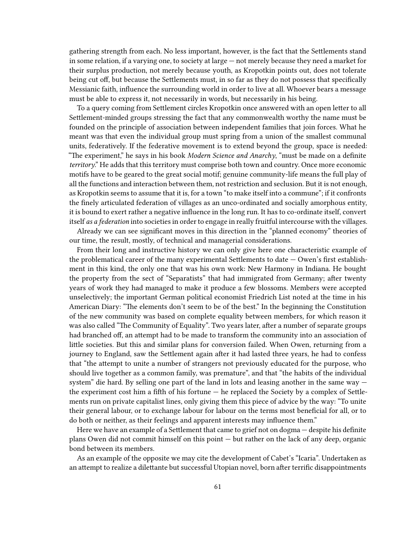gathering strength from each. No less important, however, is the fact that the Settlements stand in some relation, if a varying one, to society at large — not merely because they need a market for their surplus production, not merely because youth, as Kropotkin points out, does not tolerate being cut off, but because the Settlements must, in so far as they do not possess that specifically Messianic faith, influence the surrounding world in order to live at all. Whoever bears a message must be able to express it, not necessarily in words, but necessarily in his being.

To a query coming from Settlement circles Kropotkin once answered with an open letter to all Settlement-minded groups stressing the fact that any commonwealth worthy the name must be founded on the principle of association between independent families that join forces. What he meant was that even the individual group must spring from a union of the smallest communal units, federatively. If the federative movement is to extend beyond the group, space is needed: "The experiment," he says in his book *Modern Science and Anarchy*, "must be made on a definite *territory*." He adds that this territory must comprise both town and country. Once more economic motifs have to be geared to the great social motif; genuine community-life means the full play of all the functions and interaction between them, not restriction and seclusion. But it is not enough, as Kropotkin seems to assume that it is, for a town "to make itself into a commune"; if it confronts the finely articulated federation of villages as an unco-ordinated and socially amorphous entity, it is bound to exert rather a negative influence in the long run. It has to co-ordinate itself, convert itself *as a federation* into societies in order to engage in really fruitful intercourse with the villages.

Already we can see significant moves in this direction in the "planned economy" theories of our time, the result, mostly, of technical and managerial considerations.

From their long and instructive history we can only give here one characteristic example of the problematical career of the many experimental Settlements to date  $-$  Owen's first establishment in this kind, the only one that was his own work: New Harmony in Indiana. He bought the property from the sect of "Separatists" that had immigrated from Germany; after twenty years of work they had managed to make it produce a few blossoms. Members were accepted unselectively; the important German political economist Friedrich List noted at the time in his American Diary: "The elements don't seem to be of the best." In the beginning the Constitution of the new community was based on complete equality between members, for which reason it was also called "The Community of Equality". Two years later, after a number of separate groups had branched off, an attempt had to be made to transform the community into an association of little societies. But this and similar plans for conversion failed. When Owen, returning from a journey to England, saw the Settlement again after it had lasted three years, he had to confess that "the attempt to unite a number of strangers not previously educated for the purpose, who should live together as a common family, was premature", and that "the habits of the individual system" die hard. By selling one part of the land in lots and leasing another in the same way the experiment cost him a fifth of his fortune — he replaced the Society by a complex of Settlements run on private capitalist lines, only giving them this piece of advice by the way: "To unite their general labour, or to exchange labour for labour on the terms most beneficial for all, or to do both or neither, as their feelings and apparent interests may influence them."

Here we have an example of a Settlement that came to grief not on dogma — despite his definite plans Owen did not commit himself on this point — but rather on the lack of any deep, organic bond between its members.

As an example of the opposite we may cite the development of Cabet's "Icaria". Undertaken as an attempt to realize a dilettante but successful Utopian novel, born after terrific disappointments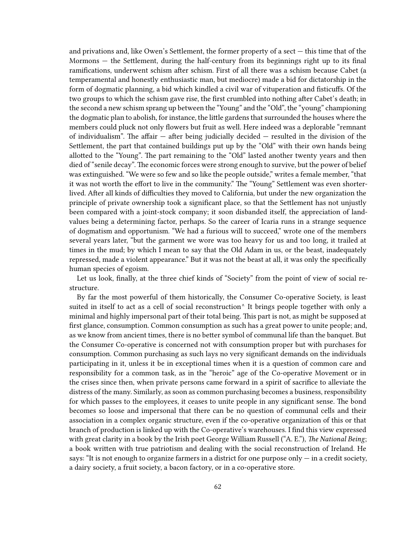and privations and, like Owen's Settlement, the former property of a sect — this time that of the Mormons — the Settlement, during the half-century from its beginnings right up to its final ramifications, underwent schism after schism. First of all there was a schism because Cabet (a temperamental and honestly enthusiastic man, but mediocre) made a bid for dictatorship in the form of dogmatic planning, a bid which kindled a civil war of vituperation and fisticuffs. Of the two groups to which the schism gave rise, the first crumbled into nothing after Cabet's death; in the second a new schism sprang up between the "Young" and the "Old", the "young" championing the dogmatic plan to abolish, for instance, the little gardens that surrounded the houses where the members could pluck not only flowers but fruit as well. Here indeed was a deplorable "remnant of individualism". The affair  $-$  after being judicially decided  $-$  resulted in the division of the Settlement, the part that contained buildings put up by the "Old" with their own hands being allotted to the "Young". The part remaining to the "Old" lasted another twenty years and then died of "senile decay". The economic forces were strong enough to survive, but the power of belief was extinguished. "We were so few and so like the people outside," writes a female member, "that it was not worth the effort to live in the community." The "Young" Settlement was even shorterlived. After all kinds of difficulties they moved to California, but under the new organization the principle of private ownership took a significant place, so that the Settlement has not unjustly been compared with a joint-stock company; it soon disbanded itself, the appreciation of landvalues being a determining factor, perhaps. So the career of Icaria runs in a strange sequence of dogmatism and opportunism. "We had a furious will to succeed," wrote one of the members several years later, "but the garment we wore was too heavy for us and too long, it trailed at times in the mud; by which I mean to say that the Old Adam in us, or the beast, inadequately repressed, made a violent appearance." But it was not the beast at all, it was only the specifically human species of egoism.

Let us look, finally, at the three chief kinds of "Society" from the point of view of social restructure.

By far the most powerful of them historically, the Consumer Co-operative Society, is least suited in itself to act as a cell of social reconstruction $\wedge$  It brings people together with only a minimal and highly impersonal part of their total being. This part is not, as might be supposed at first glance, consumption. Common consumption as such has a great power to unite people; and, as we know from ancient times, there is no better symbol of communal life than the banquet. But the Consumer Co-operative is concerned not with consumption proper but with purchases for consumption. Common purchasing as such lays no very significant demands on the individuals participating in it, unless it be in exceptional times when it is a question of common care and responsibility for a common task, as in the "heroic" age of the Co-operative Movement or in the crises since then, when private persons came forward in a spirit of sacrifice to alleviate the distress of the many. Similarly, as soon as common purchasing becomes a business, responsibility for which passes to the employees, it ceases to unite people in any significant sense. The bond becomes so loose and impersonal that there can be no question of communal cells and their association in a complex organic structure, even if the co-operative organization of this or that branch of production is linked up with the Co-operative's warehouses. I find this view expressed with great clarity in a book by the Irish poet George William Russell ("A. E."), *The National Being*; a book written with true patriotism and dealing with the social reconstruction of Ireland. He says: "It is not enough to organize farmers in a district for one purpose only  $-$  in a credit society, a dairy society, a fruit society, a bacon factory, or in a co-operative store.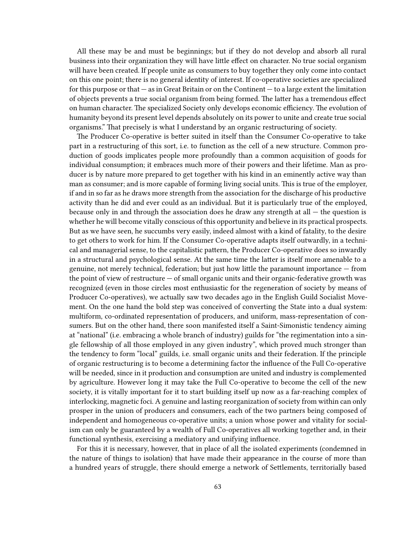All these may be and must be beginnings; but if they do not develop and absorb all rural business into their organization they will have little effect on character. No true social organism will have been created. If people unite as consumers to buy together they only come into contact on this one point; there is no general identity of interest. If co-operative societies are specialized for this purpose or that — as in Great Britain or on the Continent — to a large extent the limitation of objects prevents a true social organism from being formed. The latter has a tremendous effect on human character. The specialized Society only develops economic efficiency. The evolution of humanity beyond its present level depends absolutely on its power to unite and create true social organisms." That precisely is what I understand by an organic restructuring of society.

The Producer Co-operative is better suited in itself than the Consumer Co-operative to take part in a restructuring of this sort, i.e. to function as the cell of a new structure. Common production of goods implicates people more profoundly than a common acquisition of goods for individual consumption; it embraces much more of their powers and their lifetime. Man as producer is by nature more prepared to get together with his kind in an eminently active way than man as consumer; and is more capable of forming living social units. This is true of the employer, if and in so far as he draws more strength from the association for the discharge of his productive activity than he did and ever could as an individual. But it is particularly true of the employed, because only in and through the association does he draw any strength at all  $-$  the question is whether he will become vitally conscious of this opportunity and believe in its practical prospects. But as we have seen, he succumbs very easily, indeed almost with a kind of fatality, to the desire to get others to work for him. If the Consumer Co-operative adapts itself outwardly, in a technical and managerial sense, to the capitalistic pattern, the Producer Co-operative does so inwardly in a structural and psychological sense. At the same time the latter is itself more amenable to a genuine, not merely technical, federation; but just how little the paramount importance — from the point of view of restructure — of small organic units and their organic-federative growth was recognized (even in those circles most enthusiastic for the regeneration of society by means of Producer Co-operatives), we actually saw two decades ago in the English Guild Socialist Movement. On the one hand the bold step was conceived of converting the State into a dual system: multiform, co-ordinated representation of producers, and uniform, mass-representation of consumers. But on the other hand, there soon manifested itself a Saint-Simonistic tendency aiming at "national" (i.e. embracing a whole branch of industry) guilds for "the regimentation into a single fellowship of all those employed in any given industry", which proved much stronger than the tendency to form "local" guilds, i.e. small organic units and their federation. If the principle of organic restructuring is to become a determining factor the influence of the Full Co-operative will be needed, since in it production and consumption are united and industry is complemented by agriculture. However long it may take the Full Co-operative to become the cell of the new society, it is vitally important for it to start building itself up now as a far-reaching complex of interlocking, magnetic foci. A genuine and lasting reorganization of society from within can only prosper in the union of producers and consumers, each of the two partners being composed of independent and homogeneous co-operative units; a union whose power and vitality for socialism can only be guaranteed by a wealth of Full Co-operatives all working together and, in their functional synthesis, exercising a mediatory and unifying influence.

For this it is necessary, however, that in place of all the isolated experiments (condemned in the nature of things to isolation) that have made their appearance in the course of more than a hundred years of struggle, there should emerge a network of Settlements, territorially based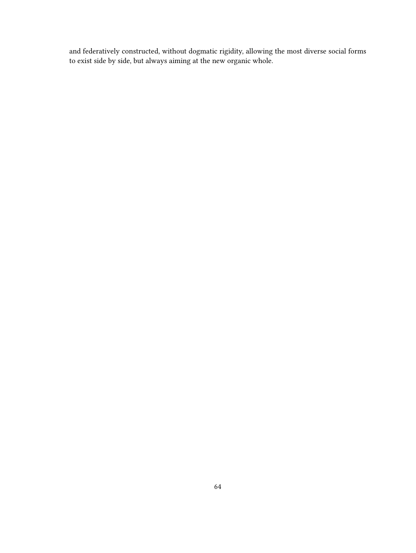and federatively constructed, without dogmatic rigidity, allowing the most diverse social forms to exist side by side, but always aiming at the new organic whole.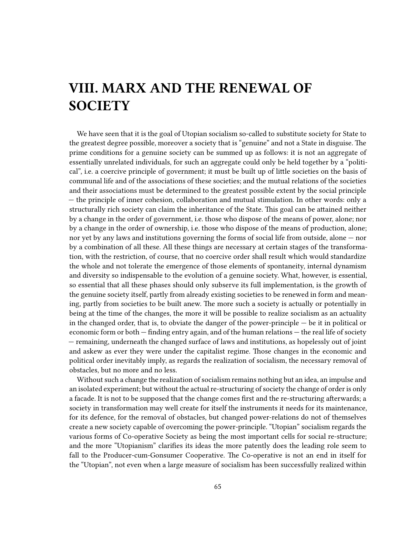## **VIII. MARX AND THE RENEWAL OF SOCIETY**

We have seen that it is the goal of Utopian socialism so-called to substitute society for State to the greatest degree possible, moreover a society that is "genuine" and not a State in disguise. The prime conditions for a genuine society can be summed up as follows: it is not an aggregate of essentially unrelated individuals, for such an aggregate could only be held together by a "political", i.e. a coercive principle of government; it must be built up of little societies on the basis of communal life and of the associations of these societies; and the mutual relations of the societies and their associations must be determined to the greatest possible extent by the social principle — the principle of inner cohesion, collaboration and mutual stimulation. In other words: only a structurally rich society can claim the inheritance of the State. This goal can be attained neither by a change in the order of government, i.e. those who dispose of the means of power, alone; nor by a change in the order of ownership, i.e. those who dispose of the means of production, alone; nor yet by any laws and institutions governing the forms of social life from outside, alone — nor by a combination of all these. All these things are necessary at certain stages of the transformation, with the restriction, of course, that no coercive order shall result which would standardize the whole and not tolerate the emergence of those elements of spontaneity, internal dynamism and diversity so indispensable to the evolution of a genuine society. What, however, is essential, so essential that all these phases should only subserve its full implementation, is the growth of the genuine society itself, partly from already existing societies to be renewed in form and meaning, partly from societies to be built anew. The more such a society is actually or potentially in being at the time of the changes, the more it will be possible to realize socialism as an actuality in the changed order, that is, to obviate the danger of the power-principle  $-$  be it in political or economic form or both — finding entry again, and of the human relations — the real life of society — remaining, underneath the changed surface of laws and institutions, as hopelessly out of joint and askew as ever they were under the capitalist regime. Those changes in the economic and political order inevitably imply, as regards the realization of socialism, the necessary removal of obstacles, but no more and no less.

Without such a change the realization of socialism remains nothing but an idea, an impulse and an isolated experiment; but without the actual re-structuring of society the change of order is only a facade. It is not to be supposed that the change comes first and the re-structuring afterwards; a society in transformation may well create for itself the instruments it needs for its maintenance, for its defence, for the removal of obstacles, but changed power-relations do not of themselves create a new society capable of overcoming the power-principle. "Utopian" socialism regards the various forms of Co-operative Society as being the most important cells for social re-structure; and the more "Utopianism" clarifies its ideas the more patently does the leading role seem to fall to the Producer-cum-Gonsumer Cooperative. The Co-operative is not an end in itself for the "Utopian", not even when a large measure of socialism has been successfully realized within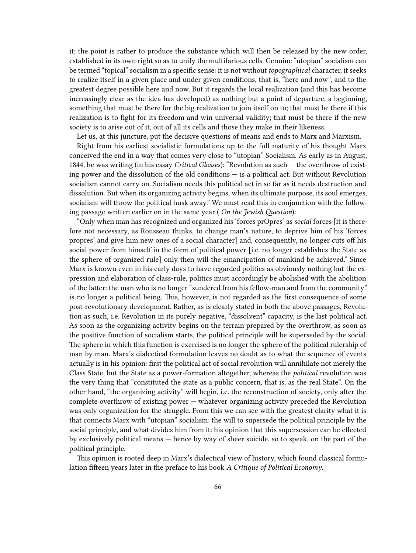it; the point is rather to produce the substance which will then be released by the new order, established in its own right so as to unify the multifarious cells. Genuine "utopian" socialism can be termed "topical" socialism in a specific sense: it is not without *topographical* character, it seeks to realize itself in a given place and under given conditions, that is, "here and now", and to the greatest degree possible here and now. But it regards the local realization (and this has become increasingly clear as the idea has developed) as nothing but a point of departure, a beginning, something that must be there for the big realization to join itself on to; that must be there if this realization is to fight for its freedom and win universal validity; that must be there if the new society is to arise out of it, out of all its cells and those they make in their likeness.

Let us, at this juncture, put the decisive questions of means and ends to Marx and Marxism.

Right from his earliest socialistic formulations up to the full maturity of his thought Marx conceived the end in a way that comes very close to "utopian" Socialism. As early as in August, 1844, he was writing (in his essay *Critical Glosses*): "Revolution as such — the overthrow of existing power and the dissolution of the old conditions — is a political act. But without Revolution socialism cannot carry on. Socialism needs this political act in so far as it needs destruction and dissolution. But when its organizing activity begins, when its ultimate purpose, its soul emerges, socialism will throw the political husk away." We must read this in conjunction with the following passage written earlier on in the same year ( *On the Jewish Question*):

"Only when man has recognized and organized his 'forces prOpres' as *social* forces [it is therefore not necessary, as Rousseau thinks, to change man's nature, to deprive him of his 'forces propres' and give him new ones of a social character] and, consequently, no longer cuts off his social power from himself in the form of political power [i.e. no longer establishes the State as the sphere of organized rule] only then will the emancipation of mankind be achieved." Since Marx is known even in his early days to have regarded politics as obviously nothing but the expression and elaboration of class-rule, politics must accordingly be abolished with the abolition of the latter: the man who is no longer "sundered from his fellow-man and from the community" is no longer a political being. This, however, is not regarded as the first consequence of some post-revolutionary development. Rather, as is clearly stated in both the above passages, Revolution as such, i.e. Revolution in its purely negative, "dissolvent" capacity, is the last political act. As soon as the organizing activity begins on the terrain prepared by the overthrow, as soon as the positive function of socialism starts, the political principle will be superseded by the social. The sphere in which this function is exercised is no longer the sphere of the political rulership of man by man. Marx's dialectical formulation leaves no doubt as to what the sequence of events actually is in his opinion: first the political act of social revolution will annihilate not merely the Class State, but the State as a power-formation altogether, whereas the *political* revolution was the very thing that "constituted the state as a public concern, that is, as the real State". On the other hand, "the organizing activity" will begin, i.e. the reconstruction of society, only after the complete overthrow of existing power — whatever organizing activity preceded the Revolution was only organization for the struggle. From this we can see with the greatest clarity what it is that connects Marx with "utopian" socialism: the will to supersede the political principle by the social principle, and what divides him from it: his opinion that this supersession can be effected by exclusively political means — hence by way of sheer suicide, so to speak, on the part of the political principle.

This opinion is rooted deep in Marx's dialectical view of history, which found classical formulation fifteen years later in the preface to his book *A Critique of Political Economy*.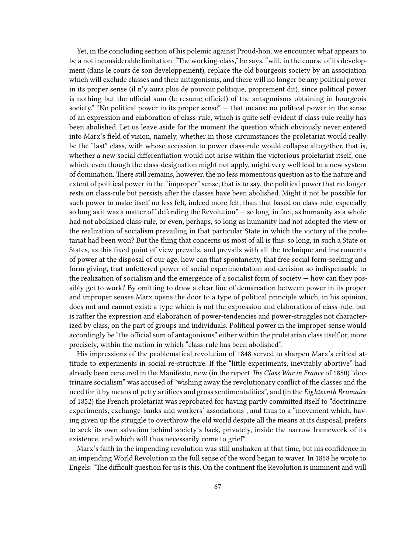Yet, in the concluding section of his polemic against Proud-hon, we encounter what appears to be a not inconsiderable limitation. "The working-class," he says, "will, in the course of its development (dans le cours de son developpement), replace the old bourgeois society by an association which will exclude classes and their antagonisms, and there will no longer be any political power in its proper sense (il n'y aura plus de pouvoir politique, proprement dit), since political power is nothing but the official sum (le resume officiel) of the antagonisms obtaining in bourgeois society." "No political power in its proper sense" — that means: no political power in the sense of an expression and elaboration of class-rule, which is quite self-evident if class-rule really has been abolished. Let us leave aside for the moment the question which obviously never entered into Marx's field of vision, namely, whether in those circumstances the proletariat would really be the "last" class, with whose accession to power class-rule would collapse altogether, that is, whether a new social differentiation would not arise within the victorious proletariat itself, one which, even though the class-designation might not apply, might very well lead to a new system of domination. There still remains, however, the no less momentous question as to the nature and extent of political power in the "improper" sense, that is to say, the political power that no longer rests on class-rule but persists after the classes have been abolished. Might it not be possible for such power to make itself no less felt, indeed more felt, than that based on class-rule, especially so long as it was a matter of "defending the Revolution" — so long, in fact, as humanity as a whole had not abolished class-rule, or even, perhaps, so long as humanity had not adopted the view or the realization of socialism prevailing in that particular State in which the victory of the proletariat had been won? But the thing that concerns us most of all is this: so long, in such a State or States, as this fixed point of view prevails, and prevails with all the technique and instruments of power at the disposal of our age, how can that spontaneity, that free social form-seeking and form-giving, that unfettered power of social experimentation and decision so indispensable to the realization of socialism and the emergence of a socialist form of society  $-$  how can they possibly get to work? By omitting to draw a clear line of demarcation between power in its proper and improper senses Marx opens the door to a type of political principle which, in his opinion, does not and cannot exist: a type which is not the expression and elaboration of class-rule, but is rather the expression and elaboration of power-tendencies and power-struggles not characterized by class, on the part of groups and individuals. Political power in the improper sense would accordingly be "the official sum of antagonisms" either within the proletarian class itself or, more precisely, within the nation in which "class-rule has been abolished".

His impressions of the problematical revolution of 1848 served to sharpen Marx's critical attitude to experiments in social re-structure. If the "little experiments, inevitably abortive" had already been censured in the Manifesto, now (in the report *The Class War in France* of 1850) "doctrinaire socialism" was accused of "wishing away the revolutionary conflict of the classes and the need for it by means of petty artifices and gross sentimentalities", and (in the *Eighteenth Brumaire* of 1852) the French proletariat was reprobated for having partly committed itself to "doctrinaire experiments, exchange-banks and workers' associations", and thus to a "movement which, having given up the struggle to overthrow the old world despite all the means at its disposal, prefers to seek its own salvation behind society's back, privately, inside the narrow framework of its existence, and which will thus necessarily come to grief".

Marx's faith in the impending revolution was still unshaken at that time, but his confidence in an impending World Revolution in the full sense of the word began to waver. In 1858 he wrote to Engels: "The difficult question for us is this. On the continent the Revolution is imminent and will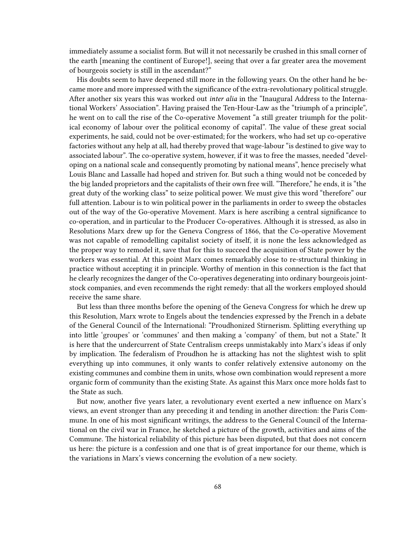immediately assume a socialist form. But will it not necessarily be crushed in this small corner of the earth [meaning the continent of Europe!], seeing that over a far greater area the movement of bourgeois society is still in the ascendant?"

His doubts seem to have deepened still more in the following years. On the other hand he became more and more impressed with the significance of the extra-revolutionary political struggle. After another six years this was worked out *inter alia* in the "Inaugural Address to the International Workers' Association". Having praised the Ten-Hour-Law as the "triumph of a principle", he went on to call the rise of the Co-operative Movement "a still greater triumph for the political economy of labour over the political economy of capital". The value of these great social experiments, he said, could not be over-estimated; for the workers, who had set up co-operative factories without any help at all, had thereby proved that wage-labour "is destined to give way to associated labour". The co-operative system, however, if it was to free the masses, needed "developing on a national scale and consequently promoting by national means", hence precisely what Louis Blanc and Lassalle had hoped and striven for. But such a thing would not be conceded by the big landed proprietors and the capitalists of their own free will. "Therefore," he ends, it is "the great duty of the working class" to seize political power. We must give this word "therefore" our full attention. Labour is to win political power in the parliaments in order to sweep the obstacles out of the way of the Go-operative Movement. Marx is here ascribing a central significance to co-operation, and in particular to the Producer Co-operatives. Although it is stressed, as also in Resolutions Marx drew up for the Geneva Congress of 1866, that the Co-operative Movement was not capable of remodelling capitalist society of itself, it is none the less acknowledged as the proper way to remodel it, save that for this to succeed the acquisition of State power by the workers was essential. At this point Marx comes remarkably close to re-structural thinking in practice without accepting it in principle. Worthy of mention in this connection is the fact that he clearly recognizes the danger of the Co-operatives degenerating into ordinary bourgeois jointstock companies, and even recommends the right remedy: that all the workers employed should receive the same share.

But less than three months before the opening of the Geneva Congress for which he drew up this Resolution, Marx wrote to Engels about the tendencies expressed by the French in a debate of the General Council of the International: "Proudhonized Stirnerism. Splitting everything up into little 'groupes' or 'communes' and then making a 'company' of them, but not a State." It is here that the undercurrent of State Centralism creeps unmistakably into Marx's ideas if only by implication. The federalism of Proudhon he is attacking has not the slightest wish to split everything up into communes, it only wants to confer relatively extensive autonomy on the existing communes and combine them in units, whose own combination would represent a more organic form of community than the existing State. As against this Marx once more holds fast to the State as such.

But now, another five years later, a revolutionary event exerted a new influence on Marx's views, an event stronger than any preceding it and tending in another direction: the Paris Commune. In one of his most significant writings, the address to the General Council of the International on the civil war in France, he sketched a picture of the growth, activities and aims of the Commune. The historical reliability of this picture has been disputed, but that does not concern us here: the picture is a confession and one that is of great importance for our theme, which is the variations in Marx's views concerning the evolution of a new society.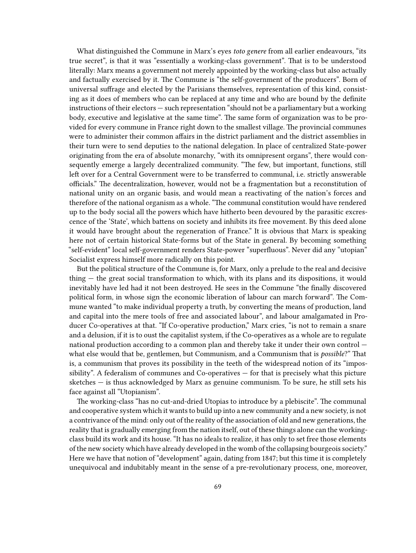What distinguished the Commune in Marx's eyes *toto genere* from all earlier endeavours, "its true secret", is that it was "essentially a working-class government". That is to be understood literally: Marx means a government not merely appointed by the working-class but also actually and factually exercised by it. The Commune is "the self-government of the producers". Born of universal suffrage and elected by the Parisians themselves, representation of this kind, consisting as it does of members who can be replaced at any time and who are bound by the definite instructions of their electors — such representation "should not be a parliamentary but a working body, executive and legislative at the same time". The same form of organization was to be provided for every commune in France right down to the smallest village. The provincial communes were to administer their common affairs in the district parliament and the district assemblies in their turn were to send deputies to the national delegation. In place of centralized State-power originating from the era of absolute monarchy, "with its omnipresent organs", there would consequently emerge a largely decentralized community. "The few, but important, functions, still left over for a Central Government were to be transferred to communal, i.e. strictly answerable officials." The decentralization, however, would not be a fragmentation but a reconstitution of national unity on an organic basis, and would mean a reactivating of the nation's forces and therefore of the national organism as a whole. "The communal constitution would have rendered up to the body social all the powers which have hitherto been devoured by the parasitic excrescence of the 'State', which battens on society and inhibits its free movement. By this deed alone it would have brought about the regeneration of France." It is obvious that Marx is speaking here not of certain historical State-forms but of the State in general. By becoming something "self-evident" local self-government renders State-power "superfluous". Never did any "utopian" Socialist express himself more radically on this point.

But the political structure of the Commune is, for Marx, only a prelude to the real and decisive thing — the great social transformation to which, with its plans and its dispositions, it would inevitably have led had it not been destroyed. He sees in the Commune "the finally discovered political form, in whose sign the economic liberation of labour can march forward". The Commune wanted "to make individual property a truth, by converting the means of production, land and capital into the mere tools of free and associated labour", and labour amalgamated in Producer Co-operatives at that. "If Co-operative production," Marx cries, "is not to remain a snare and a delusion, if it is to oust the capitalist system, if the Co-operatives as a whole are to regulate national production according to a common plan and thereby take it under their own control what else would that be, gentlemen, but Communism, and a Communism that is *possible*?" That is, a communism that proves its possibility in the teeth of the widespread notion of its "impossibility". A federalism of communes and Co-operatives — for that is precisely what this picture sketches — is thus acknowledged by Marx as genuine communism. To be sure, he still sets his face against all "Utopianism".

The working-class "has no cut-and-dried Utopias to introduce by a plebiscite". The communal and cooperative system which it wants to build up into a new community and a new society, is not a contrivance of the mind: only out of the reality of the association of old and new generations, the reality that is gradually emerging from the nation itself, out of these things alone can the workingclass build its work and its house. "It has no ideals to realize, it has only to set free those elements of the new society which have already developed in the womb of the collapsing bourgeois society." Here we have that notion of "development" again, dating from 1847; but this time it is completely unequivocal and indubitably meant in the sense of a pre-revolutionary process, one, moreover,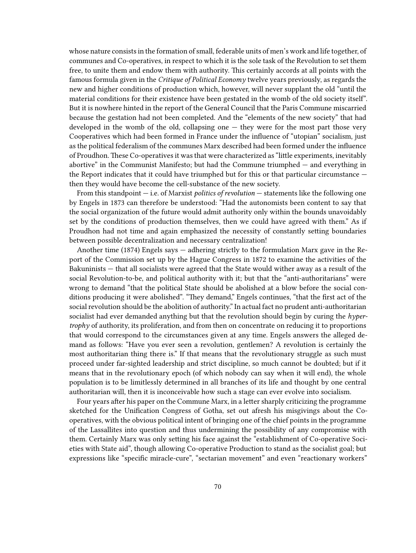whose nature consists in the formation of small, federable units of men's work and life together, of communes and Co-operatives, in respect to which it is the sole task of the Revolution to set them free, to unite them and endow them with authority. This certainly accords at all points with the famous formula given in the *Critique of Political Economy* twelve years previously, as regards the new and higher conditions of production which, however, will never supplant the old "until the material conditions for their existence have been gestated in the womb of the old society itself". But it is nowhere hinted in the report of the General Council that the Paris Commune miscarried because the gestation had not been completed. And the "elements of the new society" that had developed in the womb of the old, collapsing one  $-$  they were for the most part those very Cooperatives which had been formed in France under the influence of "utopian" socialism, just as the political federalism of the communes Marx described had been formed under the influence of Proudhon. These Co-operatives it was that were characterized as "little experiments, inevitably abortive" in the Communist Manifesto; but had the Commune triumphed — and everything in the Report indicates that it could have triumphed but for this or that particular circumstance then they would have become the cell-substance of the new society.

From this standpoint — i.e. of Marxist *politics of revolution* — statements like the following one by Engels in 1873 can therefore be understood: "Had the autonomists been content to say that the social organization of the future would admit authority only within the bounds unavoidably set by the conditions of production themselves, then we could have agreed with them." As if Proudhon had not time and again emphasized the necessity of constantly setting boundaries between possible decentralization and necessary centralization!

Another time (1874) Engels says — adhering strictly to the formulation Marx gave in the Report of the Commission set up by the Hague Congress in 1872 to examine the activities of the Bakuninists — that all socialists were agreed that the State would wither away as a result of the social Revolution-to-be, and political authority with it; but that the "anti-authoritarians" were wrong to demand "that the political State should be abolished at a blow before the social conditions producing it were abolished". "They demand," Engels continues, "that the first act of the social revolution should be the abolition of authority." In actual fact no prudent anti-authoritarian socialist had ever demanded anything but that the revolution should begin by curing the *hypertrophy* of authority, its proliferation, and from then on concentrate on reducing it to proportions that would correspond to the circumstances given at any time. Engels answers the alleged demand as follows: "Have you ever seen a revolution, gentlemen? A revolution is certainly the most authoritarian thing there is." If that means that the revolutionary struggle as such must proceed under far-sighted leadership and strict discipline, so much cannot be doubted; but if it means that in the revolutionary epoch (of which nobody can say when it will end), the whole population is to be limitlessly determined in all branches of its life and thought by one central authoritarian will, then it is inconceivable how such a stage can ever evolve into socialism.

Four years after his paper on the Commune Marx, in a letter sharply criticizing the programme sketched for the Unification Congress of Gotha, set out afresh his misgivings about the Cooperatives, with the obvious political intent of bringing one of the chief points in the programme of the Lassallites into question and thus undermining the possibility of any compromise with them. Certainly Marx was only setting his face against the "establishment of Co-operative Societies with State aid", though allowing Co-operative Production to stand as the socialist goal; but expressions like "specific miracle-cure", "sectarian movement" and even "reactionary workers"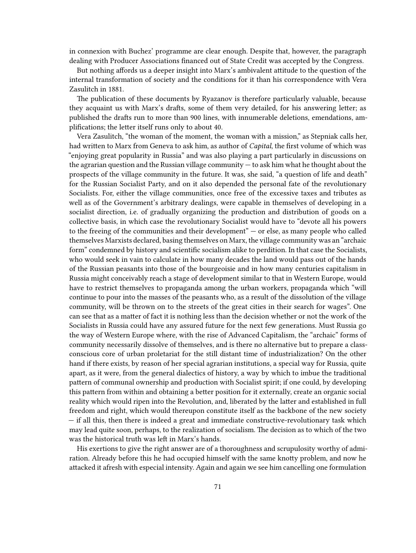in connexion with Buchez' programme are clear enough. Despite that, however, the paragraph dealing with Producer Associations financed out of State Credit was accepted by the Congress.

But nothing affords us a deeper insight into Marx's ambivalent attitude to the question of the internal transformation of society and the conditions for it than his correspondence with Vera Zasulitch in 1881.

The publication of these documents by Ryazanov is therefore particularly valuable, because they acquaint us with Marx's drafts, some of them very detailed, for his answering letter; as published the drafts run to more than 900 lines, with innumerable deletions, emendations, amplifications; the letter itself runs only to about 40.

Vera Zasulitch, "the woman of the moment, the woman with a mission," as Stepniak calls her, had written to Marx from Geneva to ask him, as author of *Capital*, the first volume of which was "enjoying great popularity in Russia" and was also playing a part particularly in discussions on the agrarian question and the Russian village community  $-$  to ask him what he thought about the prospects of the village community in the future. It was, she said, "a question of life and death" for the Russian Socialist Party, and on it also depended the personal fate of the revolutionary Socialists. For, either the village communities, once free of the excessive taxes and tributes as well as of the Government's arbitrary dealings, were capable in themselves of developing in a socialist direction, i.e. of gradually organizing the production and distribution of goods on a collective basis, in which case the revolutionary Socialist would have to "devote all his powers to the freeing of the communities and their development" — or else, as many people who called themselves Marxists declared, basing themselves on Marx, the village community was an "archaic form" condemned by history and scientific socialism alike to perdition. In that case the Socialists, who would seek in vain to calculate in how many decades the land would pass out of the hands of the Russian peasants into those of the bourgeoisie and in how many centuries capitalism in Russia might conceivably reach a stage of development similar to that in Western Europe, would have to restrict themselves to propaganda among the urban workers, propaganda which "will continue to pour into the masses of the peasants who, as a result of the dissolution of the village community, will be thrown on to the streets of the great cities in their search for wages". One can see that as a matter of fact it is nothing less than the decision whether or not the work of the Socialists in Russia could have any assured future for the next few generations. Must Russia go the way of Western Europe where, with the rise of Advanced Capitalism, the "archaic" forms of community necessarily dissolve of themselves, and is there no alternative but to prepare a classconscious core of urban proletariat for the still distant time of industrialization? On the other hand if there exists, by reason of her special agrarian institutions, a special way for Russia, quite apart, as it were, from the general dialectics of history, a way by which to imbue the traditional pattern of communal ownership and production with Socialist spirit; if one could, by developing this pattern from within and obtaining a better position for it externally, create an organic social reality which would ripen into the Revolution, and, liberated by the latter and established in full freedom and right, which would thereupon constitute itself as the backbone of the new society — if all this, then there is indeed a great and immediate constructive-revolutionary task which may lead quite soon, perhaps, to the realization of socialism. The decision as to which of the two was the historical truth was left in Marx's hands.

His exertions to give the right answer are of a thoroughness and scrupulosity worthy of admiration. Already before this he had occupied himself with the same knotty problem, and now he attacked it afresh with especial intensity. Again and again we see him cancelling one formulation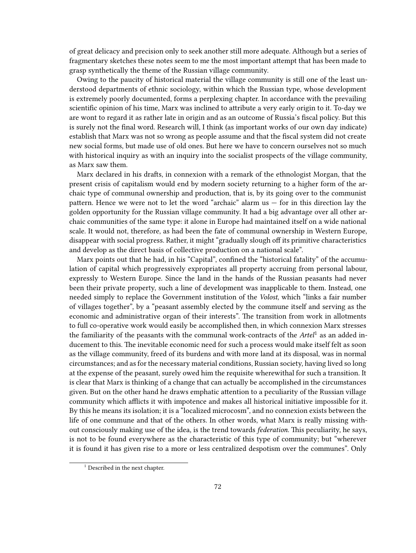of great delicacy and precision only to seek another still more adequate. Although but a series of fragmentary sketches these notes seem to me the most important attempt that has been made to grasp synthetically the theme of the Russian village community.

Owing to the paucity of historical material the village community is still one of the least understood departments of ethnic sociology, within which the Russian type, whose development is extremely poorly documented, forms a perplexing chapter. In accordance with the prevailing scientific opinion of his time, Marx was inclined to attribute a very early origin to it. To-day we are wont to regard it as rather late in origin and as an outcome of Russia's fiscal policy. But this is surely not the final word. Research will, I think (as important works of our own day indicate) establish that Marx was not so wrong as people assume and that the fiscal system did not create new social forms, but made use of old ones. But here we have to concern ourselves not so much with historical inquiry as with an inquiry into the socialist prospects of the village community, as Marx saw them.

Marx declared in his drafts, in connexion with a remark of the ethnologist Morgan, that the present crisis of capitalism would end by modern society returning to a higher form of the archaic type of communal ownership and production, that is, by its going over to the communist pattern. Hence we were not to let the word "archaic" alarm us — for in this direction lay the golden opportunity for the Russian village community. It had a big advantage over all other archaic communities of the same type: it alone in Europe had maintained itself on a wide national scale. It would not, therefore, as had been the fate of communal ownership in Western Europe, disappear with social progress. Rather, it might "gradually slough off its primitive characteristics and develop as the direct basis of collective production on a national scale".

Marx points out that he had, in his "Capital", confined the "historical fatality" of the accumulation of capital which progressively expropriates all property accruing from personal labour, expressly to Western Europe. Since the land in the hands of the Russian peasants had never been their private property, such a line of development was inapplicable to them. Instead, one needed simply to replace the Government institution of the *Volost*, which "links a fair number of villages together", by a "peasant assembly elected by the commune itself and serving as the economic and administrative organ of their interests". The transition from work in allotments to full co-operative work would easily be accomplished then, in which connexion Marx stresses the familiarity of the peasants with the communal work-contracts of the *Artel*<sup>1</sup> as an added inducement to this. The inevitable economic need for such a process would make itself felt as soon as the village community, freed of its burdens and with more land at its disposal, was in normal circumstances; and as for the necessary material conditions, Russian society, having lived so long at the expense of the peasant, surely owed him the requisite wherewithal for such a transition. It is clear that Marx is thinking of a change that can actually be accomplished in the circumstances given. But on the other hand he draws emphatic attention to a peculiarity of the Russian village community which afflicts it with impotence and makes all historical initiative impossible for it. By this he means its isolation; it is a "localized microcosm", and no connexion exists between the life of one commune and that of the others. In other words, what Marx is really missing without consciously making use of the idea, is the trend towards *federation*. This peculiarity, he says, is not to be found everywhere as the characteristic of this type of community; but "wherever it is found it has given rise to a more or less centralized despotism over the communes". Only

 $1$  Described in the next chapter.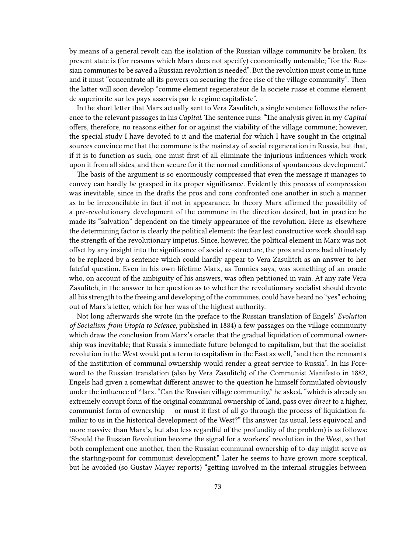by means of a general revolt can the isolation of the Russian village community be broken. Its present state is (for reasons which Marx does not specify) economically untenable; "for the Russian communes to be saved a Russian revolution is needed". But the revolution must come in time and it must "concentrate all its powers on securing the free rise of the village community". Then the latter will soon develop "comme element regenerateur de la societe russe et comme element de superiorite sur les pays asservis par le regime capitaliste".

In the short letter that Marx actually sent to Vera Zasulitch, a single sentence follows the reference to the relevant passages in his *Capital*. The sentence runs: "The analysis given in my *Capital* offers, therefore, no reasons either for or against the viability of the village commune; however, the special study I have devoted to it and the material for which I have sought in the original sources convince me that the commune is the mainstay of social regeneration in Russia, but that, if it is to function as such, one must first of all eliminate the injurious influences which work upon it from all sides, and then secure for it the normal conditions of spontaneous development."

The basis of the argument is so enormously compressed that even the message it manages to convey can hardly be grasped in its proper significance. Evidently this process of compression was inevitable, since in the drafts the pros and cons confronted one another in such a manner as to be irreconcilable in fact if not in appearance. In theory Marx affirmed the possibility of a pre-revolutionary development of the commune in the direction desired, but in practice he made its "salvation" dependent on the timely appearance of the revolution. Here as elsewhere the determining factor is clearly the political element: the fear lest constructive work should sap the strength of the revolutionary impetus. Since, however, the political element in Marx was not offset by any insight into the significance of social re-structure, the pros and cons had ultimately to be replaced by a sentence which could hardly appear to Vera Zasulitch as an answer to her fateful question. Even in his own lifetime Marx, as Tonnies says, was something of an oracle who, on account of the ambiguity of his answers, was often petitioned in vain. At any rate Vera Zasulitch, in the answer to her question as to whether the revolutionary socialist should devote all his strength to the freeing and developing of the communes, could have heard no "yes" echoing out of Marx's letter, which for her was of the highest authority.

Not long afterwards she wrote (in the preface to the Russian translation of Engels' *Evolution of Socialism from Utopia to Science*, published in 1884) a few passages on the village community which draw the conclusion from Marx's oracle: that the gradual liquidation of communal ownership was inevitable; that Russia's immediate future belonged to capitalism, but that the socialist revolution in the West would put a term to capitalism in the East as well, "and then the remnants of the institution of communal ownership would render a great service to Russia". In his Foreword to the Russian translation (also by Vera Zasulitch) of the Communist Manifesto in 1882, Engels had given a somewhat different answer to the question he himself formulated obviously under the influence of ^larx. "Can the Russian village community," he asked, "which is already an extremely corrupt form of the original communal ownership of land, pass over *direct* to a higher, communist form of ownership — or must it first of all go through the process of liquidation familiar to us in the historical development of the West?" His answer (as usual, less equivocal and more massive than Marx's, but also less regardful of the profundity of the problem) is as follows: "Should the Russian Revolution become the signal for a workers' revolution in the West, so that both complement one another, then the Russian communal ownership of to-day might serve as the starting-point for communist development." Later he seems to have grown more sceptical, but he avoided (so Gustav Mayer reports) "getting involved in the internal struggles between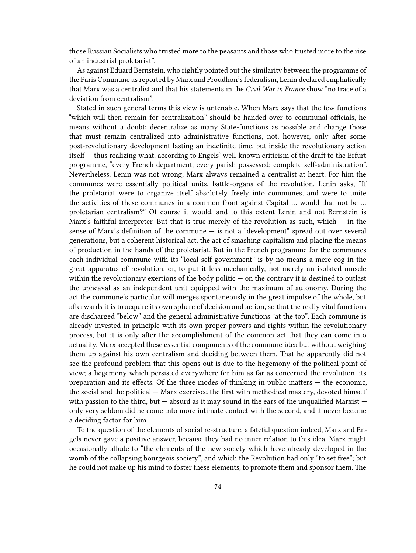those Russian Socialists who trusted more to the peasants and those who trusted more to the rise of an industrial proletariat".

As against Eduard Bernstein, who rightly pointed out the similarity between the programme of the Paris Commune as reported by Marx and Proudhon's federalism, Lenin declared emphatically that Marx was a centralist and that his statements in the *Civil War in France* show "no trace of a deviation from centralism".

Stated in such general terms this view is untenable. When Marx says that the few functions "which will then remain for centralization" should be handed over to communal officials, he means without a doubt: decentralize as many State-functions as possible and change those that must remain centralized into administrative functions, not, however, only after some post-revolutionary development lasting an indefinite time, but inside the revolutionary action itself — thus realizing what, according to Engels' well-known criticism of the draft to the Erfurt programme, "every French department, every parish possessed: complete self-administration". Nevertheless, Lenin was not wrong; Marx always remained a centralist at heart. For him the communes were essentially political units, battle-organs of the revolution. Lenin asks, "If the proletariat were to organize itself absolutely freely into communes, and were to unite the activities of these communes in a common front against Capital … would that not be … proletarian centralism?" Of course it would, and to this extent Lenin and not Bernstein is Marx's faithful interpreter. But that is true merely of the revolution as such, which  $-$  in the sense of Marx's definition of the commune — is not a "development" spread out over several generations, but a coherent historical act, the act of smashing capitalism and placing the means of production in the hands of the proletariat. But in the French programme for the communes each individual commune with its "local self-government" is by no means a mere cog in the great apparatus of revolution, or, to put it less mechanically, not merely an isolated muscle within the revolutionary exertions of the body politic  $-$  on the contrary it is destined to outlast the upheaval as an independent unit equipped with the maximum of autonomy. During the act the commune's particular will merges spontaneously in the great impulse of the whole, but afterwards it is to acquire its own sphere of decision and action, so that the really vital functions are discharged "below" and the general administrative functions "at the top". Each commune is already invested in principle with its own proper powers and rights within the revolutionary process, but it is only after the accomplishment of the common act that they can come into actuality. Marx accepted these essential components of the commune-idea but without weighing them up against his own centralism and deciding between them. That he apparently did not see the profound problem that this opens out is due to the hegemony of the political point of view; a hegemony which persisted everywhere for him as far as concerned the revolution, its preparation and its effects. Of the three modes of thinking in public matters — the economic, the social and the political — Marx exercised the first with methodical mastery, devoted himself with passion to the third, but  $-$  absurd as it may sound in the ears of the unqualified Marxist  $$ only very seldom did he come into more intimate contact with the second, and it never became a deciding factor for him.

To the question of the elements of social re-structure, a fateful question indeed, Marx and Engels never gave a positive answer, because they had no inner relation to this idea. Marx might occasionally allude to "the elements of the new society which have already developed in the womb of the collapsing bourgeois society", and which the Revolution had only "to set free"; but he could not make up his mind to foster these elements, to promote them and sponsor them. The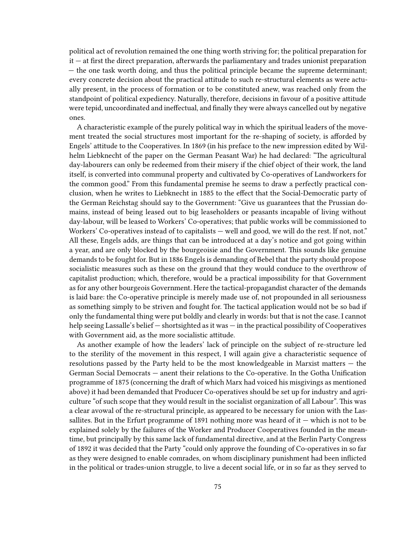political act of revolution remained the one thing worth striving for; the political preparation for it — at first the direct preparation, afterwards the parliamentary and trades unionist preparation — the one task worth doing, and thus the political principle became the supreme determinant; every concrete decision about the practical attitude to such re-structural elements as were actually present, in the process of formation or to be constituted anew, was reached only from the standpoint of political expediency. Naturally, therefore, decisions in favour of a positive attitude were tepid, uncoordinated and ineffectual, and finally they were always cancelled out by negative ones.

A characteristic example of the purely political way in which the spiritual leaders of the movement treated the social structures most important for the re-shaping of society, is afforded by Engels' attitude to the Cooperatives. In 1869 (in his preface to the new impression edited by Wilhelm Liebknecht of the paper on the German Peasant War) he had declared: "The agricultural day-labourers can only be redeemed from their misery if the chief object of their work, the land itself, is converted into communal property and cultivated by Co-operatives of Landworkers for the common good." From this fundamental premise he seems to draw a perfectly practical conclusion, when he writes to Liebknecht in 1885 to the effect that the Social-Democratic party of the German Reichstag should say to the Government: "Give us guarantees that the Prussian domains, instead of being leased out to big leaseholders or peasants incapable of living without day-labour, will be leased to Workers' Co-operatives; that public works will be commissioned to Workers' Co-operatives instead of to capitalists — well and good, we will do the rest. If not, not." All these, Engels adds, are things that can be introduced at a day's notice and got going within a year, and are only blocked by the bourgeoisie and the Government. This sounds like genuine demands to be fought for. But in 1886 Engels is demanding of Bebel that the party should propose socialistic measures such as these on the ground that they would conduce to the overthrow of capitalist production; which, therefore, would be a practical impossibility for that Government as for any other bourgeois Government. Here the tactical-propagandist character of the demands is laid bare: the Co-operative principle is merely made use of, not propounded in all seriousness as something simply to be striven and fought for. The tactical application would not be so bad if only the fundamental thing were put boldly and clearly in words: but that is not the case. I cannot help seeing Lassalle's belief - shortsighted as it was - in the practical possibility of Cooperatives with Government aid, as the more socialistic attitude.

As another example of how the leaders' lack of principle on the subject of re-structure led to the sterility of the movement in this respect, I will again give a characteristic sequence of resolutions passed by the Party held to be the most knowledgeable in Marxist matters — the German Social Democrats — anent their relations to the Co-operative. In the Gotha Unification programme of 1875 (concerning the draft of which Marx had voiced his misgivings as mentioned above) it had been demanded that Producer Co-operatives should be set up for industry and agriculture "of such scope that they would result in the socialist organization of all Labour". This was a clear avowal of the re-structural principle, as appeared to be necessary for union with the Lassallites. But in the Erfurt programme of 1891 nothing more was heard of it  $-$  which is not to be explained solely by the failures of the Worker and Producer Cooperatives founded in the meantime, but principally by this same lack of fundamental directive, and at the Berlin Party Congress of 1892 it was decided that the Party "could only approve the founding of Co-operatives in so far as they were designed to enable comrades, on whom disciplinary punishment had been inflicted in the political or trades-union struggle, to live a decent social life, or in so far as they served to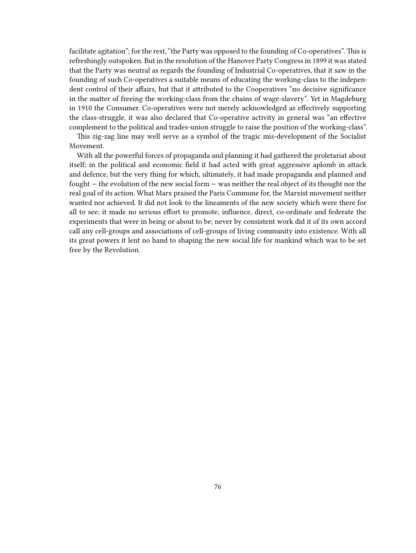facilitate agitation"; for the rest, "the Party was opposed to the founding of Co-operatives". This is refreshingly outspoken. But in the resolution of the Hanover Party Congress in 1899 it was stated that the Party was neutral as regards the founding of Industrial Co-operatives, that it saw in the founding of such Co-operatives a suitable means of educating the working-class to the independent control of their affairs, but that it attributed to the Cooperatives "no decisive significance in the matter of freeing the working-class from the chains of wage-slavery". Yet in Magdeburg in 1910 the Consumer. Co-operatives were not merely acknowledged as effectively supporting the class-struggle, it was also declared that Co-operative activity in general was "an effective complement to the political and trades-union struggle to raise the position of the working-class".

This zig-zag line may well serve as a symbol of the tragic mis-development of the Socialist Movement.

With all the powerful forces of propaganda and planning it had gathered the proletariat about itself; in the political and economic field it had acted with great aggressive aplomb in attack and defence, but the very thing for which, ultimately, it had made propaganda and planned and fought — the evolution of the new social form — was neither the real object of its thought nor the real goal of its action. What Marx praised the Paris Commune for, the Marxist movement neither wanted nor achieved. It did not look to the lineaments of the new society which were there for all to see; it made no serious effort to promote, influence, direct, co-ordinate and federate the experiments that were in being or about to be; never by consistent work did it of its own accord call any cell-groups and associations of cell-groups of living community into existence. With all its great powers it lent no hand to shaping the new social life for mankind which was to be set free by the Revolution.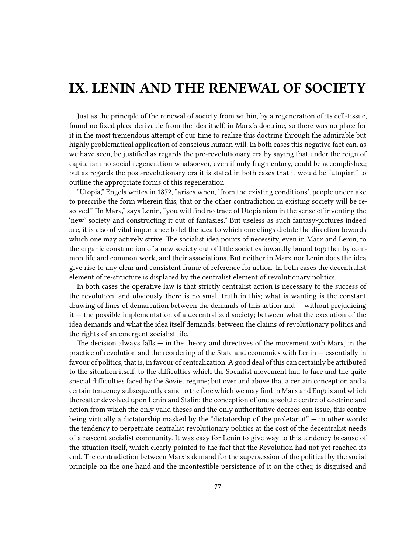## **IX. LENIN AND THE RENEWAL OF SOCIETY**

Just as the principle of the renewal of society from within, by a regeneration of its cell-tissue, found no fixed place derivable from the idea itself, in Marx's doctrine, so there was no place for it in the most tremendous attempt of our time to realize this doctrine through the admirable but highly problematical application of conscious human will. In both cases this negative fact can, as we have seen, be justified as regards the pre-revolutionary era by saying that under the reign of capitalism no social regeneration whatsoever, even if only fragmentary, could be accomplished; but as regards the post-revolutionary era it is stated in both cases that it would be "utopian" to outline the appropriate forms of this regeneration.

"Utopia," Engels writes in 1872, "arises when, 'from the existing conditions', people undertake to prescribe the form wherein this, that or the other contradiction in existing society will be resolved." "In Marx," says Lenin, "you will find no trace of Utopianism in the sense of inventing the 'new' society and constructing it out of fantasies." But useless as such fantasy-pictures indeed are, it is also of vital importance to let the idea to which one clings dictate the direction towards which one may actively strive. The socialist idea points of necessity, even in Marx and Lenin, to the organic construction of a new society out of little societies inwardly bound together by common life and common work, and their associations. But neither in Marx nor Lenin does the idea give rise to any clear and consistent frame of reference for action. In both cases the decentralist element of re-structure is displaced by the centralist element of revolutionary politics.

In both cases the operative law is that strictly centralist action is necessary to the success of the revolution, and obviously there is no small truth in this; what is wanting is the constant drawing of lines of demarcation between the demands of this action and — without prejudicing it — the possible implementation of a decentralized society; between what the execution of the idea demands and what the idea itself demands; between the claims of revolutionary politics and the rights of an emergent socialist life.

The decision always falls  $-$  in the theory and directives of the movement with Marx, in the practice of revolution and the reordering of the State and economics with Lenin — essentially in favour of politics, that is, in favour of centralization. A good deal of this can certainly be attributed to the situation itself, to the difficulties which the Socialist movement had to face and the quite special difficulties faced by the Soviet regime; but over and above that a certain conception and a certain tendency subsequently came to the fore which we may find in Marx and Engels and which thereafter devolved upon Lenin and Stalin: the conception of one absolute centre of doctrine and action from which the only valid theses and the only authoritative decrees can issue, this centre being virtually a dictatorship masked by the "dictatorship of the proletariat" — in other words: the tendency to perpetuate centralist revolutionary politics at the cost of the decentralist needs of a nascent socialist community. It was easy for Lenin to give way to this tendency because of the situation itself, which clearly pointed to the fact that the Revolution had not yet reached its end. The contradiction between Marx's demand for the supersession of the political by the social principle on the one hand and the incontestible persistence of it on the other, is disguised and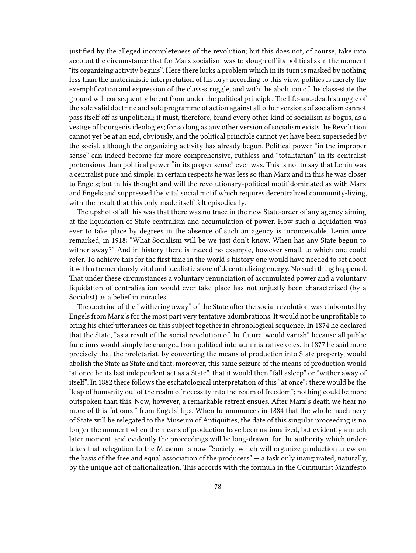justified by the alleged incompleteness of the revolution; but this does not, of course, take into account the circumstance that for Marx socialism was to slough off its political skin the moment "its organizing activity begins". Here there lurks a problem which in its turn is masked by nothing less than the materialistic interpretation of history: according to this view, politics is merely the exemplification and expression of the class-struggle, and with the abolition of the class-state the ground will consequently be cut from under the political principle. The life-and-death struggle of the sole valid doctrine and sole programme of action against all other versions of socialism cannot pass itself off as unpolitical; it must, therefore, brand every other kind of socialism as bogus, as a vestige of bourgeois ideologies; for so long as any other version of socialism exists the Revolution cannot yet be at an end, obviously, and the political principle cannot yet have been superseded by the social, although the organizing activity has already begun. Political power "in the improper sense" can indeed become far more comprehensive, ruthless and "totalitarian" in its centralist pretensions than political power "in its proper sense" ever was. This is not to say that Lenin was a centralist pure and simple: in certain respects he was less so than Marx and in this he was closer to Engels; but in his thought and will the revolutionary-political motif dominated as with Marx and Engels and suppressed the vital social motif which requires decentralized community-living, with the result that this only made itself felt episodically.

The upshot of all this was that there was no trace in the new State-order of any agency aiming at the liquidation of State centralism and accumulation of power. How such a liquidation was ever to take place by degrees in the absence of such an agency is inconceivable. Lenin once remarked, in 1918: "What Socialism will be we just don't know. When has any State begun to wither away?" And in history there is indeed no example, however small, to which one could refer. To achieve this for the first time in the world's history one would have needed to set about it with a tremendously vital and idealistic store of decentralizing energy. No such thing happened. That under these circumstances a voluntary renunciation of accumulated power and a voluntary liquidation of centralization would ever take place has not unjustly been characterized (by a Socialist) as a belief in miracles.

The doctrine of the "withering away" of the State after the social revolution was elaborated by Engels from Marx's for the most part very tentative adumbrations. It would not be unprofitable to bring his chief utterances on this subject together in chronological sequence. In 1874 he declared that the State, "as a result of the social revolution of the future, would vanish" because all public functions would simply be changed from political into administrative ones. In 1877 he said more precisely that the proletariat, by converting the means of production into State property, would abolish the State as State and that, moreover, this same seizure of the means of production would "at once be its last independent act as a State", that it would then "fall asleep" or "wither away of itself". In 1882 there follows the eschatological interpretation of this "at once": there would be the "leap of humanity out of the realm of necessity into the realm of freedom"; nothing could be more outspoken than this. Now, however, a remarkable retreat ensues. After Marx's death we hear no more of this "at once" from Engels' lips. When he announces in 1884 that the whole machinery of State will be relegated to the Museum of Antiquities, the date of this singular proceeding is no longer the moment when the means of production have been nationalized, but evidently a much later moment, and evidently the proceedings will be long-drawn, for the authority which undertakes that relegation to the Museum is now "Society, which will organize production anew on the basis of the free and equal association of the producers" — a task only inaugurated, naturally, by the unique act of nationalization. This accords with the formula in the Communist Manifesto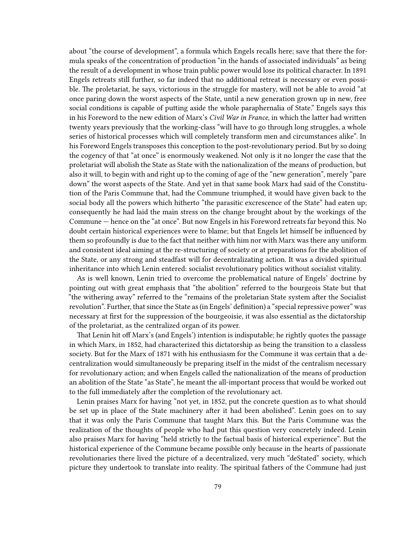about "the course of development", a formula which Engels recalls here; save that there the formula speaks of the concentration of production "in the hands of associated individuals" as being the result of a development in whose train public power would lose its political character. In 1891 Engels retreats still further, so far indeed that no additional retreat is necessary or even possible. The proletariat, he says, victorious in the struggle for mastery, will not be able to avoid "at once paring down the worst aspects of the State, until a new generation grown up in new, free social conditions is capable of putting aside the whole paraphernalia of State." Engels says this in his Foreword to the new edition of Marx's *Civil War in France*, in which the latter had written twenty years previously that the working-class "will have to go through long struggles, a whole series of historical processes which will completely transform men and circumstances alike". In his Foreword Engels transposes this conception to the post-revolutionary period. But by so doing the cogency of that "at once" is enormously weakened. Not only is it no longer the case that the proletariat will abolish the State as State with the nationalization of the means of production, but also it will, to begin with and right up to the coming of age of the "new generation", merely "pare down" the worst aspects of the State. And yet in that same book Marx had said of the Constitution of the Paris Commune that, had the Commune triumphed, it would have given back to the social body all the powers which hitherto "the parasitic excrescence of the State" had eaten up; consequently he had laid the main stress on the change brought about by the workings of the Commune — hence on the "at once". But now Engels in his Foreword retreats far beyond this. No doubt certain historical experiences were to blame; but that Engels let himself be influenced by them so profoundly is due to the fact that neither with him nor with Marx was there any uniform and consistent ideal aiming at the re-structuring of society or at preparations for the abolition of the State, or any strong and steadfast will for decentralizating action. It was a divided spiritual inheritance into which Lenin entered: socialist revolutionary politics without socialist vitality.

As is well known, Lenin tried to overcome the problematical nature of Engels' doctrine by pointing out with great emphasis that "the abolition" referred to the bourgeois State but that "the withering away" referred to the "remains of the proletarian State system after the Socialist revolution". Further, that since the State as (in Engels' definition) a "special repressive power" was necessary at first for the suppression of the bourgeoisie, it was also essential as the dictatorship of the proletariat, as the centralized organ of its power.

That Lenin hit off Marx's (and Engels') intention is indisputable; he rightly quotes the passage in which Marx, in 1852, had characterized this dictatorship as being the transition to a classless society. But for the Marx of 1871 with his enthusiasm for the Commune it was certain that a decentralization would simultaneously be preparing itself in the midst of the centralism necessary for revolutionary action; and when Engels called the nationalization of the means of production an abolition of the State "as State", he meant the all-important process that would be worked out to the full immediately after the completion of the revolutionary act.

Lenin praises Marx for having "not yet, in 1852, put the concrete question as to what should be set up in place of the State machinery after it had been abolished". Lenin goes on to say that it was only the Paris Commune that taught Marx this. But the Paris Commune was the realization of the thoughts of people who had put this question very concretely indeed. Lenin also praises Marx for having "held strictly to the factual basis of historical experience". But the historical experience of the Commune became possible only because in the hearts of passionate revolutionaries there lived the picture of a decentralized, very much "deStated" society, which picture they undertook to translate into reality. The spiritual fathers of the Commune had just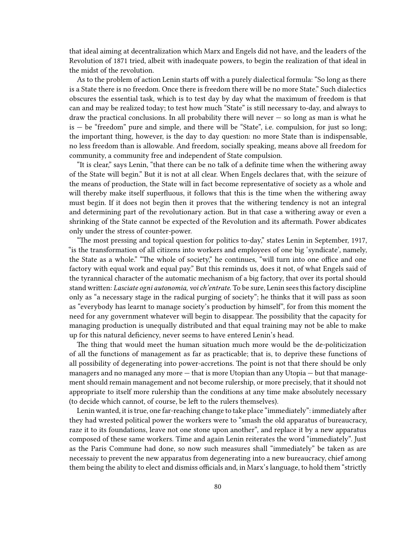that ideal aiming at decentralization which Marx and Engels did not have, and the leaders of the Revolution of 1871 tried, albeit with inadequate powers, to begin the realization of that ideal in the midst of the revolution.

As to the problem of action Lenin starts off with a purely dialectical formula: "So long as there is a State there is no freedom. Once there is freedom there will be no more State." Such dialectics obscures the essential task, which is to test day by day what the maximum of freedom is that can and may be realized today; to test how much "State" is still necessary to-day, and always to draw the practical conclusions. In all probability there will never  $-$  so long as man is what he is — be "freedom" pure and simple, and there will be "State", i.e. compulsion, for just so long; the important thing, however, is the day to day question: no more State than is indispensable, no less freedom than is allowable. And freedom, socially speaking, means above all freedom for community, a community free and independent of State compulsion.

"It is clear," says Lenin, "that there can be no talk of a definite time when the withering away of the State will begin." But it is not at all clear. When Engels declares that, with the seizure of the means of production, the State will in fact become representative of society as a whole and will thereby make itself superfluous, it follows that this is the time when the withering away must begin. If it does not begin then it proves that the withering tendency is not an integral and determining part of the revolutionary action. But in that case a withering away or even a shrinking of the State cannot be expected of the Revolution and its aftermath. Power abdicates only under the stress of counter-power.

"The most pressing and topical question for politics to-day," states Lenin in September, 1917, "is the transformation of all citizens into workers and employees of one big 'syndicate', namely, the State as a whole." "The whole of society," he continues, "will turn into one office and one factory with equal work and equal pay." But this reminds us, does it not, of what Engels said of the tyrannical character of the automatic mechanism of a big factory, that over its portal should stand written: *Lasciate ogni autonomia, voi ch'entrate*. To be sure, Lenin sees this factory discipline only as "a necessary stage in the radical purging of society"; he thinks that it will pass as soon as "everybody has learnt to manage society's production by himself", for from this moment the need for any government whatever will begin to disappear. The possibility that the capacity for managing production is unequally distributed and that equal training may not be able to make up for this natural deficiency, never seems to have entered Lenin's head.

The thing that would meet the human situation much more would be the de-politicization of all the functions of management as far as practicable; that is, to deprive these functions of all possibility of degenerating into power-accretions. The point is not that there should be only managers and no managed any more — that is more Utopian than any Utopia — but that management should remain management and not become rulership, or more precisely, that it should not appropriate to itself more rulership than the conditions at any time make absolutely necessary (to decide which cannot, of course, be left to the rulers themselves).

Lenin wanted, it is true, one far-reaching change to take place "immediately": immediately after they had wrested political power the workers were to "smash the old apparatus of bureaucracy, raze it to its foundations, leave not one stone upon another", and replace it by a new apparatus composed of these same workers. Time and again Lenin reiterates the word "immediately". Just as the Paris Commune had done, so now such measures shall "immediately" be taken as are necessaiy to prevent the new apparatus from degenerating into a new bureaucracy, chief among them being the ability to elect and dismiss officials and, in Marx's language, to hold them "strictly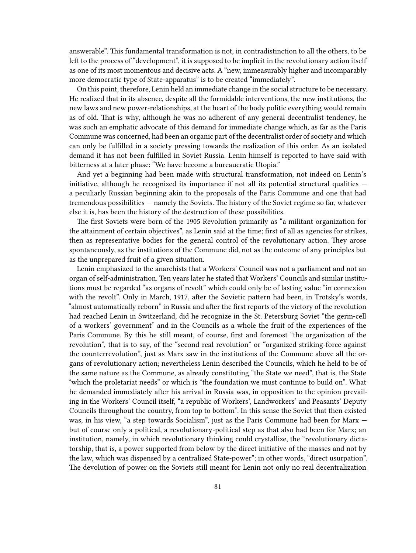answerable". This fundamental transformation is not, in contradistinction to all the others, to be left to the process of "development", it is supposed to be implicit in the revolutionary action itself as one of its most momentous and decisive acts. A "new, immeasurably higher and incomparably more democratic type of State-apparatus" is to be created "immediately".

On this point, therefore, Lenin held an immediate change in the social structure to be necessary. He realized that in its absence, despite all the formidable interventions, the new institutions, the new laws and new power-relationships, at the heart of the body politic everything would remain as of old. That is why, although he was no adherent of any general decentralist tendency, he was such an emphatic advocate of this demand for immediate change which, as far as the Paris Commune was concerned, had been an organic part of the decentralist order of society and which can only be fulfilled in a society pressing towards the realization of this order. As an isolated demand it has not been fulfilled in Soviet Russia. Lenin himself is reported to have said with bitterness at a later phase: "We have become a bureaucratic Utopia."

And yet a beginning had been made with structural transformation, not indeed on Lenin's initiative, although he recognized its importance if not all its potential structural qualities a peculiarly Russian beginning akin to the proposals of the Paris Commune and one that had tremendous possibilities — namely the Soviets. The history of the Soviet regime so far, whatever else it is, has been the history of the destruction of these possibilities.

The first Soviets were born of the 1905 Revolution primarily as "a militant organization for the attainment of certain objectives", as Lenin said at the time; first of all as agencies for strikes, then as representative bodies for the general control of the revolutionary action. They arose spontaneously, as the institutions of the Commune did, not as the outcome of any principles but as the unprepared fruit of a given situation.

Lenin emphasized to the anarchists that a Workers' Council was not a parliament and not an organ of self-administration. Ten years later he stated that Workers' Councils and similar institutions must be regarded "as organs of revolt" which could only be of lasting value "in connexion with the revolt". Only in March, 1917, after the Sovietic pattern had been, in Trotsky's words, "almost automatically reborn" in Russia and after the first reports of the victory of the revolution had reached Lenin in Switzerland, did he recognize in the St. Petersburg Soviet "the germ-cell of a workers' government" and in the Councils as a whole the fruit of the experiences of the Paris Commune. By this he still meant, of course, first and foremost "the organization of the revolution", that is to say, of the "second real revolution" or "organized striking-force against the counterrevolution", just as Marx saw in the institutions of the Commune above all the organs of revolutionary action; nevertheless Lenin described the Councils, which he held to be of the same nature as the Commune, as already constituting "the State we need", that is, the State "which the proletariat needs" or which is "the foundation we must continue to build on". What he demanded immediately after his arrival in Russia was, in opposition to the opinion prevailing in the Workers' Council itself, "a republic of Workers', Landworkers' and Peasants' Deputy Councils throughout the country, from top to bottom". In this sense the Soviet that then existed was, in his view, "a step towards Socialism", just as the Paris Commune had been for Marx but of course only a political, a revolutionary-political step as that also had been for Marx; an institution, namely, in which revolutionary thinking could crystallize, the "revolutionary dictatorship, that is, a power supported from below by the direct initiative of the masses and not by the law, which was dispensed by a centralized State-power"; in other words, "direct usurpation". The devolution of power on the Soviets still meant for Lenin not only no real decentralization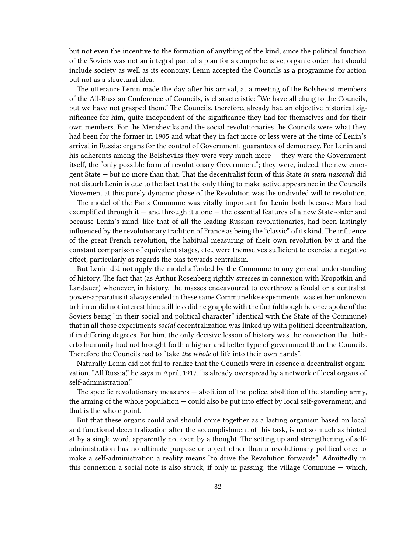but not even the incentive to the formation of anything of the kind, since the political function of the Soviets was not an integral part of a plan for a comprehensive, organic order that should include society as well as its economy. Lenin accepted the Councils as a programme for action but not as a structural idea.

The utterance Lenin made the day after his arrival, at a meeting of the Bolshevist members of the All-Russian Conference of Councils, is characteristic: "We have all clung to the Councils, but we have not grasped them." The Councils, therefore, already had an objective historical significance for him, quite independent of the significance they had for themselves and for their own members. For the Mensheviks and the social revolutionaries the Councils were what they had been for the former in 1905 and what they in fact more or less were at the time of Lenin's arrival in Russia: organs for the control of Government, guarantees of democracy. For Lenin and his adherents among the Bolsheviks they were very much more — they were the Government itself, the "only possible form of revolutionary Government"; they were, indeed, the new emergent State — but no more than that. That the decentralist form of this State *in statu nascendi* did not disturb Lenin is due to the fact that the only thing to make active appearance in the Councils Movement at this purely dynamic phase of the Revolution was the undivided will to revolution.

The model of the Paris Commune was vitally important for Lenin both because Marx had exemplified through it — and through it alone — the essential features of a new State-order and because Lenin's mind, like that of all the leading Russian revolutionaries, had been lastingly influenced by the revolutionary tradition of France as being the "classic" of its kind. The influence of the great French revolution, the habitual measuring of their own revolution by it and the constant comparison of equivalent stages, etc., were themselves sufficient to exercise a negative effect, particularly as regards the bias towards centralism.

But Lenin did not apply the model afforded by the Commune to any general understanding of history. The fact that (as Arthur Rosenberg rightly stresses in connexion with Kropotkin and Landauer) whenever, in history, the masses endeavoured to overthrow a feudal or a centralist power-apparatus it always ended in these same Communelike experiments, was either unknown to him or did not interest him; still less did he grapple with the fact (although he once spoke of the Soviets being "in their social and political character" identical with the State of the Commune) that in all those experiments *social* decentralization was linked up with political decentralization, if in differing degrees. For him, the only decisive lesson of history was the conviction that hitherto humanity had not brought forth a higher and better type of government than the Councils. Therefore the Councils had to "take *the whole* of life into their own hands".

Naturally Lenin did not fail to realize that the Councils were in essence a decentralist organization. "All Russia," he says in April, 1917, "is already overspread by a network of local organs of self-administration."

The specific revolutionary measures — abolition of the police, abolition of the standing army, the arming of the whole population — could also be put into effect by local self-government; and that is the whole point.

But that these organs could and should come together as a lasting organism based on local and functional decentralization after the accomplishment of this task, is not so much as hinted at by a single word, apparently not even by a thought. The setting up and strengthening of selfadministration has no ultimate purpose or object other than a revolutionary-political one: to make a self-administration a reality means "to drive the Revolution forwards". Admittedly in this connexion a social note is also struck, if only in passing: the village Commune — which,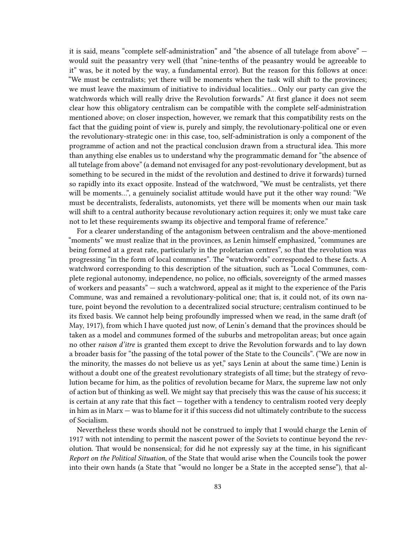it is said, means "complete self-administration" and "the absence of all tutelage from above" would suit the peasantry very well (that "nine-tenths of the peasantry would be agreeable to it" was, be it noted by the way, a fundamental error). But the reason for this follows at once: "We must be centralists; yet there will be moments when the task will shift to the provinces; we must leave the maximum of initiative to individual localities… Only our party can give the watchwords which will really drive the Revolution forwards." At first glance it does not seem clear how this obligatory centralism can be compatible with the complete self-administration mentioned above; on closer inspection, however, we remark that this compatibility rests on the fact that the guiding point of view is, purely and simply, the revolutionary-political one or even the revolutionary-strategic one: in this case, too, self-administration is only a component of the programme of action and not the practical conclusion drawn from a structural idea. This more than anything else enables us to understand why the programmatic demand for "the absence of all tutelage from above" (a demand not envisaged for any post-revolutionary development, but as something to be secured in the midst of the revolution and destined to drive it forwards) turned so rapidly into its exact opposite. Instead of the watchword, "We must be centralists, yet there will be moments…", a genuinely socialist attitude would have put it the other way round: "We must be decentralists, federalists, autonomists, yet there will be moments when our main task will shift to a central authority because revolutionary action requires it; only we must take care not to let these requirements swamp its objective and temporal frame of reference."

For a clearer understanding of the antagonism between centralism and the above-mentioned "moments" we must realize that in the provinces, as Lenin himself emphasized, "communes are being formed at a great rate, particularly in the proletarian centres", so that the revolution was progressing "in the form of local communes". The "watchwords" corresponded to these facts. A watchword corresponding to this description of the situation, such as "Local Communes, complete regional autonomy, independence, no police, no officials, sovereignty of the armed masses of workers and peasants" — such a watchword, appeal as it might to the experience of the Paris Commune, was and remained a revolutionary-political one; that is, it could not, of its own nature, point beyond the revolution to a decentralized social structure; centralism continued to be its fixed basis. We cannot help being profoundly impressed when we read, in the same draft (of May, 1917), from which I have quoted just now, of Lenin's demand that the provinces should be taken as a model and communes formed of the suburbs and metropolitan areas; but once again no other *raison d'itre* is granted them except to drive the Revolution forwards and to lay down a broader basis for "the passing of the total power of the State to the Councils". ("We are now in the minority, the masses do not believe us as yet," says Lenin at about the same time.) Lenin is without a doubt one of the greatest revolutionary strategists of all time; but the strategy of revolution became for him, as the politics of revolution became for Marx, the supreme law not only of action but of thinking as well. We might say that precisely this was the cause of his success; it is certain at any rate that this fact — together with a tendency to centralism rooted very deeply in him as in Marx — was to blame for it if this success did not ultimately contribute to the success of Socialism.

Nevertheless these words should not be construed to imply that I would charge the Lenin of 1917 with not intending to permit the nascent power of the Soviets to continue beyond the revolution. That would be nonsensical; for did he not expressly say at the time, in his significant *Report on the Political Situation*, of the State that would arise when the Councils took the power into their own hands (a State that "would no longer be a State in the accepted sense"), that al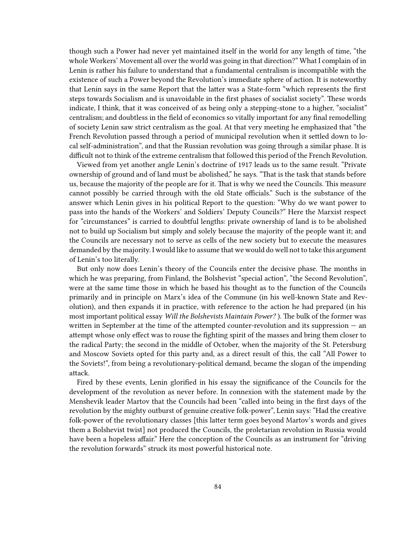though such a Power had never yet maintained itself in the world for any length of time, "the whole Workers' Movement all over the world was going in that direction?" What I complain of in Lenin is rather his failure to understand that a fundamental centralism is incompatible with the existence of such a Power beyond the Revolution's immediate sphere of action. It is noteworthy that Lenin says in the same Report that the latter was a State-form "which represents the first steps towards Socialism and is unavoidable in the first phases of socialist society". These words indicate, I think, that it was conceived of as being only a stepping-stone to a higher, "socialist" centralism; and doubtless in the field of economics so vitally important for any final remodelling of society Lenin saw strict centralism as the goal. At that very meeting he emphasized that "the French Revolution passed through a period of municipal revolution when it settled down to local self-administration", and that the Russian revolution was going through a similar phase. It is difficult not to think of the extreme centralism that followed this period of the French Revolution.

Viewed from yet another angle Lenin's doctrine of 1917 leads us to the same result. "Private ownership of ground and of land must be abolished," he says. "That is the task that stands before us, because the majority of the people are for it. That is why we need the Councils. This measure cannot possibly be carried through with the old State officials." Such is the substance of the answer which Lenin gives in his political Report to the question: "Why do we want power to pass into the hands of the Workers' and Soldiers' Deputy Councils?" Here the Marxist respect for "circumstances" is carried to doubtful lengths: private ownership of land is to be abolished not to build up Socialism but simply and solely because the majority of the people want it; and the Councils are necessary not to serve as cells of the new society but to execute the measures demanded by the majority. I would like to assume that we would do well not to take this argument of Lenin's too literally.

But only now does Lenin's theory of the Councils enter the decisive phase. The months in which he was preparing, from Finland, the Bolshevist "special action", "the Second Revolution", were at the same time those in which he based his thought as to the function of the Councils primarily and in principle on Marx's idea of the Commune (in his well-known State and Revolution), and then expands it in practice, with reference to the action he had prepared (in his most important political essay *Will the Bolshevists Maintain Power?* ). The bulk of the former was written in September at the time of the attempted counter-revolution and its suppression — an attempt whose only effect was to rouse the fighting spirit of the masses and bring them closer to the radical Party; the second in the middle of October, when the majority of the St. Petersburg and Moscow Soviets opted for this party and, as a direct result of this, the call "All Power to the Soviets!", from being a revolutionary-political demand, became the slogan of the impending attack.

Fired by these events, Lenin glorified in his essay the significance of the Councils for the development of the revolution as never before. In connexion with the statement made by the Menshevik leader Martov that the Councils had been "called into being in the first days of the revolution by the mighty outburst of genuine creative folk-power", Lenin says: "Had the creative folk-power of the revolutionary classes [this latter term goes beyond Martov's words and gives them a Bolshevist twist] not produced the Councils, the proletarian revolution in Russia would have been a hopeless affair." Here the conception of the Councils as an instrument for "driving the revolution forwards" struck its most powerful historical note.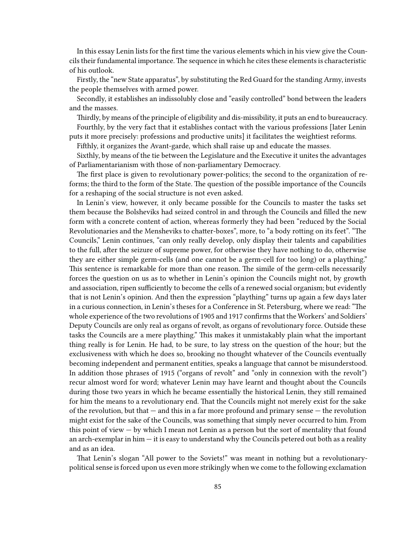In this essay Lenin lists for the first time the various elements which in his view give the Councils their fundamental importance. The sequence in which he cites these elements is characteristic of his outlook.

Firstly, the "new State apparatus", by substituting the Red Guard for the standing Army, invests the people themselves with armed power.

Secondly, it establishes an indissolubly close and "easily controlled" bond between the leaders and the masses.

Thirdly, by means of the principle of eligibility and dis-missibility, it puts an end to bureaucracy. Fourthly, by the very fact that it establishes contact with the various professions [later Lenin

puts it more precisely: professions and productive units] it facilitates the weightiest reforms. Fifthly, it organizes the Avant-garde, which shall raise up and educate the masses.

Sixthly, by means of the tie between the Legislature and the Executive it unites the advantages of Parliamentarianism with those of non-parliamentary Democracy.

The first place is given to revolutionary power-politics; the second to the organization of reforms; the third to the form of the State. The question of the possible importance of the Councils for a reshaping of the social structure is not even asked.

In Lenin's view, however, it only became possible for the Councils to master the tasks set them because the Bolsheviks had seized control in and through the Councils and filled the new form with a concrete content of action, whereas formerly they had been "reduced by the Social Revolutionaries and the Mensheviks to chatter-boxes", more, to "a body rotting on its feet". "The Councils," Lenin continues, "can only really develop, only display their talents and capabilities to the full, after the seizure of supreme power, for otherwise they have nothing to do, otherwise they are either simple germ-cells (and one cannot be a germ-cell for too long) or a plaything." This sentence is remarkable for more than one reason. The simile of the germ-cells necessarily forces the question on us as to whether in Lenin's opinion the Councils might not, by growth and association, ripen sufficiently to become the cells of a renewed social organism; but evidently that is not Lenin's opinion. And then the expression "plaything" turns up again a few days later in a curious connection, in Lenin's theses for a Conference in St. Petersburg, where we read: "The whole experience of the two revolutions of 1905 and 1917 confirms that the Workers' and Soldiers' Deputy Councils are only real as organs of revolt, as organs of revolutionary force. Outside these tasks the Councils are a mere plaything." This makes it unmistakably plain what the important thing really is for Lenin. He had, to be sure, to lay stress on the question of the hour; but the exclusiveness with which he does so, brooking no thought whatever of the Councils eventually becoming independent and permanent entities, speaks a language that cannot be misunderstood. In addition those phrases of 1915 ("organs of revolt" and "only in connexion with the revolt") recur almost word for word; whatever Lenin may have learnt and thought about the Councils during those two years in which he became essentially the historical Lenin, they still remained for him the means to a revolutionary end. That the Councils might not merely exist for the sake of the revolution, but that — and this in a far more profound and primary sense — the revolution might exist for the sake of the Councils, was something that simply never occurred to him. From this point of view — by which I mean not Lenin as a person but the sort of mentality that found an arch-exemplar in him  $-$  it is easy to understand why the Councils petered out both as a reality and as an idea.

That Lenin's slogan "All power to the Soviets!" was meant in nothing but a revolutionarypolitical sense is forced upon us even more strikingly when we come to the following exclamation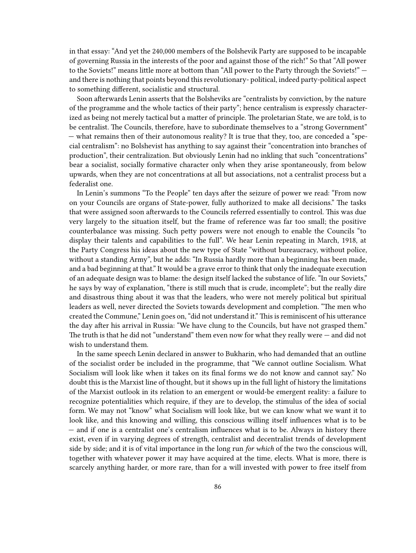in that essay: "And yet the 240,000 members of the Bolshevik Party are supposed to be incapable of governing Russia in the interests of the poor and against those of the rich!" So that "All power to the Soviets!" means little more at bottom than "All power to the Party through the Soviets!" and there is nothing that points beyond this revolutionary- political, indeed party-political aspect to something different, socialistic and structural.

Soon afterwards Lenin asserts that the Bolsheviks are "centralists by conviction, by the nature of the programme and the whole tactics of their party"; hence centralism is expressly characterized as being not merely tactical but a matter of principle. The proletarian State, we are told, is to be centralist. The Councils, therefore, have to subordinate themselves to a "strong Government" — what remains then of their autonomous reality? It is true that they, too, are conceded a "special centralism": no Bolshevist has anything to say against their "concentration into branches of production", their centralization. But obviously Lenin had no inkling that such "concentrations" bear a socialist, socially formative character only when they arise spontaneously, from below upwards, when they are not concentrations at all but associations, not a centralist process but a federalist one.

In Lenin's summons "To the People" ten days after the seizure of power we read: "From now on your Councils are organs of State-power, fully authorized to make all decisions." The tasks that were assigned soon afterwards to the Councils referred essentially to control. This was due very largely to the situation itself, but the frame of reference was far too small; the positive counterbalance was missing. Such petty powers were not enough to enable the Councils "to display their talents and capabilities to the full". We hear Lenin repeating in March, 1918, at the Party Congress his ideas about the new type of State "without bureaucracy, without police, without a standing Army", but he adds: "In Russia hardly more than a beginning has been made, and a bad beginning at that." It would be a grave error to think that only the inadequate execution of an adequate design was to blame: the design itself lacked the substance of life. "In our Soviets," he says by way of explanation, "there is still much that is crude, incomplete"; but the really dire and disastrous thing about it was that the leaders, who were not merely political but spiritual leaders as well, never directed the Soviets towards development and completion. "The men who created the Commune," Lenin goes on, "did not understand it." This is reminiscent of his utterance the day after his arrival in Russia: "We have clung to the Councils, but have not grasped them." The truth is that he did not "understand" them even now for what they really were  $-$  and did not wish to understand them.

In the same speech Lenin declared in answer to Bukharin, who had demanded that an outline of the socialist order be included in the programme, that "We cannot outline Socialism. What Socialism will look like when it takes on its final forms we do not know and cannot say." No doubt this is the Marxist line of thought, but it shows up in the full light of history the limitations of the Marxist outlook in its relation to an emergent or would-be emergent reality: a failure to recognize potentialities which require, if they are to develop, the stimulus of the idea of social form. We may not "know" what Socialism will look like, but we can know what we want it to look like, and this knowing and willing, this conscious willing itself influences what is to be — and if one is a centralist one's centralism influences what is to be. Always in history there exist, even if in varying degrees of strength, centralist and decentralist trends of development side by side; and it is of vital importance in the long run *for which* of the two the conscious will, together with whatever power it may have acquired at the time, elects. What is more, there is scarcely anything harder, or more rare, than for a will invested with power to free itself from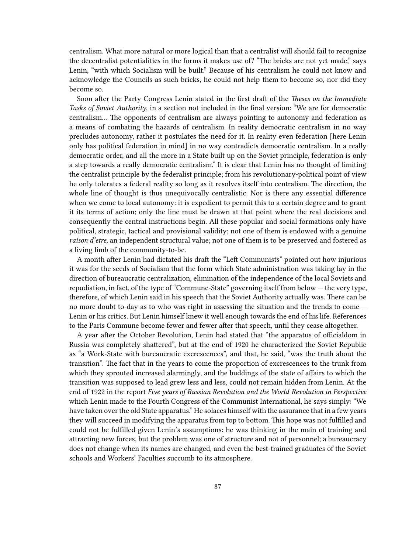centralism. What more natural or more logical than that a centralist will should fail to recognize the decentralist potentialities in the forms it makes use of? "The bricks are not yet made," says Lenin, "with which Socialism will be built." Because of his centralism he could not know and acknowledge the Councils as such bricks, he could not help them to become so, nor did they become so.

Soon after the Party Congress Lenin stated in the first draft of the *Theses on the Immediate Tasks of Soviet Authority*, in a section not included in the final version: "We are for democratic centralism… The opponents of centralism are always pointing to autonomy and federation as a means of combating the hazards of centralism. In reality democratic centralism in no way precludes autonomy, rather it postulates the need for it. In reality even federation [here Lenin only has political federation in mind] in no way contradicts democratic centralism. In a really democratic order, and all the more in a State built up on the Soviet principle, federation is only a step towards a really democratic centralism." It is clear that Lenin has no thought of limiting the centralist principle by the federalist principle; from his revolutionary-political point of view he only tolerates a federal reality so long as it resolves itself into centralism. The direction, the whole line of thought is thus unequivocally centralistic. Nor is there any essential difference when we come to local autonomy: it is expedient to permit this to a certain degree and to grant it its terms of action; only the line must be drawn at that point where the real decisions and consequently the central instructions begin. All these popular and social formations only have political, strategic, tactical and provisional validity; not one of them is endowed with a genuine *raison d'etre*, an independent structural value; not one of them is to be preserved and fostered as a living limb of the community-to-be.

A month after Lenin had dictated his draft the "Left Communists" pointed out how injurious it was for the seeds of Socialism that the form which State administration was taking lay in the direction of bureaucratic centralization, elimination of the independence of the local Soviets and repudiation, in fact, of the type of "Commune-State" governing itself from below — the very type, therefore, of which Lenin said in his speech that the Soviet Authority actually was. There can be no more doubt to-day as to who was right in assessing the situation and the trends to come — Lenin or his critics. But Lenin himself knew it well enough towards the end of his life. References to the Paris Commune become fewer and fewer after that speech, until they cease altogether.

A year after the October Revolution, Lenin had stated that "the apparatus of officialdom in Russia was completely shattered", but at the end of 1920 he characterized the Soviet Republic as "a Work-State with bureaucratic excrescences", and that, he said, "was the truth about the transition". The fact that in the years to come the proportion of excrescences to the trunk from which they sprouted increased alarmingly, and the buddings of the state of affairs to which the transition was supposed to lead grew less and less, could not remain hidden from Lenin. At the end of 1922 in the report *Five years of Russian Revolution and the World Revolution in Perspective* which Lenin made to the Fourth Congress of the Communist International, he says simply: "We have taken over the old State apparatus." He solaces himself with the assurance that in a few years they will succeed in modifying the apparatus from top to bottom. This hope was not fulfilled and could not be fulfilled given Lenin's assumptions: he was thinking in the main of training and attracting new forces, but the problem was one of structure and not of personnel; a bureaucracy does not change when its names are changed, and even the best-trained graduates of the Soviet schools and Workers' Faculties succumb to its atmosphere.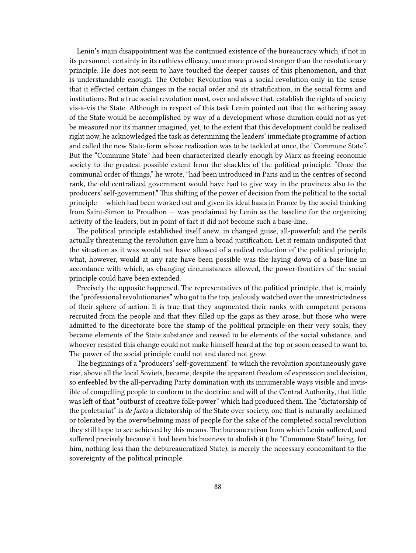Lenin's main disappointment was the continued existence of the bureaucracy which, if not in its personnel, certainly in its ruthless efficacy, once more proved stronger than the revolutionary principle. He does not seem to have touched the deeper causes of this phenomenon, and that is understandable enough. The October Revolution was a social revolution only in the sense that it effected certain changes in the social order and its stratification, in the social forms and institutions. But a true social revolution must, over and above that, establish the rights of society vis-a-vis the State. Although in respect of this task Lenin pointed out that the withering away of the State would be accomplished by way of a development whose duration could not as yet be measured nor its manner imagined, yet, to the extent that this development could be realized right now, he acknowledged the task as determining the leaders' immediate programme of action and called the new State-form whose realization was to be tackled at once, the "Commune State". But the "Commune State" had been characterized clearly enough by Marx as freeing economic society to the greatest possible extent from the shackles of the political principle. "Once the communal order of things," he wrote, "had been introduced in Paris and in the centres of second rank, the old centralized government would have had to give way in the provinces also to the producers' self-government." This shifting of the power of decision from the political to the social principle — which had been worked out and given its ideal basis in France by the social thinking from Saint-Simon to Proudhon — was proclaimed by Lenin as the baseline for the organizing activity of the leaders, but in point of fact it did not become such a base-line.

The political principle established itself anew, in changed guise, all-powerful; and the perils actually threatening the revolution gave him a broad justification. Let it remain undisputed that the situation as it was would not have allowed of a radical reduction of the political principle; what, however, would at any rate have been possible was the laying down of a base-line in accordance with which, as changing circumstances allowed, the power-frontiers of the social principle could have been extended.

Precisely the opposite happened. The representatives of the political principle, that is, mainly the "professional revolutionaries" who got to the top, jealously watched over the unrestrictedness of their sphere of action. It is true that they augmented their ranks with competent persons recruited from the people and that they filled up the gaps as they arose, but those who were admitted to the directorate bore the stamp of the political principle on their very souls; they became elements of the State substance and ceased to be elements of the social substance, and whoever resisted this change could not make himself heard at the top or soon ceased to want to. The power of the social principle could not and dared not grow.

The beginnings of a "producers' self-government" to which the revolution spontaneously gave rise, above all the local Soviets, became, despite the apparent freedom of expression and decision, so enfeebled by the all-pervading Party domination with its innumerable ways visible and invisible of compelling people to conform to the doctrine and will of the Central Authority, that little was left of that "outburst of creative folk-power" which had produced them. The "dictatorship of the proletariat" is *de facto* a dictatorship of the State over society, one that is naturally acclaimed or tolerated by the overwhelming mass of people for the sake of the completed social revolution they still hope to see achieved by this means. The bureaucratism from which Lenin suffered, and suffered precisely because it had been his business to abolish it (the "Commune State" being, for him, nothing less than the debureaucratized State), is merely the necessary concomitant to the sovereignty of the political principle.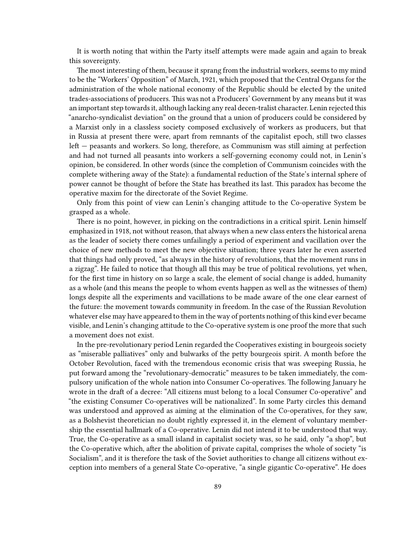It is worth noting that within the Party itself attempts were made again and again to break this sovereignty.

The most interesting of them, because it sprang from the industrial workers, seems to my mind to be the "Workers' Opposition" of March, 1921, which proposed that the Central Organs for the administration of the whole national economy of the Republic should be elected by the united trades-associations of producers. This was not a Producers' Government by any means but it was an important step towards it, although lacking any real decen-tralist character. Lenin rejected this "anarcho-syndicalist deviation" on the ground that a union of producers could be considered by a Marxist only in a classless society composed exclusively of workers as producers, but that in Russia at present there were, apart from remnants of the capitalist epoch, still two classes left — peasants and workers. So long, therefore, as Communism was still aiming at perfection and had not turned all peasants into workers a self-governing economy could not, in Lenin's opinion, be considered. In other words (since the completion of Communism coincides with the complete withering away of the State): a fundamental reduction of the State's internal sphere of power cannot be thought of before the State has breathed its last. This paradox has become the operative maxim for the directorate of the Soviet Regime.

Only from this point of view can Lenin's changing attitude to the Co-operative System be grasped as a whole.

There is no point, however, in picking on the contradictions in a critical spirit. Lenin himself emphasized in 1918, not without reason, that always when a new class enters the historical arena as the leader of society there comes unfailingly a period of experiment and vacillation over the choice of new methods to meet the new objective situation; three years later he even asserted that things had only proved, "as always in the history of revolutions, that the movement runs in a zigzag". He failed to notice that though all this may be true of political revolutions, yet when, for the first time in history on so large a scale, the element of social change is added, humanity as a whole (and this means the people to whom events happen as well as the witnesses of them) longs despite all the experiments and vacillations to be made aware of the one clear earnest of the future: the movement towards community in freedom. In the case of the Russian Revolution whatever else may have appeared to them in the way of portents nothing of this kind ever became visible, and Lenin's changing attitude to the Co-operative system is one proof the more that such a movement does not exist.

In the pre-revolutionary period Lenin regarded the Cooperatives existing in bourgeois society as "miserable palliatives" only and bulwarks of the petty bourgeois spirit. A month before the October Revolution, faced with the tremendous economic crisis that was sweeping Russia, he put forward among the "revolutionary-democratic" measures to be taken immediately, the compulsory unification of the whole nation into Consumer Co-operatives. The following January he wrote in the draft of a decree: "All citizens must belong to a local Consumer Co-operative" and "the existing Consumer Co-operatives will be nationalized". In some Party circles this demand was understood and approved as aiming at the elimination of the Co-operatives, for they saw, as a Bolshevist theoretician no doubt rightly expressed it, in the element of voluntary membership the essential hallmark of a Co-operative. Lenin did not intend it to be understood that way. True, the Co-operative as a small island in capitalist society was, so he said, only "a shop", but the Co-operative which, after the abolition of private capital, comprises the whole of society "is Socialism", and it is therefore the task of the Soviet authorities to change all citizens without exception into members of a general State Co-operative, "a single gigantic Co-operative". He does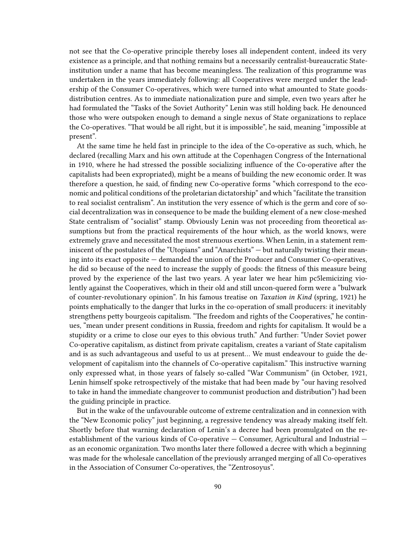not see that the Co-operative principle thereby loses all independent content, indeed its very existence as a principle, and that nothing remains but a necessarily centralist-bureaucratic Stateinstitution under a name that has become meaningless. The realization of this programme was undertaken in the years immediately following: all Cooperatives were merged under the leadership of the Consumer Co-operatives, which were turned into what amounted to State goodsdistribution centres. As to immediate nationalization pure and simple, even two years after he had formulated the "Tasks of the Soviet Authority" Lenin was still holding back. He denounced those who were outspoken enough to demand a single nexus of State organizations to replace the Co-operatives. "That would be all right, but it is impossible", he said, meaning "impossible at present".

At the same time he held fast in principle to the idea of the Co-operative as such, which, he declared (recalling Marx and his own attitude at the Copenhagen Congress of the International in 1910, where he had stressed the possible socializing influence of the Co-operative after the capitalists had been expropriated), might be a means of building the new economic order. It was therefore a question, he said, of finding new Co-operative forms "which correspond to the economic and political conditions of the proletarian dictatorship" and which "facilitate the transition to real socialist centralism". An institution the very essence of which is the germ and core of social decentralization was in consequence to be made the building element of a new close-meshed State centralism of "socialist" stamp. Obviously Lenin was not proceeding from theoretical assumptions but from the practical requirements of the hour which, as the world knows, were extremely grave and necessitated the most strenuous exertions. When Lenin, in a statement reminiscent of the postulates of the "Utopians" and "Anarchists" — but naturally twisting their meaning into its exact opposite — demanded the union of the Producer and Consumer Co-operatives, he did so because of the need to increase the supply of goods: the fitness of this measure being proved by the experience of the last two years. A year later we hear him pc5lemicizing violently against the Cooperatives, which in their old and still uncon-quered form were a "bulwark of counter-revolutionary opinion". In his famous treatise on *Taxation in Kind* (spring, 1921) he points emphatically to the danger that lurks in the co-operation of small producers: it inevitably strengthens petty bourgeois capitalism. "The freedom and rights of the Cooperatives," he continues, "mean under present conditions in Russia, freedom and rights for capitalism. It would be a stupidity or a crime to close our eyes to this obvious truth." And further: "Under Soviet power Co-operative capitalism, as distinct from private capitalism, creates a variant of State capitalism and is as such advantageous and useful to us at present… We must endeavour to guide the development of capitalism into the channels of Co-operative capitalism." This instructive warning only expressed what, in those years of falsely so-called "War Communism" (in October, 1921, Lenin himself spoke retrospectively of the mistake that had been made by "our having resolved to take in hand the immediate changeover to communist production and distribution") had been the guiding principle in practice.

But in the wake of the unfavourable outcome of extreme centralization and in connexion with the "New Economic policy" just beginning, a regressive tendency was already making itself felt. Shortly before that warning declaration of Lenin's a decree had been promulgated on the reestablishment of the various kinds of Co-operative — Consumer, Agricultural and Industrial as an economic organization. Two months later there followed a decree with which a beginning was made for the wholesale cancellation of the previously arranged merging of all Co-operatives in the Association of Consumer Co-operatives, the "Zentrosoyus".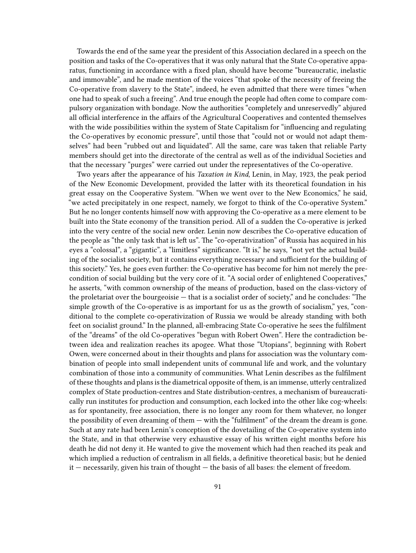Towards the end of the same year the president of this Association declared in a speech on the position and tasks of the Co-operatives that it was only natural that the State Co-operative apparatus, functioning in accordance with a fixed plan, should have become "bureaucratic, inelastic and immovable", and he made mention of the voices "that spoke of the necessity of freeing the Co-operative from slavery to the State", indeed, he even admitted that there were times "when one had to speak of such a freeing". And true enough the people had often come to compare compulsory organization with bondage. Now the authorities "completely and unreservedly" abjured all official interference in the affairs of the Agricultural Cooperatives and contented themselves with the wide possibilities within the system of State Capitalism for "influencing and regulating the Co-operatives by economic pressure", until those that "could not or would not adapt themselves" had been "rubbed out and liquidated". All the same, care was taken that reliable Party members should get into the directorate of the central as well as of the individual Societies and that the necessary "purges" were carried out under the representatives of the Co-operative.

Two years after the appearance of his *Taxation in Kind*, Lenin, in May, 1923, the peak period of the New Economic Development, provided the latter with its theoretical foundation in his great essay on the Cooperative System. "When we went over to the New Economics," he said, "we acted precipitately in one respect, namely, we forgot to think of the Co-operative System." But he no longer contents himself now with approving the Co-operative as a mere element to be built into the State economy of the transition period. All of a sudden the Co-operative is jerked into the very centre of the social new order. Lenin now describes the Co-operative education of the people as "the only task that is left us". The "co-operativization" of Russia has acquired in his eyes a "colossal", a "gigantic", a "limitless" significance. "It is," he says, "not yet the actual building of the socialist society, but it contains everything necessary and sufficient for the building of this society." Yes, he goes even further: the Co-operative has become for him not merely the precondition of social building but the very core of it. "A social order of enlightened Cooperatives," he asserts, "with common ownership of the means of production, based on the class-victory of the proletariat over the bourgeoisie — that is a socialist order of society," and he concludes: "The simple growth of the Co-operative is as important for us as the growth of socialism," yes, "conditional to the complete co-operativization of Russia we would be already standing with both feet on socialist ground." In the planned, all-embracing State Co-operative he sees the fulfilment of the "dreams" of the old Co-operatives "begun with Robert Owen". Here the contradiction between idea and realization reaches its apogee. What those "Utopians", beginning with Robert Owen, were concerned about in their thoughts and plans for association was the voluntary combination of people into small independent units of communal life and work, and the voluntary combination of those into a community of communities. What Lenin describes as the fulfilment of these thoughts and plans is the diametrical opposite of them, is an immense, utterly centralized complex of State production-centres and State distribution-centres, a mechanism of bureaucratically run institutes for production and consumption, each locked into the other like cog-wheels: as for spontaneity, free association, there is no longer any room for them whatever, no longer the possibility of even dreaming of them — with the "fulfilment" of the dream the dream is gone. Such at any rate had been Lenin's conception of the dovetailing of the Co-operative system into the State, and in that otherwise very exhaustive essay of his written eight months before his death he did not deny it. He wanted to give the movement which had then reached its peak and which implied a reduction of centralism in all fields, a definitive theoretical basis; but he denied it — necessarily, given his train of thought — the basis of all bases: the element of freedom.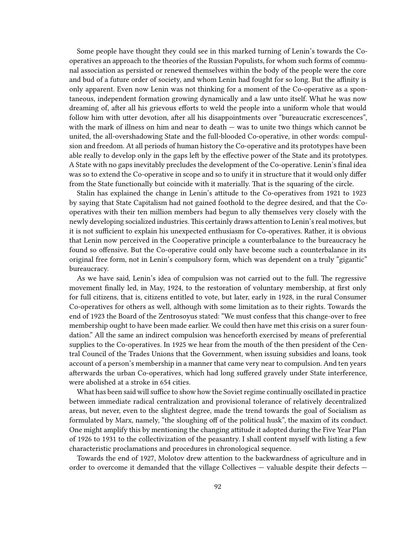Some people have thought they could see in this marked turning of Lenin's towards the Cooperatives an approach to the theories of the Russian Populists, for whom such forms of communal association as persisted or renewed themselves within the body of the people were the core and bud of a future order of society, and whom Lenin had fought for so long. But the affinity is only apparent. Even now Lenin was not thinking for a moment of the Co-operative as a spontaneous, independent formation growing dynamically and a law unto itself. What he was now dreaming of, after all his grievous efforts to weld the people into a uniform whole that would follow him with utter devotion, after all his disappointments over "bureaucratic excrescences", with the mark of illness on him and near to death — was to unite two things which cannot be united, the all-overshadowing State and the full-blooded Co-operative, in other words: compulsion and freedom. At all periods of human history the Co-operative and its prototypes have been able really to develop only in the gaps left by the effective power of the State and its prototypes. A State with no gaps inevitably precludes the development of the Co-operative. Lenin's final idea was so to extend the Co-operative in scope and so to unify it in structure that it would only differ from the State functionally but coincide with it materially. That is the squaring of the circle.

Stalin has explained the change in Lenin's attitude to the Co-operatives from 1921 to 1923 by saying that State Capitalism had not gained foothold to the degree desired, and that the Cooperatives with their ten million members had begun to ally themselves very closely with the newly developing socialized industries. This certainly draws attention to Lenin's real motives, but it is not sufficient to explain his unexpected enthusiasm for Co-operatives. Rather, it is obvious that Lenin now perceived in the Cooperative principle a counterbalance to the bureaucracy he found so offensive. But the Co-operative could only have become such a counterbalance in its original free form, not in Lenin's compulsory form, which was dependent on a truly "gigantic" bureaucracy.

As we have said, Lenin's idea of compulsion was not carried out to the full. The regressive movement finally led, in May, 1924, to the restoration of voluntary membership, at first only for full citizens, that is, citizens entitled to vote, but later, early in 1928, in the rural Consumer Co-operatives for others as well, although with some limitation as to their rights. Towards the end of 1923 the Board of the Zentrosoyus stated: "We must confess that this change-over to free membership ought to have been made earlier. We could then have met this crisis on a surer foundation." All the same an indirect compulsion was henceforth exercised by means of preferential supplies to the Co-operatives. In 1925 we hear from the mouth of the then president of the Central Council of the Trades Unions that the Government, when issuing subsidies and loans, took account of a person's membership in a manner that came very near to compulsion. And ten years afterwards the urban Co-operatives, which had long suffered gravely under State interference, were abolished at a stroke in 654 cities.

What has been said will suffice to show how the Soviet regime continually oscillated in practice between immediate radical centralization and provisional tolerance of relatively decentralized areas, but never, even to the slightest degree, made the trend towards the goal of Socialism as formulated by Marx, namely, "the sloughing off of the political husk", the maxim of its conduct. One might amplify this by mentioning the changing attitude it adopted during the Five Year Plan of 1926 to 1931 to the collectivization of the peasantry. I shall content myself with listing a few characteristic proclamations and procedures in chronological sequence.

Towards the end of 1927, Molotov drew attention to the backwardness of agriculture and in order to overcome it demanded that the village Collectives — valuable despite their defects —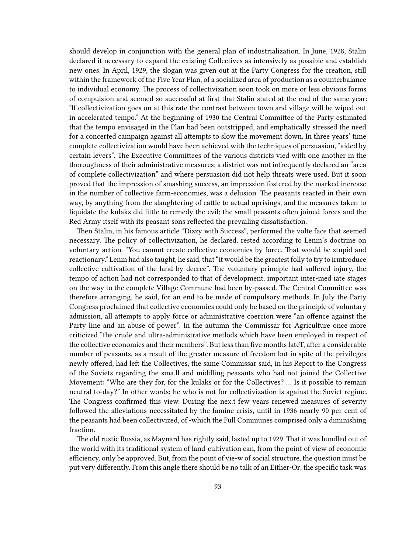should develop in conjunction with the general plan of industrialization. In June, 1928, Stalin declared it necessary to expand the existing Collectives as intensively as possible and establish new ones. In April, 1929, the slogan was given out at the Party Congress for the creation, still within the framework of the Five Year Plan, of a socialized area of production as a counterbalance to individual economy. The process of collectivization soon took on more or less obvious forms of compulsion and seemed so successful at first that Stalin stated at the end of the same year: "If collectivization goes on at this rate the contrast between town and village will be wiped out in accelerated tempo." At the beginning of 1930 the Central Committee of the Party estimated that the tempo envisaged in the Plan had been outstripped, and emphatically stressed the need for a concerted campaign against all attempts to slow the movement down. In three years' time complete collectivization would have been achieved with the techniques of persuasion, "aided by certain levers". The Executive Committees of the various districts vied with one another in the thoroughness of their administrative measures; a district was not infrequently declared an "area of complete collectivization" and where persuasion did not help threats were used. But it soon proved that the impression of smashing success, an impression fostered by the marked increase in the number of collective farm-economies, was a delusion. The peasants reacted in their own way, by anything from the slaughtering of cattle to actual uprisings, and the measures taken to liquidate the kulaks did little to remedy the evil; the small peasants often joined forces and the Red Army itself with its peasant sons reflected the prevailing dissatisfaction.

Then Stalin, in his famous article "Dizzy with Success", performed the volte face that seemed necessary. The policy of collectivization, he declared, rested according to Lenin's doctrine on voluntary action. "You cannot create collective economies by force. That would be stupid and reactionary." Lenin had also taught, he said, that "it would be the greatest folly to try to irmtroduce collective cultivation of the land by decree". The voluntary principle had suffered injury, the tempo of action had not corresponded to that of development, important inter-med iate stages on the way to the complete Village Commune had been by-passed. The Central Committee was therefore arranging, he said, for an end to be made of compulsory methods. In July the Party Congress proclaimed that collective economies could only be based on the principle of voluntary admission, all attempts to apply force or administrative coercion were "an offence against the Party line and an abuse of power". In the autumn the Commissar for Agriculture once more criticized "the crude and ultra-administrative metlods which have been employed in respect of the collective economies and their members". But less than five months lateT, after a considerable number of peasants, as a result of the greater measure of freedom but in spite of the privileges newly offered, had left the Collectives, the same Commissar said, in his Report to the Congress of the Soviets regarding the sma.ll and middling peasants who had not joined the Collective Movement: "Who are they for, for the kulaks or for the Collectives? … Is it possible to remain neutral to-day?" In other words: he who is not for collectivization is against the Soviet regime. The Congress confirmed this view. During the nex.t few years renewed measures of severity followed the alleviations necessitated by the famine crisis, until in 1936 nearly 90 per cent of the peasants had been collectivized, of -which the Full Communes comprised only a diminishing fraction.

The old rustic Russia, as Maynard has rightly said, lasted up to 1929. That it was bundled out of the world with its traditional system of land-cultivation can, from the point of view of economic efficiency, only be approved. But, from the point of vie-w of social structure, the question must be put very differently. From this angle there should be no talk of an Either-Or; the specific task was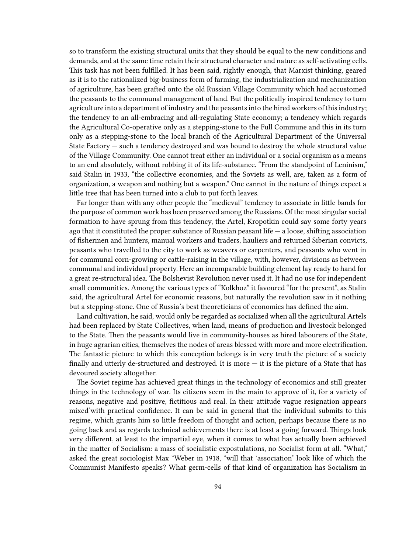so to transform the existing structural units that they should be equal to the new conditions and demands, and at the same time retain their structural character and nature as self-activating cells. This task has not been fulfilled. It has been said, rightly enough, that Marxist thinking, geared as it is to the rationalized big-business form of farming, the industrialization and mechanization of agriculture, has been grafted onto the old Russian Village Community which had accustomed the peasants to the communal management of land. But the politically inspired tendency to turn agriculture into a department of industry and the peasants into the hired workers of this industry; the tendency to an all-embracing and all-regulating State economy; a tendency which regards the Agricultural Co-operative only as a stepping-stone to the Full Commune and this in its turn only as a stepping-stone to the local branch of the Agricultural Department of the Universal State Factory — such a tendency destroyed and was bound to destroy the whole structural value of the Village Community. One cannot treat either an individual or a social organism as a means to an end absolutely, without robbing it of its life-substance. "From the standpoint of Leninism," said Stalin in 1933, "the collective economies, and the Soviets as well, are, taken as a form of organization, a weapon and nothing but a weapon." One cannot in the nature of things expect a little tree that has been turned into a club to put forth leaves.

Far longer than with any other people the "medieval" tendency to associate in little bands for the purpose of common work has been preserved among the Russians. Of the most singular social formation to have sprung from this tendency, the Artel, Kropotkin could say some forty years ago that it constituted the proper substance of Russian peasant life  $-$  a loose, shifting association of fishermen and hunters, manual workers and traders, hauliers and returned Siberian convicts, peasants who travelled to the city to work as weavers or carpenters, and peasants who went in for communal corn-growing or cattle-raising in the village, with, however, divisions as between communal and individual property. Here an incomparable building element lay ready to hand for a great re-structural idea. The Bolshevist Revolution never used it. It had no use for independent small communities. Among the various types of "Kolkhoz" it favoured "for the present", as Stalin said, the agricultural Artel for economic reasons, but naturally the revolution saw in it nothing but a stepping-stone. One of Russia's best theoreticians of economics has defined the aim.

Land cultivation, he said, would only be regarded as socialized when all the agricultural Artels had been replaced by State Collectives, when land, means of production and livestock belonged to the State. Then the peasants would live in community-houses as hired labourers of the State, in huge agrarian cities, themselves the nodes of areas blessed with more and more electrification. The fantastic picture to which this conception belongs is in very truth the picture of a society finally and utterly de-structured and destroyed. It is more — it is the picture of a State that has devoured society altogether.

The Soviet regime has achieved great things in the technology of economics and still greater things in the technology of war. Its citizens seem in the main to approve of it, for a variety of reasons, negative and positive, fictitious and real. In their attitude vague resignation appears mixed'with practical confidence. It can be said in general that the individual submits to this regime, which grants him so little freedom of thought and action, perhaps because there is no going back and as regards technical achievements there is at least a going forward. Things look very different, at least to the impartial eye, when it comes to what has actually been achieved in the matter of Socialism: a mass of socialistic expostulations, no Socialist form at all. "What," asked the great sociologist Max "Weber in 1918, "will that 'association' look like of which the Communist Manifesto speaks? What germ-cells of that kind of organization has Socialism in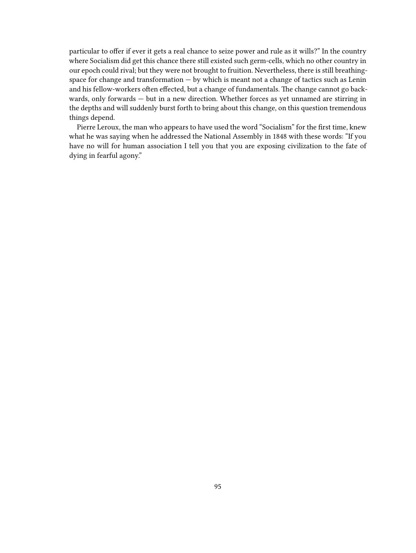particular to offer if ever it gets a real chance to seize power and rule as it wills?" In the country where Socialism did get this chance there still existed such germ-cells, which no other country in our epoch could rival; but they were not brought to fruition. Nevertheless, there is still breathingspace for change and transformation  $-$  by which is meant not a change of tactics such as Lenin and his fellow-workers often effected, but a change of fundamentals. The change cannot go backwards, only forwards — but in a new direction. Whether forces as yet unnamed are stirring in the depths and will suddenly burst forth to bring about this change, on this question tremendous things depend.

Pierre Leroux, the man who appears to have used the word "Socialism" for the first time, knew what he was saying when he addressed the National Assembly in 1848 with these words: "If you have no will for human association I tell you that you are exposing civilization to the fate of dying in fearful agony."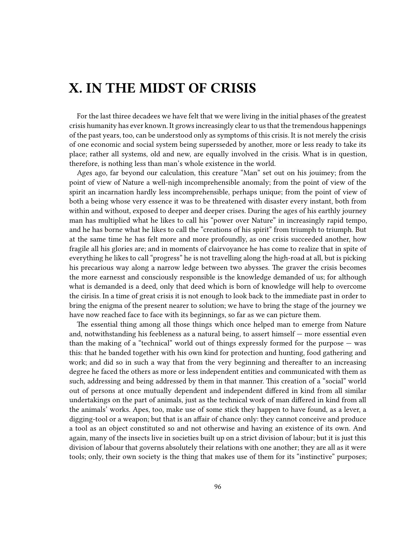## **X. IN THE MIDST OF CRISIS**

For the last thiree decadees we have felt that we were living in the initial phases of the greatest crisis humanity has ever known. It grows increasingly clear to us that the tremendous happenings of the past years, too, can be understood only as symptoms of this crisis. It is not merely the crisis of one economic and social system being supersseded by another, more or less ready to take its place; rather all systems, old and new, are equally involved in the crisis. What is in question, therefore, is nothing less than man's whole existence in the world.

Ages ago, far beyond our calculation, this creature "Man" set out on his jouimey; from the point of view of Nature a well-nigh incomprehensible anomaly; from the point of view of the spirit an incarnation hardly less incomprehensible, perhaps unique; from the point of view of both a being whose very essence it was to be threatened with disaster every instant, both from within and without, exposed to deeper and deeper crises. During the ages of his earthly journey man has multiplied what he likes to call his "power over Nature" in increasingly rapid tempo, and he has borne what he likes to call the "creations of his spirit" from triumph to triumph. But at the same time he has felt more and more profoundly, as one crisis succeeded another, how fragile all his glories are; and in moments of clairvoyance he has come to realize that in spite of everything he likes to call "progress" he is not travelling along the high-road at all, but is picking his precarious way along a narrow ledge between two abysses. The graver the crisis becomes the more earnesst and consciously responsible is the knowledge demanded of us; for although what is demanded is a deed, only that deed which is born of knowledge will help to overcome the cirisis. In a time of great crisis it is not enough to look back to the immediate past in order to bring the enigma of the present nearer to solution; we have to bring the stage of the journey we have now reached face to face with its beginnings, so far as we can picture them.

The essential thing among all those things which once helped man to emerge from Nature and, notwithstanding his feebleness as a natural being, to assert himself — more essential even than the making of a "technical" world out of things expressly formed for the purpose — was this: that he banded together with his own kind for protection and hunting, food gathering and work; and did so in such a way that from the very beginning and thereafter to an increasing degree he faced the others as more or less independent entities and communicated with them as such, addressing and being addressed by them in that manner. This creation of a "social" world out of persons at once mutually dependent and independent differed in kind from all similar undertakings on the part of animals, just as the technical work of man differed in kind from all the animals' works. Apes, too, make use of some stick they happen to have found, as a lever, a digging-tool or a weapon; but that is an affair of chance only: they cannot conceive and produce a tool as an object constituted so and not otherwise and having an existence of its own. And again, many of the insects live in societies built up on a strict division of labour; but it is just this division of labour that governs absolutely their relations with one another; they are all as it were tools; only, their own society is the thing that makes use of them for its "instinctive" purposes;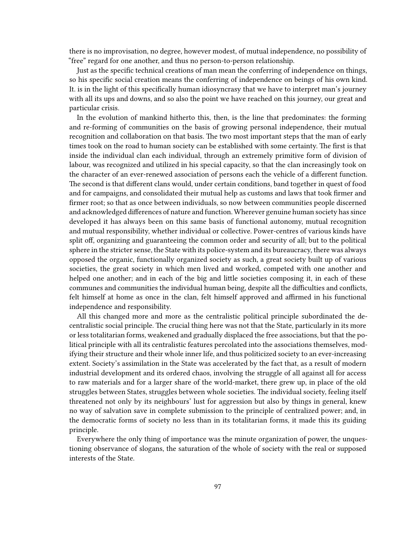there is no improvisation, no degree, however modest, of mutual independence, no possibility of "free" regard for one another, and thus no person-to-person relationship.

Just as the specific technical creations of man mean the conferring of independence on things, so his specific social creation means the conferring of independence on beings of his own kind. It. is in the light of this specifically human idiosyncrasy that we have to interpret man's journey with all its ups and downs, and so also the point we have reached on this journey, our great and particular crisis.

In the evolution of mankind hitherto this, then, is the line that predominates: the forming and re-forming of communities on the basis of growing personal independence, their mutual recognition and collaboration on that basis. The two most important steps that the man of early times took on the road to human society can be established with some certainty. The first is that inside the individual clan each individual, through an extremely primitive form of division of labour, was recognized and utilized in his special capacity, so that the clan increasingly took on the character of an ever-renewed association of persons each the vehicle of a different function. The second is that different clans would, under certain conditions, band together in quest of food and for campaigns, and consolidated their mutual help as customs and laws that took firmer and firmer root; so that as once between individuals, so now between communities people discerned and acknowledged differences of nature and function. Wherever genuine human society has since developed it has always been on this same basis of functional autonomy, mutual recognition and mutual responsibility, whether individual or collective. Power-centres of various kinds have split off, organizing and guaranteeing the common order and security of all; but to the political sphere in the stricter sense, the State with its police-system and its bureaucracy, there was always opposed the organic, functionally organized society as such, a great society built up of various societies, the great society in which men lived and worked, competed with one another and helped one another; and in each of the big and little societies composing it, in each of these communes and communities the individual human being, despite all the difficulties and conflicts, felt himself at home as once in the clan, felt himself approved and affirmed in his functional independence and responsibility.

All this changed more and more as the centralistic political principle subordinated the decentralistic social principle. The crucial thing here was not that the State, particularly in its more or less totalitarian forms, weakened and gradually displaced the free associations, but that the political principle with all its centralistic features percolated into the associations themselves, modifying their structure and their whole inner life, and thus politicized society to an ever-increasing extent. Society's assimilation in the State was accelerated by the fact that, as a result of modern industrial development and its ordered chaos, involving the struggle of all against all for access to raw materials and for a larger share of the world-market, there grew up, in place of the old struggles between States, struggles between whole societies. The individual society, feeling itself threatened not only by its neighbours' lust for aggression but also by things in general, knew no way of salvation save in complete submission to the principle of centralized power; and, in the democratic forms of society no less than in its totalitarian forms, it made this its guiding principle.

Everywhere the only thing of importance was the minute organization of power, the unquestioning observance of slogans, the saturation of the whole of society with the real or supposed interests of the State.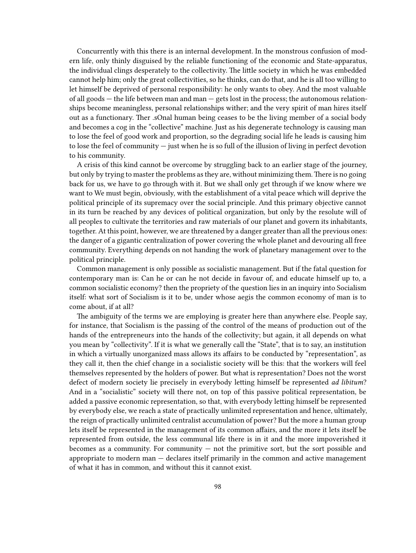Concurrently with this there is an internal development. In the monstrous confusion of modern life, only thinly disguised by the reliable functioning of the economic and State-apparatus, the individual clings desperately to the collectivity. The little society in which he was embedded cannot help him; only the great collectivities, so he thinks, can do that, and he is all too willing to let himself be deprived of personal responsibility: he only wants to obey. And the most valuable of all goods — the life between man and man — gets lost in the process; the autonomous relationships become meaningless, personal relationships wither; and the very spirit of man hires itself out as a functionary. Ther .sOnal human being ceases to be the living member of a social body and becomes a cog in the "collective" machine. Just as his degenerate technology is causing man to lose the feel of good work and proportion, so the degrading social life he leads is causing him to lose the feel of community — just when he is so full of the illusion of living in perfect devotion to his community.

A crisis of this kind cannot be overcome by struggling back to an earlier stage of the journey, but only by trying to master the problems as they are, without minimizing them.There is no going back for us, we have to go through with it. But we shall only get through if we know where we want to We must begin, obviously, with the establishment of a vital peace which will deprive the political principle of its supremacy over the social principle. And this primary objective cannot in its turn be reached by any devices of political organization, but only by the resolute will of all peoples to cultivate the territories and raw materials of our planet and govern its inhabitants, together. At this point, however, we are threatened by a danger greater than all the previous ones: the danger of a gigantic centralization of power covering the whole planet and devouring all free community. Everything depends on not handing the work of planetary management over to the political principle.

Common management is only possible as socialistic management. But if the fatal question for contemporary man is: Can he or can he not decide in favour of, and educate himself up to, a common socialistic economy? then the propriety of the question lies in an inquiry into Socialism itself: what sort of Socialism is it to be, under whose aegis the common economy of man is to come about, if at all?

The ambiguity of the terms we are employing is greater here than anywhere else. People say, for instance, that Socialism is the passing of the control of the means of production out of the hands of the entrepreneurs into the hands of the collectivity; but again, it all depends on what you mean by "collectivity". If it is what we generally call the "State", that is to say, an institution in which a virtually unorganized mass allows its affairs to be conducted by "representation", as they call it, then the chief change in a socialistic society will be this: that the workers will feel themselves represented by the holders of power. But what is representation? Does not the worst defect of modern society lie precisely in everybody letting himself be represented *ad libitum*? And in a "socialistic" society will there not, on top of this passive political representation, be added a passive economic representation, so that, with everybody letting himself be represented by everybody else, we reach a state of practically unlimited representation and hence, ultimately, the reign of practically unlimited centralist accumulation of power? But the more a human group lets itself be represented in the management of its common affairs, and the more it lets itself be represented from outside, the less communal life there is in it and the more impoverished it becomes as a community. For community  $-$  not the primitive sort, but the sort possible and appropriate to modern man — declares itself primarily in the common and active management of what it has in common, and without this it cannot exist.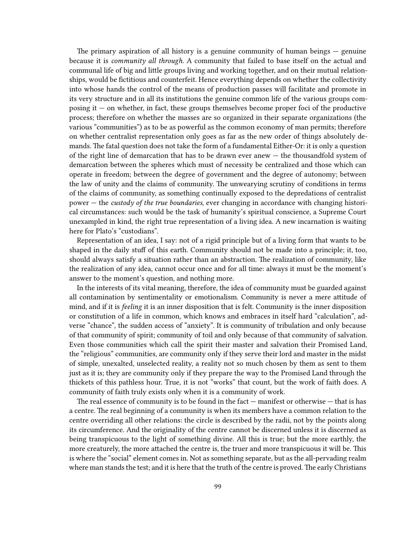The primary aspiration of all history is a genuine community of human beings  $-$  genuine because it is *community all through*. A community that failed to base itself on the actual and communal life of big and little groups living and working together, and on their mutual relationships, would be fictitious and counterfeit. Hence everything depends on whether the collectivity into whose hands the control of the means of production passes will facilitate and promote in its very structure and in all its institutions the genuine common life of the various groups composing it  $-$  on whether, in fact, these groups themselves become proper foci of the productive process; therefore on whether the masses are so organized in their separate organizations (the various "communities") as to be as powerful as the common economy of man permits; therefore on whether centralist representation only goes as far as the new order of things absolutely demands. The fatal question does not take the form of a fundamental Either-Or: it is only a question of the right line of demarcation that has to be drawn ever anew — the thousandfold system of demarcation between the spheres which must of necessity be centralized and those which can operate in freedom; between the degree of government and the degree of autonomy; between the law of unity and the claims of community. The unwearying scrutiny of conditions in terms of the claims of community, as something continually exposed to the depredations of centralist power — the *custody of the true boundaries*, ever changing in accordance with changing historical circumstances: such would be the task of humanity's spiritual conscience, a Supreme Court unexampled in kind, the right true representation of a living idea. A new incarnation is waiting here for Plato's "custodians".

Representation of an idea, I say: not of a rigid principle but of a living form that wants to be shaped in the daily stuff of this earth. Community should not be made into a principle; it, too, should always satisfy a situation rather than an abstraction. The realization of community, like the realization of any idea, cannot occur once and for all time: always it must be the moment's answer to the moment's question, and nothing more.

In the interests of its vital meaning, therefore, the idea of community must be guarded against all contamination by sentimentality or emotionalism. Community is never a mere attitude of mind, and if it is *feeling* it is an inner disposition that is felt. Community is the inner disposition or constitution of a life in common, which knows and embraces in itself hard "calculation", adverse "chance", the sudden access of "anxiety". It is community of tribulation and only because of that community of spirit; community of toil and only because of that community of salvation. Even those communities which call the spirit their master and salvation their Promised Land, the "religious" communities, are community only if they serve their lord and master in the midst of simple, unexalted, unselected reality, a reality not so much chosen by them as sent to them just as it is; they are community only if they prepare the way to the Promised Land through the thickets of this pathless hour. True, it is not "works" that count, but the work of faith does. A community of faith truly exists only when it is a community of work.

The real essence of community is to be found in the fact  $-$  manifest or otherwise  $-$  that is has a centre. The real beginning of a community is when its members have a common relation to the centre overriding all other relations: the circle is described by the radii, not by the points along its circumference. And the originality of the centre cannot be discerned unless it is discerned as being transpicuous to the light of something divine. All this is true; but the more earthly, the more creaturely, the more attached the centre is, the truer and more transpicuous it will be. This is where the "social" element comes in. Not as something separate, but as the all-pervading realm where man stands the test; and it is here that the truth of the centre is proved. The early Christians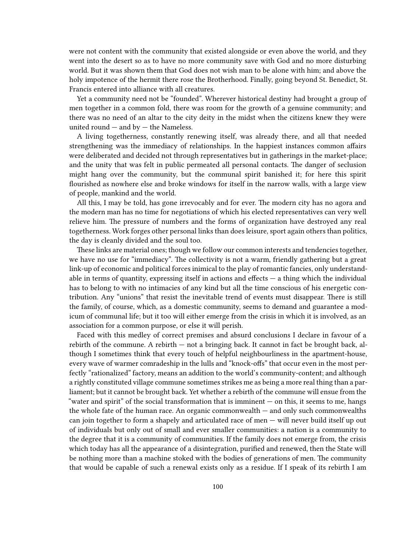were not content with the community that existed alongside or even above the world, and they went into the desert so as to have no more community save with God and no more disturbing world. But it was shown them that God does not wish man to be alone with him; and above the holy impotence of the hermit there rose the Brotherhood. Finally, going beyond St. Benedict, St. Francis entered into alliance with all creatures.

Yet a community need not be "founded". Wherever historical destiny had brought a group of men together in a common fold, there was room for the growth of a genuine community; and there was no need of an altar to the city deity in the midst when the citizens knew they were united round  $-$  and by  $-$  the Nameless.

A living togetherness, constantly renewing itself, was already there, and all that needed strengthening was the immediacy of relationships. In the happiest instances common affairs were deliberated and decided not through representatives but in gatherings in the market-place; and the unity that was felt in public permeated all personal contacts. The danger of seclusion might hang over the community, but the communal spirit banished it; for here this spirit flourished as nowhere else and broke windows for itself in the narrow walls, with a large view of people, mankind and the world.

All this, I may be told, has gone irrevocably and for ever. The modern city has no agora and the modern man has no time for negotiations of which his elected representatives can very well relieve him. The pressure of numbers and the forms of organization have destroyed any real togetherness. Work forges other personal links than does leisure, sport again others than politics, the day is cleanly divided and the soul too.

These links are material ones; though we follow our common interests and tendencies together, we have no use for "immediacy". The collectivity is not a warm, friendly gathering but a great link-up of economic and political forces inimical to the play of romantic fancies, only understandable in terms of quantity, expressing itself in actions and effects  $-$  a thing which the individual has to belong to with no intimacies of any kind but all the time conscious of his energetic contribution. Any "unions" that resist the inevitable trend of events must disappear. There is still the family, of course, which, as a domestic community, seems to demand and guarantee a modicum of communal life; but it too will either emerge from the crisis in which it is involved, as an association for a common purpose, or else it will perish.

Faced with this medley of correct premises and absurd conclusions I declare in favour of a rebirth of the commune. A rebirth — not a bringing back. It cannot in fact be brought back, although I sometimes think that every touch of helpful neighbourliness in the apartment-house, every wave of warmer comradeship in the lulls and "knock-offs" that occur even in the most perfectly "rationalized" factory, means an addition to the world's community-content; and although a rightly constituted village commune sometimes strikes me as being a more real thing than a parliament; but it cannot be brought back. Yet whether a rebirth of the commune will ensue from the "water and spirit" of the social transformation that is imminent — on this, it seems to me, hangs the whole fate of the human race. An organic commonwealth — and only such commonwealths can join together to form a shapely and articulated race of men — will never build itself up out of individuals but only out of small and ever smaller communities: a nation is a community to the degree that it is a community of communities. If the family does not emerge from, the crisis which today has all the appearance of a disintegration, purified and renewed, then the State will be nothing more than a machine stoked with the bodies of generations of men. The community that would be capable of such a renewal exists only as a residue. If I speak of its rebirth I am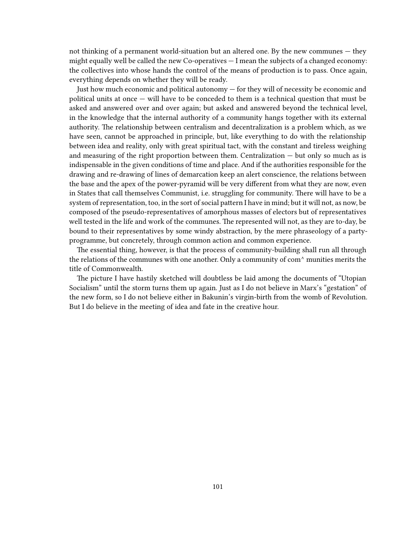not thinking of a permanent world-situation but an altered one. By the new communes — they might equally well be called the new Co-operatives — I mean the subjects of a changed economy: the collectives into whose hands the control of the means of production is to pass. Once again, everything depends on whether they will be ready.

Just how much economic and political autonomy — for they will of necessity be economic and political units at once — will have to be conceded to them is a technical question that must be asked and answered over and over again; but asked and answered beyond the technical level, in the knowledge that the internal authority of a community hangs together with its external authority. The relationship between centralism and decentralization is a problem which, as we have seen, cannot be approached in principle, but, like everything to do with the relationship between idea and reality, only with great spiritual tact, with the constant and tireless weighing and measuring of the right proportion between them. Centralization — but only so much as is indispensable in the given conditions of time and place. And if the authorities responsible for the drawing and re-drawing of lines of demarcation keep an alert conscience, the relations between the base and the apex of the power-pyramid will be very different from what they are now, even in States that call themselves Communist, i.e. struggling for community. There will have to be a system of representation, too, in the sort of social pattern I have in mind; but it will not, as now, be composed of the pseudo-representatives of amorphous masses of electors but of representatives well tested in the life and work of the communes. The represented will not, as they are to-day, be bound to their representatives by some windy abstraction, by the mere phraseology of a partyprogramme, but concretely, through common action and common experience.

The essential thing, however, is that the process of community-building shall run all through the relations of the communes with one another. Only a community of com^ munities merits the title of Commonwealth.

The picture I have hastily sketched will doubtless be laid among the documents of "Utopian Socialism" until the storm turns them up again. Just as I do not believe in Marx's "gestation" of the new form, so I do not believe either in Bakunin's virgin-birth from the womb of Revolution. But I do believe in the meeting of idea and fate in the creative hour.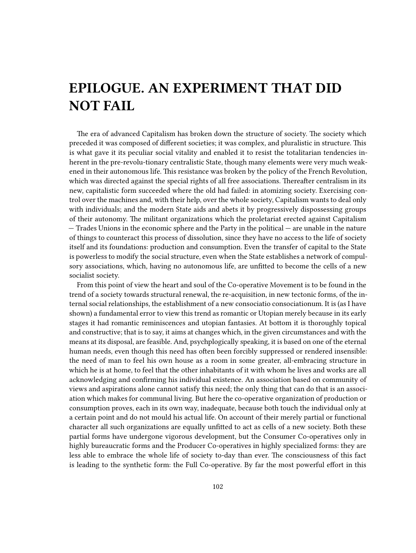## **EPILOGUE. AN EXPERIMENT THAT DID NOT FAIL**

The era of advanced Capitalism has broken down the structure of society. The society which preceded it was composed of different societies; it was complex, and pluralistic in structure. This is what gave it its peculiar social vitality and enabled it to resist the totalitarian tendencies inherent in the pre-revolu-tionary centralistic State, though many elements were very much weakened in their autonomous life. This resistance was broken by the policy of the French Revolution, which was directed against the special rights of all free associations. Thereafter centralism in its new, capitalistic form succeeded where the old had failed: in atomizing society. Exercising control over the machines and, with their help, over the whole society, Capitalism wants to deal only with individuals; and the modern State aids and abets it by progressively dispossessing groups of their autonomy. The militant organizations which the proletariat erected against Capitalism — Trades Unions in the economic sphere and the Party in the political — are unable in the nature of things to counteract this process of dissolution, since they have no access to the life of society itself and its foundations: production and consumption. Even the transfer of capital to the State is powerless to modify the social structure, even when the State establishes a network of compulsory associations, which, having no autonomous life, are unfitted to become the cells of a new socialist society.

From this point of view the heart and soul of the Co-operative Movement is to be found in the trend of a society towards structural renewal, the re-acquisition, in new tectonic forms, of the internal social relationships, the establishment of a new consociatio consociationum. It is (as I have shown) a fundamental error to view this trend as romantic or Utopian merely because in its early stages it had romantic reminiscences and utopian fantasies. At bottom it is thoroughly topical and constructive; that is to say, it aims at changes which, in the given circumstances and with the means at its disposal, are feasible. And, psychplogically speaking, it is based on one of the eternal human needs, even though this need has often been forcibly suppressed or rendered insensible: the need of man to feel his own house as a room in some greater, all-embracing structure in which he is at home, to feel that the other inhabitants of it with whom he lives and works are all acknowledging and confirming his individual existence. An association based on community of views and aspirations alone cannot satisfy this need; the only thing that can do that is an association which makes for communal living. But here the co-operative organization of production or consumption proves, each in its own way, inadequate, because both touch the individual only at a certain point and do not mould his actual life. On account of their merely partial or functional character all such organizations are equally unfitted to act as cells of a new society. Both these partial forms have undergone vigorous development, but the Consumer Co-operatives only in highly bureaucratic forms and the Producer Co-operatives in highly specialized forms: they are less able to embrace the whole life of society to-day than ever. The consciousness of this fact is leading to the synthetic form: the Full Co-operative. By far the most powerful effort in this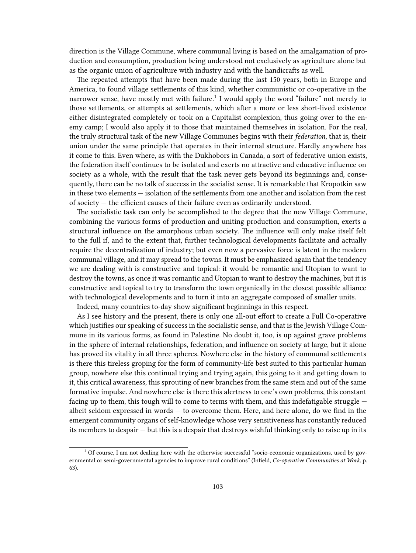direction is the Village Commune, where communal living is based on the amalgamation of production and consumption, production being understood not exclusively as agriculture alone but as the organic union of agriculture with industry and with the handicrafts as well.

The repeated attempts that have been made during the last 150 years, both in Europe and America, to found village settlements of this kind, whether communistic or co-operative in the narrower sense, have mostly met with failure. $^1$  I would apply the word "failure" not merely to those settlements, or attempts at settlements, which after a more or less short-lived existence either disintegrated completely or took on a Capitalist complexion, thus going over to the enemy camp; I would also apply it to those that maintained themselves in isolation. For the real, the truly structural task of the new Village Communes begins with their *federation*, that is, their union under the same principle that operates in their internal structure. Hardly anywhere has it come to this. Even where, as with the Dukhobors in Canada, a sort of federative union exists, the federation itself continues to be isolated and exerts no attractive and educative influence on society as a whole, with the result that the task never gets beyond its beginnings and, consequently, there can be no talk of success in the socialist sense. It is remarkable that Kropotkin saw in these two elements — isolation of the settlements from one another and isolation from the rest of society — the efficient causes of their failure even as ordinarily understood.

The socialistic task can only be accomplished to the degree that the new Village Commune, combining the various forms of production and uniting production and consumption, exerts a structural influence on the amorphous urban society. The influence will only make itself felt to the full if, and to the extent that, further technological developments facilitate and actually require the decentralization of industry; but even now a pervasive force is latent in the modern communal village, and it may spread to the towns. It must be emphasized again that the tendency we are dealing with is constructive and topical: it would be romantic and Utopian to want to destroy the towns, as once it was romantic and Utopian to want to destroy the machines, but it is constructive and topical to try to transform the town organically in the closest possible alliance with technological developments and to turn it into an aggregate composed of smaller units.

Indeed, many countries to-day show significant beginnings in this respect.

As I see history and the present, there is only one all-out effort to create a Full Co-operative which justifies our speaking of success in the socialistic sense, and that is the Jewish Village Commune in its various forms, as found in Palestine. No doubt it, too, is up against grave problems in the sphere of internal relationships, federation, and influence on society at large, but it alone has proved its vitality in all three spheres. Nowhere else in the history of communal settlements is there this tireless groping for the form of community-life best suited to this particular human group, nowhere else this continual trying and trying again, this going to it and getting down to it, this critical awareness, this sprouting of new branches from the same stem and out of the same formative impulse. And nowhere else is there this alertness to one's own problems, this constant facing up to them, this tough will to come to terms with them, and this indefatigable struggle albeit seldom expressed in words — to overcome them. Here, and here alone, do we find in the emergent community organs of self-knowledge whose very sensitiveness has constantly reduced its members to despair — but this is a despair that destroys wishful thinking only to raise up in its

<sup>&</sup>lt;sup>1</sup> Of course, I am not dealing here with the otherwise successful "socio-economic organizations, used by governmental or semi-governmental agencies to improve rural conditions" (Infield, *Co-operative Communities at Work*, p. 63).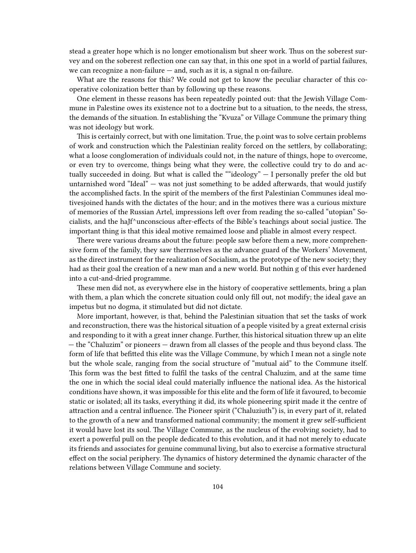stead a greater hope which is no longer emotionalism but sheer work. Thus on the soberest survey and on the soberest reflection one can say that, in this one spot in a world of partial failures, we can recognize a non-failure — and, such as it is, a signal n on-failure.

What are the reasons for this? We could not get to know the peculiar character of this cooperative colonization better than by following up these reasons.

One element in thesse reasons has been repeatedly pointed out: that the Jewish Village Commune in Palestine owes its existence not to a doctrine but to a situation, to the needs, the stress, the demands of the situation. In establishing the "Kvuza" or Village Commune the primary thing was not ideology but work.

This is certainly correct, but with one limitation. True, the p.oint was to solve certain problems of work and construction which the Palestinian reality forced on the settlers, by collaborating; what a loose conglomeration of individuals could not, in the nature of things, hope to overcome, or even try to overcome, things being what they were, the collective could try to do and actually succeeded in doing. But what is called the ""ideology" — I personally prefer the old but untarnished word "Ideal" — was not just something to be added afterwards, that would justify the accomplished facts. In the spirit of the members of the first Palestinian Communes ideal motivesjoined hands with the dictates of the hour; and in the motives there was a curious mixture of memories of the Russian Artel, impressions left over from reading the so-called "utopian" Socialists, and the haJf^unconscious after-effects of the Bible's teachings about social justice. The important thing is that this ideal motive remaimed loose and pliable in almost every respect.

There were various dreams about the future: people saw before them a new, more comprehensive form of the family, they saw therrnselves as the advance guard of the Workers' Movement, as the direct instrument for the realization of Socialism, as the prototype of the new society; they had as their goal the creation of a new man and a new world. But nothin g of this ever hardened into a cut-and-dried programme.

These men did not, as everywhere else in the history of cooperative settlements, bring a plan with them, a plan which the concrete situation could only fill out, not modify; the ideal gave an impetus but no dogma, it stimulated but did not dictate.

More important, however, is that, behind the Palestinian situation that set the tasks of work and reconstruction, there was the historical situation of a people visited by a great external crisis and responding to it with a great inner change. Further, this historical situation threw up an elite — the "Chaluzim" or pioneers — drawn from all classes of the people and thus beyond class. The form of life that befitted this elite was the Village Commune, by which I mean not a single note but the whole scale, ranging from the social structure of "mutual aid" to the Commune itself. This form was the best fitted to fulfil the tasks of the central Chaluzim, and at the same time the one in which the social ideal could materially influence the national idea. As the historical conditions have shown, it was impossible for this elite and the form of life it favoured, to becomie static or isolated; all its tasks, everything it did, its whole pioneering spirit made it the centre of attraction and a central influence. The Pioneer spirit ("Chaluziuth") is, in every part of it, related to the growth of a new and transformed national community; the moment it grew self-sufficient it would have lost its soul. The Village Commune, as the nucleus of the evolving society, had to exert a powerful pull on the people dedicated to this evolution, and it had not merely to educate its friends and associates for genuine communal living, but also to exercise a formative structural effect on the social periphery. The dynamics of history determined the dynamic character of the relations between Village Commune and society.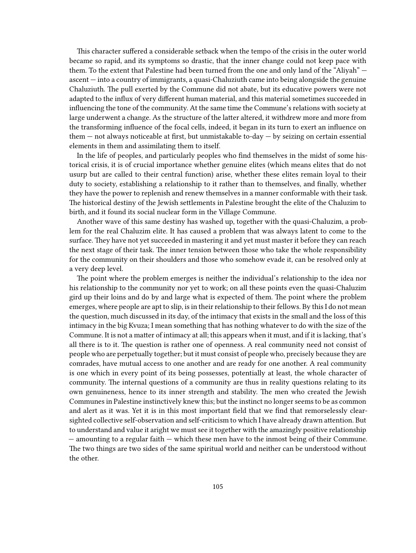This character suffered a considerable setback when the tempo of the crisis in the outer world became so rapid, and its symptoms so drastic, that the inner change could not keep pace with them. To the extent that Palestine had been turned from the one and only land of the "Aliyah" ascent — into a country of immigrants, a quasi-Chaluziuth came into being alongside the genuine Chaluziuth. The pull exerted by the Commune did not abate, but its educative powers were not adapted to the influx of very different human material, and this material sometimes succeeded in influencing the tone of the community. At the same time the Commune's relations with society at large underwent a change. As the structure of the latter altered, it withdrew more and more from the transforming influence of the focal cells, indeed, it began in its turn to exert an influence on them  $-$  not always noticeable at first, but unmistakable to-day  $-$  by seizing on certain essential elements in them and assimilating them to itself.

In the life of peoples, and particularly peoples who find themselves in the midst of some historical crisis, it is of crucial importance whether genuine elites (which means elites that do not usurp but are called to their central function) arise, whether these elites remain loyal to their duty to society, establishing a relationship to it rather than to themselves, and finally, whether they have the power to replenish and renew themselves in a manner conformable with their task. The historical destiny of the Jewish settlements in Palestine brought the elite of the Chaluzim to birth, and it found its social nuclear form in the Village Commune.

Another wave of this same destiny has washed up, together with the quasi-Chaluzim, a problem for the real Chaluzim elite. It has caused a problem that was always latent to come to the surface. They have not yet succeeded in mastering it and yet must master it before they can reach the next stage of their task. The inner tension between those who take the whole responsibility for the community on their shoulders and those who somehow evade it, can be resolved only at a very deep level.

The point where the problem emerges is neither the individual's relationship to the idea nor his relationship to the community nor yet to work; on all these points even the quasi-Chaluzim gird up their loins and do by and large what is expected of them. The point where the problem emerges, where people are apt to slip, is in their relationship to their fellows. By this I do not mean the question, much discussed in its day, of the intimacy that exists in the small and the loss of this intimacy in the big Kvuza; I mean something that has nothing whatever to do with the size of the Commune. It is not a matter of intimacy at all; this appears when it must, and if it is lacking, that's all there is to it. The question is rather one of openness. A real community need not consist of people who are perpetually together; but it must consist of people who, precisely because they are comrades, have mutual access to one another and are ready for one another. A real community is one which in every point of its being possesses, potentially at least, the whole character of community. The internal questions of a community are thus in reality questions relating to its own genuineness, hence to its inner strength and stability. The men who created the Jewish Communes in Palestine instinctively knew this; but the instinct no longer seems to be as common and alert as it was. Yet it is in this most important field that we find that remorselessly clearsighted collective self-observation and self-criticism to which I have already drawn attention. But to understand and value it aright we must see it together with the amazingly positive relationship — amounting to a regular faith — which these men have to the inmost being of their Commune. The two things are two sides of the same spiritual world and neither can be understood without the other.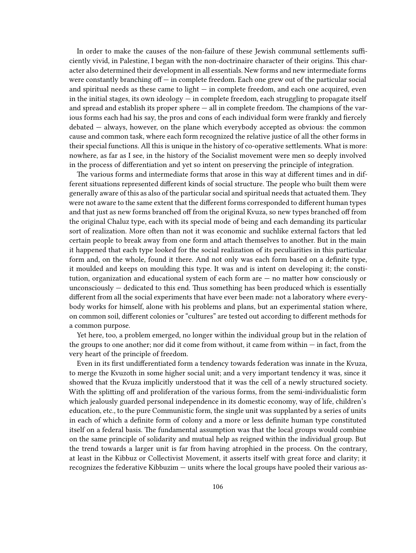In order to make the causes of the non-failure of these Jewish communal settlements sufficiently vivid, in Palestine, I began with the non-doctrinaire character of their origins. This character also determined their development in all essentials. New forms and new intermediate forms were constantly branching off  $-$  in complete freedom. Each one grew out of the particular social and spiritual needs as these came to light  $-$  in complete freedom, and each one acquired, even in the initial stages, its own ideology  $-$  in complete freedom, each struggling to propagate itself and spread and establish its proper sphere — all in complete freedom. The champions of the various forms each had his say, the pros and cons of each individual form were frankly and fiercely debated — always, however, on the plane which everybody accepted as obvious: the common cause and common task, where each form recognized the relative justice of all the other forms in their special functions. All this is unique in the history of co-operative settlements. What is more: nowhere, as far as I see, in the history of the Socialist movement were men so deeply involved in the process of differentiation and yet so intent on preserving the principle of integration.

The various forms and intermediate forms that arose in this way at different times and in different situations represented different kinds of social structure. The people who built them were generally aware of this as also of the particular social and spiritual needs that actuated them. They were not aware to the same extent that the different forms corresponded to different human types and that just as new forms branched off from the original Kvuza, so new types branched off from the original Chaluz type, each with its special mode of being and each demanding its particular sort of realization. More often than not it was economic and suchlike external factors that led certain people to break away from one form and attach themselves to another. But in the main it happened that each type looked for the social realization of its peculiarities in this particular form and, on the whole, found it there. And not only was each form based on a definite type, it moulded and keeps on moulding this type. It was and is intent on developing it; the constitution, organization and educational system of each form are — no matter how consciously or unconsciously  $-$  dedicated to this end. Thus something has been produced which is essentially different from all the social experiments that have ever been made: not a laboratory where everybody works for himself, alone with his problems and plans, but an experimental station where, on common soil, different colonies or "cultures" are tested out according to different methods for a common purpose.

Yet here, too, a problem emerged, no longer within the individual group but in the relation of the groups to one another; nor did it come from without, it came from within — in fact, from the very heart of the principle of freedom.

Even in its first undifferentiated form a tendency towards federation was innate in the Kvuza, to merge the Kvuzoth in some higher social unit; and a very important tendency it was, since it showed that the Kvuza implicitly understood that it was the cell of a newly structured society. With the splitting off and proliferation of the various forms, from the semi-individualistic form which jealously guarded personal independence in its domestic economy, way of life, children's education, etc., to the pure Communistic form, the single unit was supplanted by a series of units in each of which a definite form of colony and a more or less definite human type constituted itself on a federal basis. The fundamental assumption was that the local groups would combine on the same principle of solidarity and mutual help as reigned within the individual group. But the trend towards a larger unit is far from having atrophied in the process. On the contrary, at least in the Kibbuz or Collectivist Movement, it asserts itself with great force and clarity; it recognizes the federative Kibbuzim — units where the local groups have pooled their various as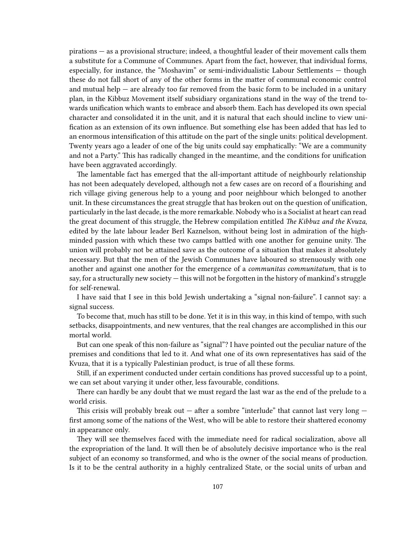pirations — as a provisional structure; indeed, a thoughtful leader of their movement calls them a substitute for a Commune of Communes. Apart from the fact, however, that individual forms, especially, for instance, the "Moshavim" or semi-individualistic Labour Settlements — though these do not fall short of any of the other forms in the matter of communal economic control and mutual help  $-$  are already too far removed from the basic form to be included in a unitary plan, in the Kibbuz Movement itself subsidiary organizations stand in the way of the trend towards unification which wants to embrace and absorb them. Each has developed its own special character and consolidated it in the unit, and it is natural that each should incline to view unification as an extension of its own influence. But something else has been added that has led to an enormous intensification of this attitude on the part of the single units: political development. Twenty years ago a leader of one of the big units could say emphatically: "We are a community and not a Party." This has radically changed in the meantime, and the conditions for unification have been aggravated accordingly.

The lamentable fact has emerged that the all-important attitude of neighbourly relationship has not been adequately developed, although not a few cases are on record of a flourishing and rich village giving generous help to a young and poor neighbour which belonged to another unit. In these circumstances the great struggle that has broken out on the question of unification, particularly in the last decade, is the more remarkable. Nobody who is a Socialist at heart can read the great document of this struggle, the Hebrew compilation entitled *The Kibbuz and the Kvuza*, edited by the late labour leader Berl Kaznelson, without being lost in admiration of the highminded passion with which these two camps battled with one another for genuine unity. The union will probably not be attained save as the outcome of a situation that makes it absolutely necessary. But that the men of the Jewish Communes have laboured so strenuously with one another and against one another for the emergence of a *communitas communitatum,* that is to say, for a structurally new society  $-$  this will not be forgotten in the history of mankind's struggle for self-renewal.

I have said that I see in this bold Jewish undertaking a "signal non-failure". I cannot say: a signal success.

To become that, much has still to be done. Yet it is in this way, in this kind of tempo, with such setbacks, disappointments, and new ventures, that the real changes are accomplished in this our mortal world.

But can one speak of this non-failure as "signal"? I have pointed out the peculiar nature of the premises and conditions that led to it. And what one of its own representatives has said of the Kvuza, that it is a typically Palestinian product, is true of all these forms.

Still, if an experiment conducted under certain conditions has proved successful up to a point, we can set about varying it under other, less favourable, conditions.

There can hardly be any doubt that we must regard the last war as the end of the prelude to a world crisis.

This crisis will probably break out  $-$  after a sombre "interlude" that cannot last very long  $$ first among some of the nations of the West, who will be able to restore their shattered economy in appearance only.

They will see themselves faced with the immediate need for radical socialization, above all the expropriation of the land. It will then be of absolutely decisive importance who is the real subject of an economy so transformed, and who is the owner of the social means of production. Is it to be the central authority in a highly centralized State, or the social units of urban and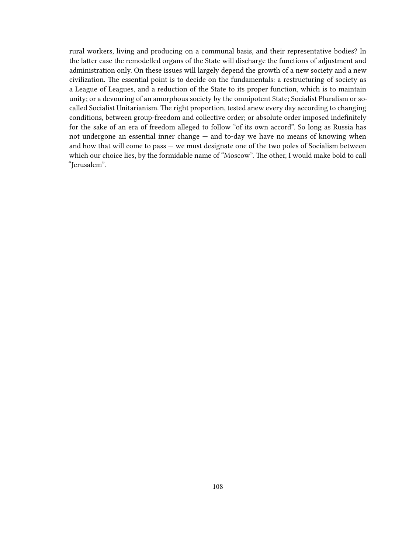rural workers, living and producing on a communal basis, and their representative bodies? In the latter case the remodelled organs of the State will discharge the functions of adjustment and administration only. On these issues will largely depend the growth of a new society and a new civilization. The essential point is to decide on the fundamentals: a restructuring of society as a League of Leagues, and a reduction of the State to its proper function, which is to maintain unity; or a devouring of an amorphous society by the omnipotent State; Socialist Pluralism or socalled Socialist Unitarianism. The right proportion, tested anew every day according to changing conditions, between group-freedom and collective order; or absolute order imposed indefinitely for the sake of an era of freedom alleged to follow "of its own accord". So long as Russia has not undergone an essential inner change — and to-day we have no means of knowing when and how that will come to pass — we must designate one of the two poles of Socialism between which our choice lies, by the formidable name of "Moscow". The other, I would make bold to call "Jerusalem".